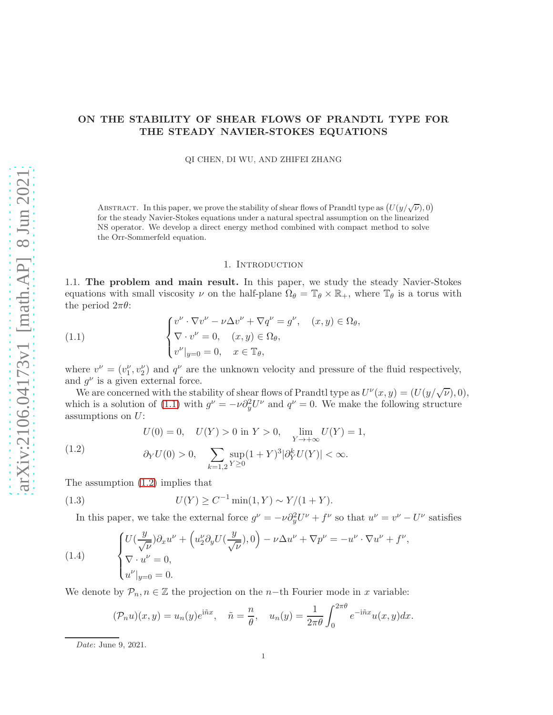# ON THE STABILITY OF SHEAR FLOWS OF PRANDTL TYPE FOR THE STEADY NAVIER-STOKES EQUATIONS

QI CHEN, DI WU, AND ZHIFEI ZHANG

ABSTRACT. In this paper, we prove the stability of shear flows of Prandtl type as  $(U(y/\sqrt{\nu}),0)$ for the steady Navier-Stokes equations under a natural spectral assumption on the linearized NS operator. We develop a direct energy method combined with compact method to solve the Orr-Sommerfeld equation.

#### 1. INTRODUCTION

1.1. The problem and main result. In this paper, we study the steady Navier-Stokes equations with small viscosity  $\nu$  on the half-plane  $\Omega_{\theta} = \mathbb{T}_{\theta} \times \mathbb{R}_{+}$ , where  $\mathbb{T}_{\theta}$  is a torus with the period  $2\pi\theta$ :

<span id="page-0-0"></span>(1.1) 
$$
\begin{cases} v^{\nu} \cdot \nabla v^{\nu} - \nu \Delta v^{\nu} + \nabla q^{\nu} = g^{\nu}, & (x, y) \in \Omega_{\theta}, \\ \nabla \cdot v^{\nu} = 0, & (x, y) \in \Omega_{\theta}, \\ v^{\nu}|_{y=0} = 0, & x \in \mathbb{T}_{\theta}, \end{cases}
$$

where  $v^{\nu} = (v_1^{\nu}, v_2^{\nu})$  and  $q^{\nu}$  are the unknown velocity and pressure of the fluid respectively, and  $g^{\nu}$  is a given external force.

We are concerned with the stability of shear flows of Prandtl type as  $U^{\nu}(x,y) = (U(y/\sqrt{\nu}),0),$ which is a solution of [\(1.1\)](#page-0-0) with  $g^{\nu} = -\nu \partial_y^2 U^{\nu}$  and  $q^{\nu} = 0$ . We make the following structure assumptions on  $U$ :

<span id="page-0-1"></span>(1.2) 
$$
U(0) = 0, \quad U(Y) > 0 \text{ in } Y > 0, \quad \lim_{Y \to +\infty} U(Y) = 1,
$$

$$
\partial_Y U(0) > 0, \quad \sum_{k=1,2} \sup_{Y \ge 0} (1+Y)^3 |\partial_Y^k U(Y)| < \infty.
$$

The assumption [\(1.2\)](#page-0-1) implies that

(1.3) 
$$
U(Y) \ge C^{-1} \min(1, Y) \sim Y/(1+Y).
$$

In this paper, we take the external force  $g^{\nu} = -\nu \partial_y^2 U^{\nu} + f^{\nu}$  so that  $u^{\nu} = v^{\nu} - U^{\nu}$  satisfies

<span id="page-0-2"></span>(1.4) 
$$
\begin{cases} U(\frac{y}{\sqrt{\nu}})\partial_x u^{\nu} + \left(u_2^{\nu}\partial_y U(\frac{y}{\sqrt{\nu}}), 0\right) - \nu \Delta u^{\nu} + \nabla p^{\nu} = -u^{\nu} \cdot \nabla u^{\nu} + f^{\nu}, \\ \nabla \cdot u^{\nu} = 0, \\ u^{\nu}|_{y=0} = 0. \end{cases}
$$

We denote by  $\mathcal{P}_n, n \in \mathbb{Z}$  the projection on the n-th Fourier mode in x variable:

$$
(\mathcal{P}_n u)(x, y) = u_n(y)e^{i\tilde{n}x}, \quad \tilde{n} = \frac{n}{\theta}, \quad u_n(y) = \frac{1}{2\pi\theta} \int_0^{2\pi\theta} e^{-i\tilde{n}x} u(x, y) dx.
$$

Date: June 9, 2021.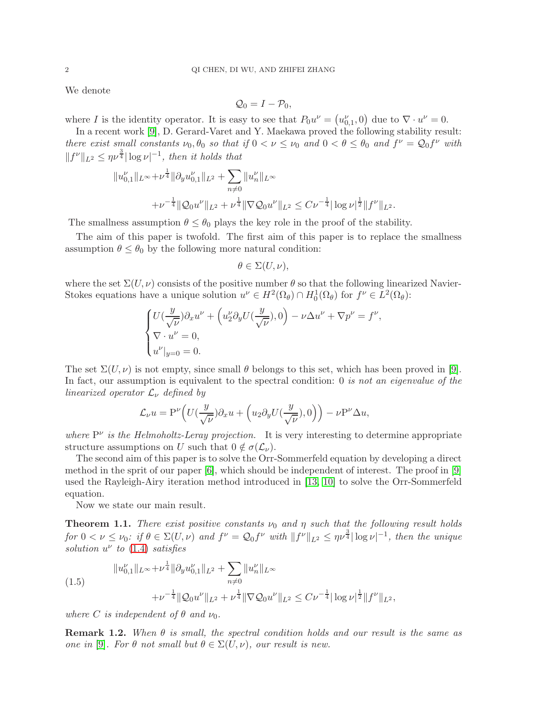We denote

$$
\mathcal{Q}_0=I-\mathcal{P}_0,
$$

where I is the identity operator. It is easy to see that  $P_0u^{\nu} = (u_{0,1}^{\nu}, 0)$  due to  $\nabla \cdot u^{\nu} = 0$ .

In a recent work [\[9\]](#page-44-0), D. Gerard-Varet and Y. Maekawa proved the following stability result: there exist small constants  $\nu_0, \theta_0$  so that if  $0 < \nu \leq \nu_0$  and  $0 < \theta \leq \theta_0$  and  $f^{\nu} = \mathcal{Q}_0 f^{\nu}$  with  $||f^{\nu}||_{L^2} \leq \eta \nu^{\frac{3}{4}} |\log \nu|^{-1}$ , then it holds that

$$
||u_{0,1}^{\nu}||_{L^{\infty}} + \nu^{\frac{1}{4}} ||\partial_y u_{0,1}^{\nu}||_{L^2} + \sum_{n \neq 0} ||u_n^{\nu}||_{L^{\infty}}
$$
  
+ 
$$
\nu^{-\frac{1}{4}} ||Q_0 u^{\nu}||_{L^2} + \nu^{\frac{1}{4}} ||\nabla Q_0 u^{\nu}||_{L^2} \leq C \nu^{-\frac{1}{4}} |\log \nu|^{\frac{1}{2}} ||f^{\nu}||_{L^2}.
$$

The smallness assumption  $\theta \leq \theta_0$  plays the key role in the proof of the stability.

The aim of this paper is twofold. The first aim of this paper is to replace the smallness assumption  $\theta \leq \theta_0$  by the following more natural condition:

$$
\theta\in\Sigma(U,\nu),
$$

where the set  $\Sigma(U, \nu)$  consists of the positive number  $\theta$  so that the following linearized Navier-Stokes equations have a unique solution  $u^{\nu} \in H^2(\Omega_{\theta}) \cap H_0^1(\Omega_{\theta})$  for  $f^{\nu} \in L^2(\Omega_{\theta})$ :

$$
\begin{cases} U(\frac{y}{\sqrt{\nu}})\partial_x u^\nu + \left(u_2^\nu \partial_y U(\frac{y}{\sqrt{\nu}}), 0\right) - \nu \Delta u^\nu + \nabla p^\nu = f^\nu, \\ \nabla \cdot u^\nu = 0, \\ u^\nu|_{y=0} = 0. \end{cases}
$$

The set  $\Sigma(U, \nu)$  is not empty, since small  $\theta$  belongs to this set, which has been proved in [\[9\]](#page-44-0). In fact, our assumption is equivalent to the spectral condition: 0 is not an eigenvalue of the linearized operator  $\mathcal{L}_{\nu}$  defined by

$$
\mathcal{L}_{\nu}u = \mathbf{P}^{\nu}\Big(U\big(\frac{y}{\sqrt{\nu}}\big)\partial_xu + \Big(u_2\partial_yU\big(\frac{y}{\sqrt{\nu}}\big),0\Big)\Big) - \nu\mathbf{P}^{\nu}\Delta u,
$$

where  $P^{\nu}$  is the Helmoholtz-Leray projection. It is very interesting to determine appropriate structure assumptions on U such that  $0 \notin \sigma(\mathcal{L}_{\nu}).$ 

The second aim of this paper is to solve the Orr-Sommerfeld equation by developing a direct method in the sprit of our paper [\[6\]](#page-44-1), which should be independent of interest. The proof in [\[9\]](#page-44-0) used the Rayleigh-Airy iteration method introduced in [\[13,](#page-44-2) [10\]](#page-44-3) to solve the Orr-Sommerfeld equation.

Now we state our main result.

<span id="page-1-0"></span>**Theorem 1.1.** There exist positive constants  $\nu_0$  and  $\eta$  such that the following result holds for  $0 < \nu \leq \nu_0$ : if  $\theta \in \Sigma(U, \nu)$  and  $f^{\nu} = \mathcal{Q}_0 f^{\nu}$  with  $||f^{\nu}||_{L^2} \leq \eta \nu^{\frac{3}{4}} |\log \nu|^{-1}$ , then the unique solution  $u^{\nu}$  to [\(1.4\)](#page-0-2) satisfies

$$
||u_{0,1}^{\nu}||_{L^{\infty}} + \nu^{\frac{1}{4}} ||\partial_y u_{0,1}^{\nu}||_{L^2} + \sum_{n \neq 0} ||u_n^{\nu}||_{L^{\infty}}
$$
  

$$
+ \nu^{-\frac{1}{4}} ||Q_0 u^{\nu}||_{L^2} + \nu^{\frac{1}{4}} ||\nabla Q_0 u^{\nu}||_{L^2} \leq C \nu^{-\frac{1}{4}} |\log \nu|^{\frac{1}{2}} ||f^{\nu}||_{L^2},
$$

where C is independent of  $\theta$  and  $\nu_0$ .

**Remark 1.2.** When  $\theta$  is small, the spectral condition holds and our result is the same as one in [\[9\]](#page-44-0). For  $\theta$  not small but  $\theta \in \Sigma(U, \nu)$ , our result is new.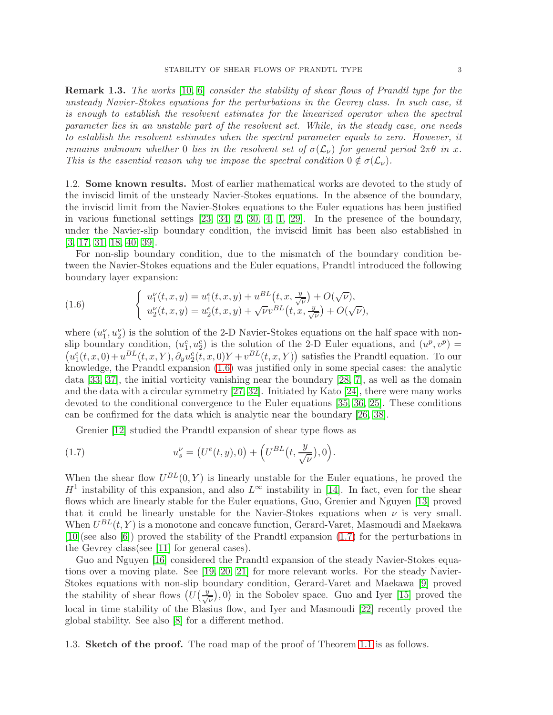Remark 1.3. The works [\[10,](#page-44-3) [6\]](#page-44-1) consider the stability of shear flows of Prandtl type for the unsteady Navier-Stokes equations for the perturbations in the Gevrey class. In such case, it is enough to establish the resolvent estimates for the linearized operator when the spectral parameter lies in an unstable part of the resolvent set. While, in the steady case, one needs to establish the resolvent estimates when the spectral parameter equals to zero. However, it remains unknown whether 0 lies in the resolvent set of  $\sigma(\mathcal{L}_{\nu})$  for general period  $2\pi\theta$  in x. This is the essential reason why we impose the spectral condition  $0 \notin \sigma(\mathcal{L}_{\nu})$ .

1.2. Some known results. Most of earlier mathematical works are devoted to the study of the inviscid limit of the unsteady Navier-Stokes equations. In the absence of the boundary, the inviscid limit from the Navier-Stokes equations to the Euler equations has been justified in various functional settings [\[23,](#page-44-4) [34,](#page-45-0) [2,](#page-44-5) [30,](#page-44-6) [4,](#page-44-7) [1,](#page-44-8) [29\]](#page-44-9). In the presence of the boundary, under the Navier-slip boundary condition, the inviscid limit has been also established in [\[3,](#page-44-10) [17,](#page-44-11) [31,](#page-44-12) [18,](#page-44-13) [40,](#page-45-1) [39\]](#page-45-2).

For non-slip boundary condition, due to the mismatch of the boundary condition between the Navier-Stokes equations and the Euler equations, Prandtl introduced the following boundary layer expansion:

<span id="page-2-0"></span>(1.6) 
$$
\begin{cases} u_1^{\nu}(t,x,y) = u_1^e(t,x,y) + u^{BL}(t,x,\frac{y}{\sqrt{\nu}}) + O(\sqrt{\nu}), \\ u_2^{\nu}(t,x,y) = u_2^e(t,x,y) + \sqrt{\nu}v^{BL}(t,x,\frac{y}{\sqrt{\nu}}) + O(\sqrt{\nu}), \end{cases}
$$

where  $(u_1^{\nu}, u_2^{\nu})$  is the solution of the 2-D Navier-Stokes equations on the half space with nonslip boundary condition,  $(u_1^e, u_2^e)$  is the solution of the 2-D Euler equations, and  $(u^p, v^p)$  =  $(u_1^e(t, x, 0) + u^{BL}(t, x, Y), \partial_y u_2^e(t, x, 0)Y + v^{BL}(t, x, Y))$  satisfies the Prandtl equation. To our knowledge, the Prandtl expansion [\(1.6\)](#page-2-0) was justified only in some special cases: the analytic data [\[33,](#page-45-3) [37\]](#page-45-4), the initial vorticity vanishing near the boundary [\[28,](#page-44-14) [7\]](#page-44-15), as well as the domain and the data with a circular symmetry [\[27,](#page-44-16) [32\]](#page-45-5). Initiated by Kato [\[24\]](#page-44-17), there were many works devoted to the conditional convergence to the Euler equations [\[35,](#page-45-6) [36,](#page-45-7) [25\]](#page-44-18). These conditions can be confirmed for the data which is analytic near the boundary [\[26,](#page-44-19) [38\]](#page-45-8).

<span id="page-2-1"></span>Grenier [\[12\]](#page-44-20) studied the Prandtl expansion of shear type flows as

(1.7) 
$$
u_s^{\nu} = (U^e(t, y), 0) + (U^{BL}(t, \frac{y}{\sqrt{\nu}}), 0).
$$

When the shear flow  $U^{BL}(0, Y)$  is linearly unstable for the Euler equations, he proved the  $H<sup>1</sup>$  instability of this expansion, and also  $L<sup>\infty</sup>$  instability in [\[14\]](#page-44-21). In fact, even for the shear flows which are linearly stable for the Euler equations, Guo, Grenier and Nguyen [\[13\]](#page-44-2) proved that it could be linearly unstable for the Navier-Stokes equations when  $\nu$  is very small. When  $U^{BL}(t, Y)$  is a monotone and concave function, Gerard-Varet, Masmoudi and Maekawa [\[10\]](#page-44-3)(see also [\[6\]](#page-44-1)) proved the stability of the Prandtl expansion [\(1.7\)](#page-2-1) for the perturbations in the Gevrey class(see [\[11\]](#page-44-22) for general cases).

Guo and Nguyen [\[16\]](#page-44-23) considered the Prandtl expansion of the steady Navier-Stokes equations over a moving plate. See [\[19,](#page-44-24) [20,](#page-44-25) [21\]](#page-44-26) for more relevant works. For the steady Navier-Stokes equations with non-slip boundary condition, Gerard-Varet and Maekawa [\[9\]](#page-44-0) proved the stability of shear flows  $\left(U\left(\frac{y}{\sqrt{y}}\right)\right)$  $(\frac{1}{\nu}), 0$  in the Sobolev space. Guo and Iyer [\[15\]](#page-44-27) proved the local in time stability of the Blasius flow, and Iyer and Masmoudi [\[22\]](#page-44-28) recently proved the global stability. See also [\[8\]](#page-44-29) for a different method.

1.3. Sketch of the proof. The road map of the proof of Theorem [1.1](#page-1-0) is as follows.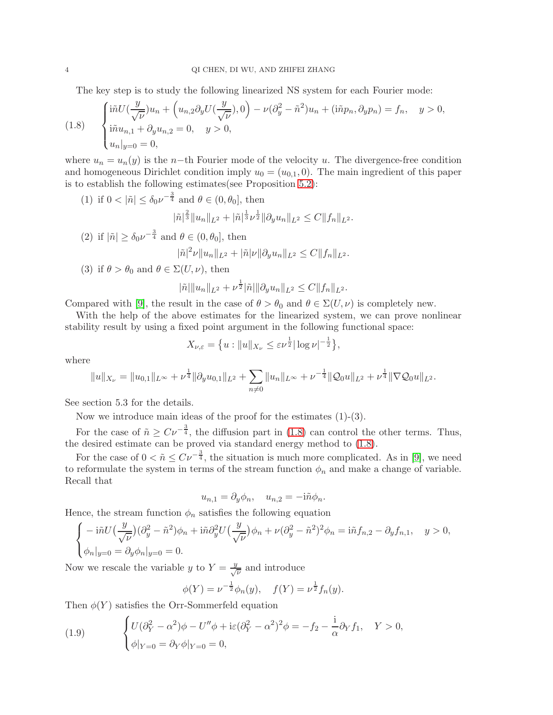The key step is to study the following linearized NS system for each Fourier mode:

<span id="page-3-0"></span>(1.8) 
$$
\begin{cases} \mathrm{i}\tilde{n}U(\frac{y}{\sqrt{\nu}})u_n + \left(u_{n,2}\partial_y U(\frac{y}{\sqrt{\nu}}), 0\right) - \nu(\partial_y^2 - \tilde{n}^2)u_n + (\mathrm{i}\tilde{n}p_n, \partial_y p_n) = f_n, & y > 0, \\ \mathrm{i}\tilde{n}u_{n,1} + \partial_y u_{n,2} = 0, & y > 0, \\ u_n|_{y=0} = 0, & \end{cases}
$$

where  $u_n = u_n(y)$  is the n-th Fourier mode of the velocity u. The divergence-free condition and homogeneous Dirichlet condition imply  $u_0 = (u_{0,1}, 0)$ . The main ingredient of this paper is to establish the following estimates(see Proposition [5.2\)](#page-32-0):

(1) if  $0 < |\tilde{n}| \leq \delta_0 \nu^{-\frac{3}{4}}$  and  $\theta \in (0, \theta_0]$ , then

$$
|\tilde{n}|^{\frac{2}{3}} \|u_n\|_{L^2} + |\tilde{n}|^{\frac{1}{3}} \nu^{\frac{1}{2}} \|\partial_y u_n\|_{L^2} \leq C \|f_n\|_{L^2}.
$$

- (2) if  $|\tilde{n}| \geq \delta_0 \nu^{-\frac{3}{4}}$  and  $\theta \in (0, \theta_0]$ , then  $|\tilde{n}|^2 \nu \|u_n\|_{L^2} + |\tilde{n}| \nu \| \partial_y u_n\|_{L^2} \leq C \|f_n\|_{L^2}.$
- (3) if  $\theta > \theta_0$  and  $\theta \in \Sigma(U, \nu)$ , then

$$
|\tilde{n}|\|u_n\|_{L^2} + \nu^{\frac{1}{2}}|\tilde{n}|\|\partial_y u_n\|_{L^2} \leq C||f_n||_{L^2}.
$$

Compared with [\[9\]](#page-44-0), the result in the case of  $\theta > \theta_0$  and  $\theta \in \Sigma(U, \nu)$  is completely new.

With the help of the above estimates for the linearized system, we can prove nonlinear stability result by using a fixed point argument in the following functional space:

$$
X_{\nu,\varepsilon} = \big\{ u : \|u\|_{X_{\nu}} \leq \varepsilon \nu^{\frac{1}{2}} |\log \nu|^{-\frac{1}{2}} \big\},\,
$$

where

$$
||u||_{X_{\nu}} = ||u_{0,1}||_{L^{\infty}} + \nu^{\frac{1}{4}} ||\partial_y u_{0,1}||_{L^2} + \sum_{n \neq 0} ||u_n||_{L^{\infty}} + \nu^{-\frac{1}{4}} ||Q_0 u||_{L^2} + \nu^{\frac{1}{4}} ||\nabla Q_0 u||_{L^2}.
$$

See section 5.3 for the details.

Now we introduce main ideas of the proof for the estimates  $(1)-(3)$ .

For the case of  $\tilde{n} \geq C\nu^{-\frac{3}{4}}$ , the diffusion part in [\(1.8\)](#page-3-0) can control the other terms. Thus, the desired estimate can be proved via standard energy method to  $(1.8)$ .

For the case of  $0 < \tilde{n} \leq C \nu^{-\frac{3}{4}}$ , the situation is much more complicated. As in [\[9\]](#page-44-0), we need to reformulate the system in terms of the stream function  $\phi_n$  and make a change of variable. Recall that

$$
u_{n,1} = \partial_y \phi_n, \quad u_{n,2} = -\mathrm{i} \tilde{n} \phi_n.
$$

Hence, the stream function  $\phi_n$  satisfies the following equation

$$
\begin{cases}\n-\operatorname{i}\tilde{n}U\left(\frac{y}{\sqrt{\nu}}\right)(\partial_y^2 - \tilde{n}^2)\phi_n + \operatorname{i}\tilde{n}\partial_y^2 U\left(\frac{y}{\sqrt{\nu}}\right)\phi_n + \nu(\partial_y^2 - \tilde{n}^2)^2\phi_n = \operatorname{i}\tilde{n}f_{n,2} - \partial_y f_{n,1}, \quad y > 0, \\
\phi_n|_{y=0} = \partial_y \phi_n|_{y=0} = 0.\n\end{cases}
$$

Now we rescale the variable y to  $Y = \frac{y}{\sqrt{\nu}}$  and introduce

$$
\phi(Y) = \nu^{-\frac{1}{2}} \phi_n(y), \quad f(Y) = \nu^{\frac{1}{2}} f_n(y).
$$

Then  $\phi(Y)$  satisfies the Orr-Sommerfeld equation

<span id="page-3-1"></span>(1.9) 
$$
\begin{cases} U(\partial_Y^2 - \alpha^2)\phi - U''\phi + i\varepsilon(\partial_Y^2 - \alpha^2)^2\phi = -f_2 - \frac{i}{\alpha}\partial_Y f_1, & Y > 0, \\ \phi|_{Y=0} = \partial_Y \phi|_{Y=0} = 0, \end{cases}
$$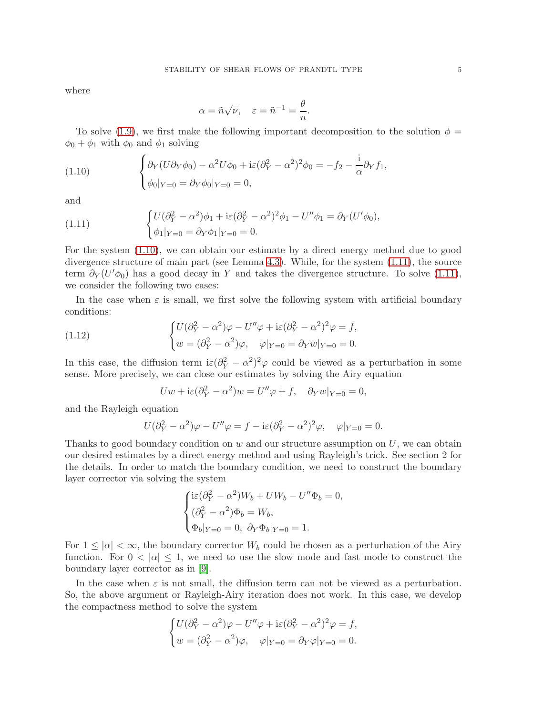where

$$
\alpha = \tilde{n}\sqrt{\nu}, \quad \varepsilon = \tilde{n}^{-1} = \frac{\theta}{n}.
$$

To solve [\(1.9\)](#page-3-1), we first make the following important decomposition to the solution  $\phi =$  $\phi_0 + \phi_1$  with  $\phi_0$  and  $\phi_1$  solving

<span id="page-4-0"></span>(1.10) 
$$
\begin{cases} \partial_Y (U \partial_Y \phi_0) - \alpha^2 U \phi_0 + i \varepsilon (\partial_Y^2 - \alpha^2)^2 \phi_0 = -f_2 - \frac{i}{\alpha} \partial_Y f_1, \\ \phi_0|_{Y=0} = \partial_Y \phi_0|_{Y=0} = 0, \end{cases}
$$

and

<span id="page-4-1"></span>(1.11) 
$$
\begin{cases} U(\partial_Y^2 - \alpha^2)\phi_1 + i\varepsilon(\partial_Y^2 - \alpha^2)^2\phi_1 - U''\phi_1 = \partial_Y(U'\phi_0), \\ \phi_1|_{Y=0} = \partial_Y\phi_1|_{Y=0} = 0. \end{cases}
$$

For the system [\(1.10\)](#page-4-0), we can obtain our estimate by a direct energy method due to good divergence structure of main part (see Lemma [4.3\)](#page-25-0). While, for the system [\(1.11\)](#page-4-1), the source term  $\partial_Y(U'\phi_0)$  has a good decay in Y and takes the divergence structure. To solve [\(1.11\)](#page-4-1), we consider the following two cases:

In the case when  $\varepsilon$  is small, we first solve the following system with artificial boundary conditions:

(1.12) 
$$
\begin{cases} U(\partial_Y^2 - \alpha^2)\varphi - U''\varphi + i\varepsilon(\partial_Y^2 - \alpha^2)^2\varphi = f, \\ w = (\partial_Y^2 - \alpha^2)\varphi, \quad \varphi|_{Y=0} = \partial_Y w|_{Y=0} = 0. \end{cases}
$$

In this case, the diffusion term  $i\varepsilon(\partial_Y^2 - \alpha^2)^2\varphi$  could be viewed as a perturbation in some sense. More precisely, we can close our estimates by solving the Airy equation

$$
Uw + i\varepsilon (\partial_Y^2 - \alpha^2)w = U''\varphi + f, \quad \partial_Y w|_{Y=0} = 0,
$$

and the Rayleigh equation

$$
U(\partial_Y^2 - \alpha^2)\varphi - U''\varphi = f - i\varepsilon(\partial_Y^2 - \alpha^2)^2\varphi, \quad \varphi|_{Y=0} = 0.
$$

Thanks to good boundary condition on  $w$  and our structure assumption on  $U$ , we can obtain our desired estimates by a direct energy method and using Rayleigh's trick. See section 2 for the details. In order to match the boundary condition, we need to construct the boundary layer corrector via solving the system

$$
\begin{cases}\n\mathrm{i}\varepsilon(\partial_Y^2 - \alpha^2)W_b + UW_b - U''\Phi_b = 0, \\
(\partial_Y^2 - \alpha^2)\Phi_b = W_b, \\
\Phi_b|_{Y=0} = 0, \ \partial_Y\Phi_b|_{Y=0} = 1.\n\end{cases}
$$

For  $1 \leq |\alpha| < \infty$ , the boundary corrector  $W_b$  could be chosen as a perturbation of the Airy function. For  $0 < |\alpha| \leq 1$ , we need to use the slow mode and fast mode to construct the boundary layer corrector as in [\[9\]](#page-44-0).

In the case when  $\varepsilon$  is not small, the diffusion term can not be viewed as a perturbation. So, the above argument or Rayleigh-Airy iteration does not work. In this case, we develop the compactness method to solve the system

$$
\begin{cases} U(\partial_Y^2 - \alpha^2)\varphi - U''\varphi + i\varepsilon(\partial_Y^2 - \alpha^2)^2\varphi = f, \\ w = (\partial_Y^2 - \alpha^2)\varphi, \quad \varphi|_{Y=0} = \partial_Y\varphi|_{Y=0} = 0. \end{cases}
$$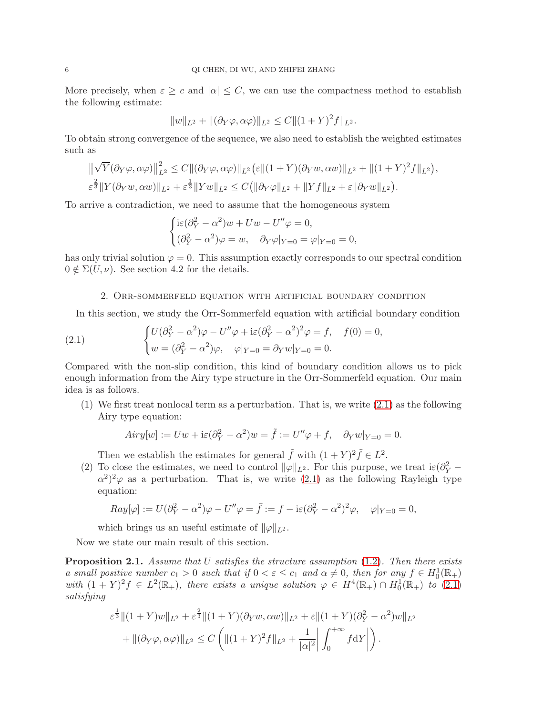More precisely, when  $\varepsilon \geq c$  and  $|\alpha| \leq C$ , we can use the compactness method to establish the following estimate:

$$
||w||_{L^{2}} + ||(\partial_{Y}\varphi, \alpha\varphi)||_{L^{2}} \leq C||(1+Y)^{2}f||_{L^{2}}.
$$

To obtain strong convergence of the sequence, we also need to establish the weighted estimates such as

$$
\|\sqrt{Y}(\partial_Y\varphi,\alpha\varphi)\|_{L^2}^2 \leq C\|(\partial_Y\varphi,\alpha\varphi)\|_{L^2} \left(\varepsilon\|(1+Y)(\partial_Yw,\alpha w)\|_{L^2} + \|(1+Y)^2f\|_{L^2}\right),
$$
  

$$
\varepsilon^{\frac{2}{3}}\|Y(\partial_Yw,\alpha w)\|_{L^2} + \varepsilon^{\frac{1}{3}}\|Yw\|_{L^2} \leq C\big(\|\partial_Y\varphi\|_{L^2} + \|Yf\|_{L^2} + \varepsilon\|\partial_Yw\|_{L^2}\big).
$$

To arrive a contradiction, we need to assume that the homogeneous system

$$
\begin{cases} \mathrm{i}\varepsilon(\partial_Y^2 - \alpha^2)w + Uw - U''\varphi = 0, \\ (\partial_Y^2 - \alpha^2)\varphi = w, \quad \partial_Y\varphi|_{Y=0} = \varphi|_{Y=0} = 0, \end{cases}
$$

has only trivial solution  $\varphi = 0$ . This assumption exactly corresponds to our spectral condition  $0 \notin \Sigma(U, \nu)$ . See section 4.2 for the details.

#### 2. Orr-sommerfeld equation with artificial boundary condition

In this section, we study the Orr-Sommerfeld equation with artificial boundary condition

<span id="page-5-0"></span>(2.1) 
$$
\begin{cases} U(\partial_Y^2 - \alpha^2)\varphi - U''\varphi + i\varepsilon(\partial_Y^2 - \alpha^2)^2\varphi = f, & f(0) = 0, \\ w = (\partial_Y^2 - \alpha^2)\varphi, & \varphi|_{Y=0} = \partial_Y w|_{Y=0} = 0. \end{cases}
$$

Compared with the non-slip condition, this kind of boundary condition allows us to pick enough information from the Airy type structure in the Orr-Sommerfeld equation. Our main idea is as follows.

 $(1)$  We first treat nonlocal term as a perturbation. That is, we write  $(2.1)$  as the following Airy type equation:

$$
Airy[w] := Uw + i\varepsilon(\partial_Y^2 - \alpha^2)w = \tilde{f} := U''\varphi + f, \quad \partial_Y w|_{Y=0} = 0.
$$

Then we establish the estimates for general  $\tilde{f}$  with  $(1 + Y)^2 \tilde{f} \in L^2$ .

(2) To close the estimates, we need to control  $\|\varphi\|_{L^2}$ . For this purpose, we treat i $\varepsilon(\partial_Y^2 - \partial_Y^2)$  $\alpha^2$ <sup>2</sup> $\varphi$  as a perturbation. That is, we write [\(2.1\)](#page-5-0) as the following Rayleigh type equation:

$$
Ray[\varphi] := U(\partial_Y^2 - \alpha^2)\varphi - U''\varphi = \bar{f} := f - i\varepsilon(\partial_Y^2 - \alpha^2)^2\varphi, \quad \varphi|_{Y=0} = 0,
$$

which brings us an useful estimate of  $\|\varphi\|_{L^2}$ .

Now we state our main result of this section.

<span id="page-5-1"></span>**Proposition 2.1.** Assume that U satisfies the structure assumption  $(1.2)$ . Then there exists a small positive number  $c_1 > 0$  such that if  $0 < \varepsilon \le c_1$  and  $\alpha \ne 0$ , then for any  $f \in H_0^1(\mathbb{R}_+)$ with  $(1 + Y)^2 f \in L^2(\mathbb{R}_+)$ , there exists a unique solution  $\varphi \in H^4(\mathbb{R}_+) \cap H_0^1(\mathbb{R}_+)$  to  $(2.1)$ satisfying

$$
\varepsilon^{\frac{1}{3}} \|(1+Y)w\|_{L^{2}} + \varepsilon^{\frac{2}{3}} \|(1+Y)(\partial_{Y}w, \alpha w)\|_{L^{2}} + \varepsilon \|(1+Y)(\partial_{Y}^{2} - \alpha^{2})w\|_{L^{2}} \n+ \|(\partial_{Y}\varphi, \alpha \varphi)\|_{L^{2}} \leq C \left( \|(1+Y)^{2}f\|_{L^{2}} + \frac{1}{|\alpha|^{2}} \left| \int_{0}^{+\infty} f \mathrm{d}Y \right| \right).
$$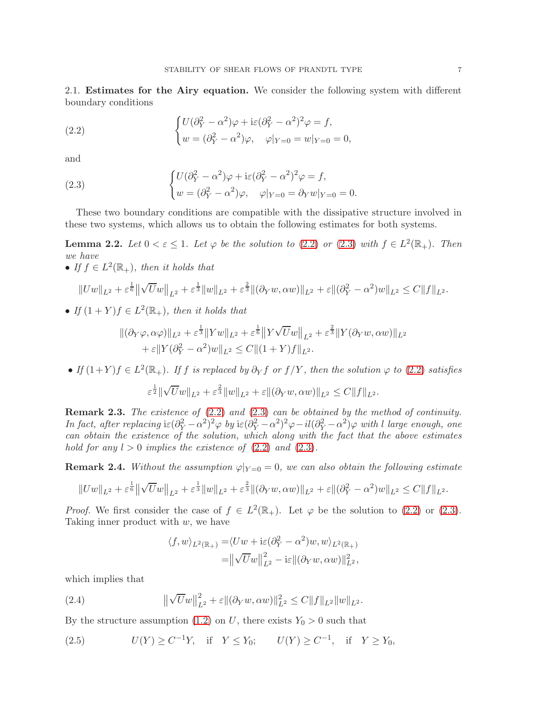2.1. Estimates for the Airy equation. We consider the following system with different boundary conditions

<span id="page-6-0"></span>(2.2) 
$$
\begin{cases} U(\partial_Y^2 - \alpha^2)\varphi + i\varepsilon(\partial_Y^2 - \alpha^2)^2\varphi = f, \\ w = (\partial_Y^2 - \alpha^2)\varphi, \quad \varphi|_{Y=0} = w|_{Y=0} = 0, \end{cases}
$$

and

<span id="page-6-1"></span>(2.3) 
$$
\begin{cases} U(\partial_Y^2 - \alpha^2)\varphi + i\varepsilon(\partial_Y^2 - \alpha^2)^2\varphi = f, \\ w = (\partial_Y^2 - \alpha^2)\varphi, \quad \varphi|_{Y=0} = \partial_Y w|_{Y=0} = 0. \end{cases}
$$

These two boundary conditions are compatible with the dissipative structure involved in these two systems, which allows us to obtain the following estimates for both systems.

<span id="page-6-4"></span>**Lemma 2.2.** Let  $0 < \varepsilon \leq 1$ . Let  $\varphi$  be the solution to [\(2.2\)](#page-6-0) or [\(2.3\)](#page-6-1) with  $f \in L^2(\mathbb{R}_+)$ . Then we have

• If  $f \in L^2(\mathbb{R}_+),$  then it holds that

$$
||Uw||_{L^{2}} + \varepsilon^{\frac{1}{6}} ||\sqrt{U}w||_{L^{2}} + \varepsilon^{\frac{1}{3}} ||w||_{L^{2}} + \varepsilon^{\frac{2}{3}} ||(\partial_{Y}w, \alpha w)||_{L^{2}} + \varepsilon ||(\partial_{Y}^{2} - \alpha^{2})w||_{L^{2}} \leq C ||f||_{L^{2}}.
$$

• If  $(1 + Y)f \in L^2(\mathbb{R}_+),$  then it holds that

$$
\begin{aligned} ||(\partial_Y \varphi, \alpha \varphi)||_{L^2} + \varepsilon^{\frac{1}{3}} ||Yw||_{L^2} + \varepsilon^{\frac{1}{6}} ||Y\sqrt{U}w||_{L^2} + \varepsilon^{\frac{2}{3}} ||Y(\partial_Y w, \alpha w)||_{L^2} \\ &+ \varepsilon ||Y(\partial_Y^2 - \alpha^2)w||_{L^2} \le C ||(1+Y)f||_{L^2} .\end{aligned}
$$

• If  $(1+Y)f \in L^2(\mathbb{R}_+)$ . If f is replaced by  $\partial_Y f$  or  $f/Y$ , then the solution  $\varphi$  to  $(2.2)$  satisfies

$$
\varepsilon^{\frac{1}{2}} \|\sqrt{U}w\|_{L^2} + \varepsilon^{\frac{2}{3}} \|w\|_{L^2} + \varepsilon \|(\partial_Y w, \alpha w)\|_{L^2} \leq C \|f\|_{L^2}.
$$

Remark 2.3. The existence of [\(2.2\)](#page-6-0) and [\(2.3\)](#page-6-1) can be obtained by the method of continuity. In fact, after replacing  $\mathrm{i}\varepsilon(\partial_Y^2-\alpha^2)^2\varphi$  by  $\mathrm{i}\varepsilon(\partial_Y^2-\alpha^2)^2\varphi-\mathrm{i} l(\partial_Y^2-\alpha^2)\varphi$  with l large enough, one can obtain the existence of the solution, which along with the fact that the above estimates hold for any  $l > 0$  implies the existence of  $(2.2)$  and  $(2.3)$ .

<span id="page-6-5"></span>**Remark 2.4.** Without the assumption  $\varphi|_{Y=0} = 0$ , we can also obtain the following estimate

$$
||Uw||_{L^{2}} + \varepsilon^{\frac{1}{6}} ||\sqrt{U}w||_{L^{2}} + \varepsilon^{\frac{1}{3}} ||w||_{L^{2}} + \varepsilon^{\frac{2}{3}} ||(\partial_Y w, \alpha w)||_{L^{2}} + \varepsilon ||(\partial_Y^2 - \alpha^2)w||_{L^{2}} \leq C ||f||_{L^{2}}.
$$

*Proof.* We first consider the case of  $f \in L^2(\mathbb{R}_+)$ . Let  $\varphi$  be the solution to [\(2.2\)](#page-6-0) or [\(2.3\)](#page-6-1). Taking inner product with  $w$ , we have

$$
\langle f, w \rangle_{L^2(\mathbb{R}_+)} = \langle Uw + i\varepsilon (\partial_Y^2 - \alpha^2) w, w \rangle_{L^2(\mathbb{R}_+)}
$$
  
=  $\left\| \sqrt{U} w \right\|_{L^2}^2 - i\varepsilon \left\| (\partial_Y w, \alpha w) \right\|_{L^2}^2$ ,

which implies that

<span id="page-6-2"></span>(2.4) 
$$
\|\sqrt{U}w\|_{L^2}^2 + \varepsilon \|(\partial_Y w, \alpha w)\|_{L^2}^2 \leq C \|f\|_{L^2} \|w\|_{L^2}.
$$

By the structure assumption [\(1.2\)](#page-0-1) on U, there exists  $Y_0 > 0$  such that

<span id="page-6-3"></span>(2.5)  $U(Y) \geq C^{-1}Y$ , if  $Y \leq Y_0$ ;  $U(Y) \geq C^{-1}$ , if  $Y \geq Y_0$ ,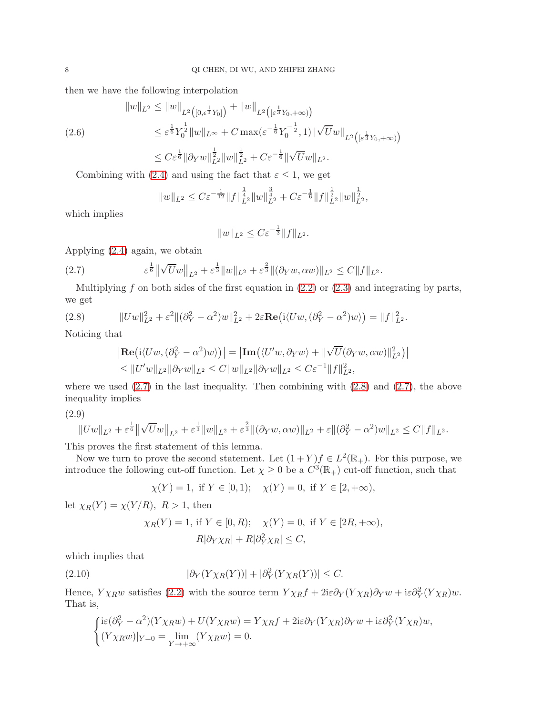then we have the following interpolation

<span id="page-7-4"></span>
$$
||w||_{L^{2}} \leq ||w||_{L^{2}([0,\epsilon^{\frac{1}{3}}Y_{0}])} + ||w||_{L^{2}([\epsilon^{\frac{1}{3}}Y_{0},+\infty))}
$$
  
\n
$$
\leq \epsilon^{\frac{1}{6}}Y_{0}^{\frac{1}{2}}||w||_{L^{\infty}} + C \max(\epsilon^{-\frac{1}{6}}Y_{0}^{-\frac{1}{2}},1)||\sqrt{U}w||_{L^{2}([\epsilon^{\frac{1}{3}}Y_{0},+\infty))}
$$
  
\n
$$
\leq C\epsilon^{\frac{1}{6}}||\partial_{Y}w||_{L^{2}}^{\frac{1}{2}}||w||_{L^{2}}^{\frac{1}{2}} + C\epsilon^{-\frac{1}{6}}||\sqrt{U}w||_{L^{2}}.
$$

Combining with [\(2.4\)](#page-6-2) and using the fact that  $\varepsilon \leq 1$ , we get

$$
||w||_{L^2} \leq C\varepsilon^{-\frac{1}{12}}||f||_{L^2}^{\frac{1}{4}}||w||_{L^2}^{\frac{3}{4}} + C\varepsilon^{-\frac{1}{6}}||f||_{L^2}^{\frac{1}{2}}||w||_{L^2}^{\frac{1}{2}},
$$

which implies

$$
||w||_{L^2} \leq C \varepsilon^{-\frac{1}{3}} ||f||_{L^2}.
$$

Applying [\(2.4\)](#page-6-2) again, we obtain

<span id="page-7-0"></span>(2.7) 
$$
\varepsilon^{\frac{1}{6}} \|\sqrt{U}w\|_{L^2} + \varepsilon^{\frac{1}{3}} \|w\|_{L^2} + \varepsilon^{\frac{2}{3}} \|(\partial_Y w, \alpha w)\|_{L^2} \leq C \|f\|_{L^2}.
$$

Multiplying f on both sides of the first equation in  $(2.2)$  or  $(2.3)$  and integrating by parts, we get

<span id="page-7-1"></span>(2.8) 
$$
||Uw||_{L^2}^2 + \varepsilon^2 ||(\partial_Y^2 - \alpha^2)w||_{L^2}^2 + 2\varepsilon \mathbf{Re}(i\langle Uw, (\partial_Y^2 - \alpha^2)w\rangle) = ||f||_{L^2}^2.
$$

Noticing that

$$
\begin{aligned} &\left| \mathbf{Re} \left( i \langle Uw, (\partial_Y^2 - \alpha^2) w \rangle \right) \right| = \left| \mathbf{Im} \left( \langle U'w, \partial_Y w \rangle + \|\sqrt{U} (\partial_Y w, \alpha w)\|_{L^2}^2 \right) \right| \\ &\leq \| U'w\|_{L^2} \|\partial_Y w\|_{L^2} \leq C \|w\|_{L^2} \|\partial_Y w\|_{L^2} \leq C \varepsilon^{-1} \|f\|_{L^2}^2, \end{aligned}
$$

where we used  $(2.7)$  in the last inequality. Then combining with  $(2.8)$  and  $(2.7)$ , the above inequality implies

<span id="page-7-2"></span>
$$
(2.9)
$$

$$
||Uw||_{L^{2}} + \varepsilon^{\frac{1}{6}} ||\sqrt{U}w||_{L^{2}} + \varepsilon^{\frac{1}{3}} ||w||_{L^{2}} + \varepsilon^{\frac{2}{3}} ||(\partial_Y w, \alpha w)||_{L^{2}} + \varepsilon ||(\partial_Y^2 - \alpha^2)w||_{L^{2}} \leq C ||f||_{L^{2}}.
$$

This proves the first statement of this lemma.

Now we turn to prove the second statement. Let  $(1+Y)f \in L^2(\mathbb{R}_+)$ . For this purpose, we introduce the following cut-off function. Let  $\chi \geq 0$  be a  $C^3(\mathbb{R}_+)$  cut-off function, such that

$$
\chi(Y) = 1
$$
, if  $Y \in [0, 1)$ ;  $\chi(Y) = 0$ , if  $Y \in [2, +\infty)$ ,

let  $\chi_R(Y) = \chi(Y/R)$ ,  $R > 1$ , then

$$
\chi_R(Y) = 1, \text{ if } Y \in [0, R); \quad \chi(Y) = 0, \text{ if } Y \in [2R, +\infty),
$$
  

$$
R|\partial_Y \chi_R| + R|\partial_Y^2 \chi_R| \le C,
$$

which implies that

<span id="page-7-3"></span>(2.10) 
$$
|\partial_Y(Y\chi_R(Y))| + |\partial_Y^2(Y\chi_R(Y))| \leq C.
$$

Hence,  $Y\chi_R w$  satisfies [\(2.2\)](#page-6-0) with the source term  $Y\chi_R f + 2i\varepsilon \partial_Y (Y\chi_R) \partial_Y w + i\varepsilon \partial_Y^2 (Y\chi_R) w$ . That is,

$$
\begin{cases}\n\text{i}\varepsilon(\partial_Y^2 - \alpha^2)(Y\chi_R w) + U(Y\chi_R w) = Y\chi_R f + 2\text{i}\varepsilon\partial_Y(Y\chi_R)\partial_Y w + \text{i}\varepsilon\partial_Y^2(Y\chi_R)w, \\
(Y\chi_R w)|_{Y=0} = \lim_{Y \to +\infty} (Y\chi_R w) = 0.\n\end{cases}
$$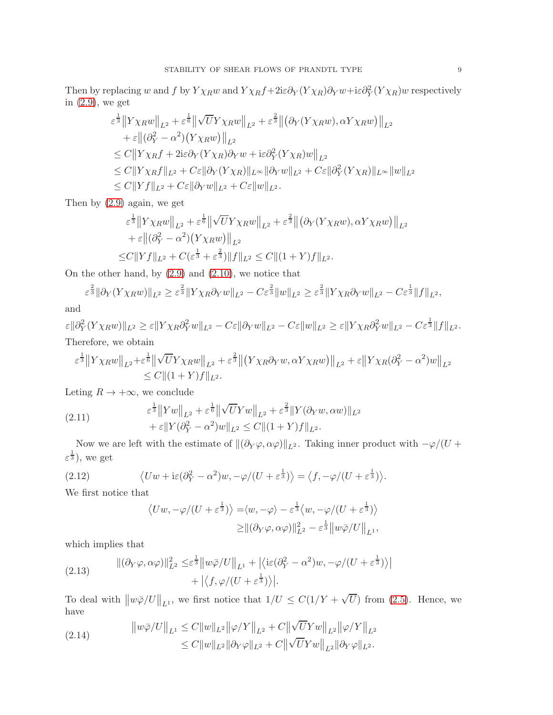Then by replacing w and f by  $Y\chi_R w$  and  $Y\chi_R f+2i\varepsilon\partial_Y(Y\chi_R)\partial_Y w+i\varepsilon\partial_Y^2(Y\chi_R)w$  respectively in [\(2.9\)](#page-7-2), we get

$$
\varepsilon^{\frac{1}{3}} \left\| Y \chi_R w \right\|_{L^2} + \varepsilon^{\frac{1}{6}} \left\| \sqrt{U} Y \chi_R w \right\|_{L^2} + \varepsilon^{\frac{2}{3}} \left\| \left( \partial_Y (Y \chi_R w), \alpha Y \chi_R w \right) \right\|_{L^2} \n+ \varepsilon \left\| (\partial_Y^2 - \alpha^2) (Y \chi_R w) \right\|_{L^2} \n\leq C \left\| Y \chi_R f + 2i\varepsilon \partial_Y (Y \chi_R) \partial_Y w + i\varepsilon \partial_Y^2 (Y \chi_R) w \right\|_{L^2} \n\leq C \left\| Y \chi_R f \right\|_{L^2} + C\varepsilon \left\| \partial_Y (Y \chi_R) \right\|_{L^\infty} \left\| \partial_Y w \right\|_{L^2} + C\varepsilon \left\| \partial_Y^2 (Y \chi_R) \right\|_{L^\infty} \left\| w \right\|_{L^2} \n\leq C \left\| Y f \right\|_{L^2} + C\varepsilon \left\| \partial_Y w \right\|_{L^2} + C\varepsilon \left\| w \right\|_{L^2} .
$$

Then by [\(2.9\)](#page-7-2) again, we get

$$
\varepsilon^{\frac{1}{3}} \|Y \chi_R w\|_{L^2} + \varepsilon^{\frac{1}{6}} \|\sqrt{U} Y \chi_R w\|_{L^2} + \varepsilon^{\frac{2}{3}} \|\left(\partial_Y (Y \chi_R w), \alpha Y \chi_R w\right)\|_{L^2} \n+ \varepsilon \|(\partial_Y^2 - \alpha^2) (Y \chi_R w) \|_{L^2} \n\leq C \|Yf\|_{L^2} + C(\varepsilon^{\frac{1}{3}} + \varepsilon^{\frac{2}{3}}) \|f\|_{L^2} \leq C \| (1+Y)f \|_{L^2}.
$$

On the other hand, by [\(2.9\)](#page-7-2) and [\(2.10\)](#page-7-3), we notice that

$$
\varepsilon^{\frac{2}{3}} \|\partial_Y (Y \chi_R w)\|_{L^2} \ge \varepsilon^{\frac{2}{3}} \|Y \chi_R \partial_Y w\|_{L^2} - C\varepsilon^{\frac{2}{3}} \|w\|_{L^2} \ge \varepsilon^{\frac{2}{3}} \|Y \chi_R \partial_Y w\|_{L^2} - C\varepsilon^{\frac{1}{3}} \|f\|_{L^2},
$$

and

 $\varepsilon \|\partial_Y^2 (Y\chi_R w)\|_{L^2} \geq \varepsilon \|Y\chi_R \partial_Y^2 w\|_{L^2} - C\varepsilon \|\partial_Y w\|_{L^2} - C\varepsilon \|w\|_{L^2} \geq \varepsilon \|Y\chi_R \partial_Y^2 w\|_{L^2} - C\varepsilon^{\frac{1}{3}} \|f\|_{L^2}.$ Therefore, we obtain

$$
\varepsilon^{\frac{1}{3}} \|Y\chi_R w\|_{L^2} + \varepsilon^{\frac{1}{6}} \|\sqrt{U}Y\chi_R w\|_{L^2} + \varepsilon^{\frac{2}{3}} \|(Y\chi_R \partial_Y w, \alpha Y \chi_R w)\|_{L^2} + \varepsilon \|Y\chi_R(\partial_Y^2 - \alpha^2)w\|_{L^2} \leq C \|(1+Y)f\|_{L^2}.
$$

Leting  $R \to +\infty$ , we conclude

<span id="page-8-2"></span>(2.11) 
$$
\varepsilon^{\frac{1}{3}} \|Yw\|_{L^{2}} + \varepsilon^{\frac{1}{6}} \|\sqrt{U}Yw\|_{L^{2}} + \varepsilon^{\frac{2}{3}} \|Y(\partial_Y w, \alpha w)\|_{L^{2}} + \varepsilon \|Y(\partial_Y^2 - \alpha^2)w\|_{L^{2}} \leq C \|(1+Y)f\|_{L^{2}}.
$$

Now we are left with the estimate of  $\|(\partial_Y \varphi, \alpha \varphi)\|_{L^2}$ . Taking inner product with  $-\varphi/(U + \alpha \varphi)$  $\varepsilon^{\frac{1}{3}}$ , we get

(2.12) 
$$
\langle Uw + i\varepsilon (\partial_Y^2 - \alpha^2)w, -\varphi/(U + \varepsilon^{\frac{1}{3}}) \rangle = \langle f, -\varphi/(U + \varepsilon^{\frac{1}{3}}) \rangle.
$$

We first notice that

$$
\langle Uw, -\varphi/(U+\varepsilon^{\frac{1}{3}}) \rangle = \langle w, -\varphi \rangle - \varepsilon^{\frac{1}{3}} \langle w, -\varphi/(U+\varepsilon^{\frac{1}{3}}) \rangle
$$
  

$$
\geq ||(\partial_Y \varphi, \alpha \varphi)||_{L^2}^2 - \varepsilon^{\frac{1}{3}} ||w\overline{\varphi}/U||_{L^1},
$$

which implies that

<span id="page-8-0"></span>(2.13) 
$$
\|(\partial_Y \varphi, \alpha \varphi)\|_{L^2}^2 \leq \varepsilon^{\frac{1}{3}} \|w\overline{\varphi}/U\|_{L^1} + |\langle i\varepsilon(\partial_Y^2 - \alpha^2)w, -\varphi/(U + \varepsilon^{\frac{1}{3}})\rangle| + |\langle f, \varphi/(U + \varepsilon^{\frac{1}{3}})\rangle|.
$$

To deal with  $\|w\bar{\varphi}/U\|_{L^1}$ , we first notice that  $1/U \leq C(1/Y + \sqrt{U})$  from [\(2.5\)](#page-6-3). Hence, we have

<span id="page-8-1"></span>(2.14) 
$$
\|w\bar{\varphi}/U\|_{L^{1}} \leq C\|w\|_{L^{2}}\|\varphi/Y\|_{L^{2}} + C\|\sqrt{U}Yw\|_{L^{2}}\|\varphi/Y\|_{L^{2}}\leq C\|w\|_{L^{2}}\|\partial_{Y}\varphi\|_{L^{2}} + C\|\sqrt{U}Yw\|_{L^{2}}\|\partial_{Y}\varphi\|_{L^{2}}.
$$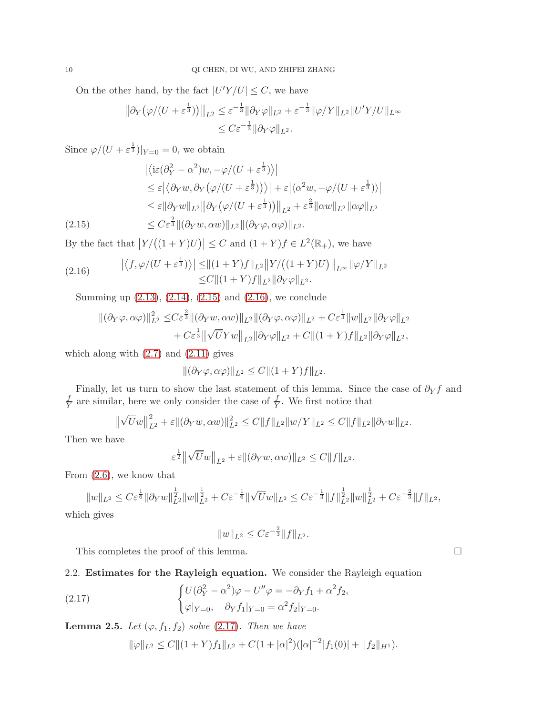On the other hand, by the fact  $|U'Y/U| \leq C$ , we have

$$
\|\partial_Y(\varphi/(U+\varepsilon^{\frac{1}{3}}))\|_{L^2} \leq \varepsilon^{-\frac{1}{3}} \|\partial_Y\varphi\|_{L^2} + \varepsilon^{-\frac{1}{3}} \|\varphi/Y\|_{L^2} \|U'Y/U\|_{L^\infty}
$$
  

$$
\leq C\varepsilon^{-\frac{1}{3}} \|\partial_Y\varphi\|_{L^2}.
$$

Since  $\varphi/(U + \varepsilon^{\frac{1}{3}})|_{Y=0} = 0$ , we obtain

$$
\begin{split}\n&\left|\langle \mathrm{i}\varepsilon(\partial_{Y}^{2} - \alpha^{2})w, -\varphi/(U + \varepsilon^{\frac{1}{3}})\rangle \right| \\
&\leq \varepsilon \left|\langle \partial_{Y}w, \partial_{Y}\left(\varphi/(U + \varepsilon^{\frac{1}{3}})\right)\rangle\right| + \varepsilon \left|\langle \alpha^{2}w, -\varphi/(U + \varepsilon^{\frac{1}{3}})\rangle\right| \\
&\leq \varepsilon \left\|\partial_{Y}w\right\|_{L^{2}} \left\|\partial_{Y}\left(\varphi/(U + \varepsilon^{\frac{1}{3}})\right)\right\|_{L^{2}} + \varepsilon^{\frac{2}{3}} \left\|\alpha w\right\|_{L^{2}} \left\|\alpha\varphi\right\|_{L^{2}} \\
&\leq C \varepsilon^{\frac{2}{3}} \left\|\left(\partial_{Y}w, \alpha w\right)\right\|_{L^{2}} \left\|\left(\partial_{Y}\varphi, \alpha\varphi\right)\right\|_{L^{2}}.\n\end{split}
$$

<span id="page-9-0"></span>By the fact that  $|Y/((1+Y)U)| \leq C$  and  $(1+Y)f \in L^2(\mathbb{R}_+),$  we have

(2.16) 
$$
\left| \langle f, \varphi/(U+\varepsilon^{\frac{1}{3}}) \rangle \right| \leq ||(1+Y)f||_{L^{2}} ||Y/((1+Y)U)||_{L^{\infty}} ||\varphi/Y||_{L^{2}} \leq C ||(1+Y)f||_{L^{2}} ||\partial_{Y}\varphi||_{L^{2}}.
$$

Summing up [\(2.13\)](#page-8-0), [\(2.14\)](#page-8-1), [\(2.15\)](#page-9-0) and [\(2.16\)](#page-9-1), we conclude

<span id="page-9-1"></span>
$$
\begin{aligned} \|(\partial_Y\varphi,\alpha\varphi)\|_{L^2}^2 \leq & C\varepsilon^{\frac{2}{3}} \|(\partial_Yw,\alpha w)\|_{L^2} \|(\partial_Y\varphi,\alpha\varphi)\|_{L^2} + C\varepsilon^{\frac{1}{3}} \|w\|_{L^2} \|\partial_Y\varphi\|_{L^2} \\ &+ C\varepsilon^{\frac{1}{3}} \|\sqrt{U}Yw\|_{L^2} \|\partial_Y\varphi\|_{L^2} + C \|(\mathbb{1}+Y)f\|_{L^2} \|\partial_Y\varphi\|_{L^2}, \end{aligned}
$$

which along with  $(2.7)$  and  $(2.11)$  gives

$$
\|(\partial_Y \varphi, \alpha \varphi)\|_{L^2} \le C \|(1+Y)f\|_{L^2}.
$$

Finally, let us turn to show the last statement of this lemma. Since the case of  $\partial_Y f$  and f  $\frac{f}{Y}$  are similar, here we only consider the case of  $\frac{f}{Y}$ . We first notice that

$$
\|\sqrt{U}w\|_{L^2}^2 + \varepsilon \|(\partial_Y w, \alpha w)\|_{L^2}^2 \leq C \|f\|_{L^2} \|w/Y\|_{L^2} \leq C \|f\|_{L^2} \|\partial_Y w\|_{L^2}.
$$

Then we have

$$
\varepsilon^{\frac{1}{2}} \left\| \sqrt{U} w \right\|_{L^2} + \varepsilon \| (\partial_Y w, \alpha w) \|_{L^2} \leq C \| f \|_{L^2}.
$$

From [\(2.6\)](#page-7-4), we know that

$$
||w||_{L^{2}} \leq C \varepsilon^{\frac{1}{6}} ||\partial_{Y} w||_{L^{2}}^{\frac{1}{2}} ||w||_{L^{2}}^{\frac{1}{2}} + C \varepsilon^{-\frac{1}{6}} ||\sqrt{U} w||_{L^{2}} \leq C \varepsilon^{-\frac{1}{3}} ||f||_{L^{2}}^{\frac{1}{2}} ||w||_{L^{2}}^{\frac{1}{2}} + C \varepsilon^{-\frac{2}{3}} ||f||_{L^{2}},
$$

which gives

$$
||w||_{L^2} \leq C\varepsilon^{-\frac{2}{3}}||f||_{L^2}.
$$

This completes the proof of this lemma.

# 2.2. Estimates for the Rayleigh equation. We consider the Rayleigh equation

<span id="page-9-2"></span>(2.17) 
$$
\begin{cases} U(\partial_Y^2 - \alpha^2)\varphi - U''\varphi = -\partial_Y f_1 + \alpha^2 f_2, \\ \varphi|_{Y=0}, \quad \partial_Y f_1|_{Y=0} = \alpha^2 f_2|_{Y=0}. \end{cases}
$$

<span id="page-9-3"></span>**Lemma 2.5.** Let  $(\varphi, f_1, f_2)$  solve  $(2.17)$ . Then we have

 $\|\varphi\|_{L^2} \leq C \|(1+Y)f_1\|_{L^2} + C(1+|\alpha|^2)(|\alpha|^{-2}|f_1(0)| + \|f_2\|_{H^1}).$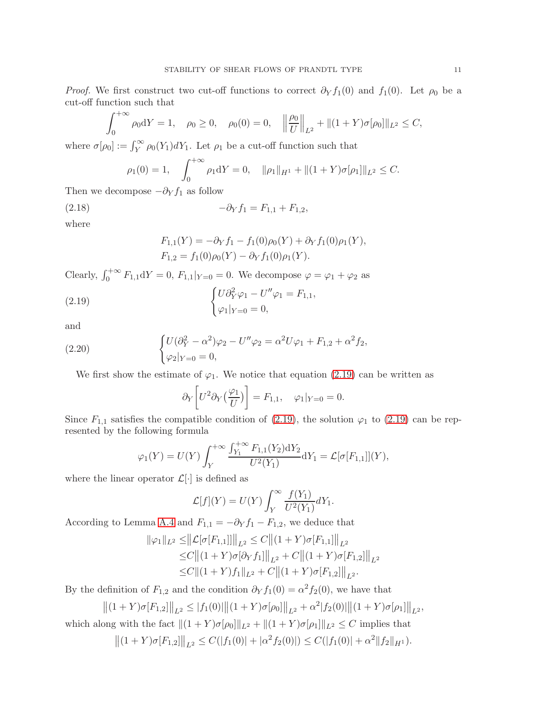*Proof.* We first construct two cut-off functions to correct  $\partial_Y f_1(0)$  and  $f_1(0)$ . Let  $\rho_0$  be a cut-off function such that

$$
\int_0^{+\infty} \rho_0 dY = 1, \quad \rho_0 \ge 0, \quad \rho_0(0) = 0, \quad \left\| \frac{\rho_0}{U} \right\|_{L^2} + \left\| (1+Y)\sigma[\rho_0] \right\|_{L^2} \le C,
$$

where  $\sigma[\rho_0] := \int_Y^{\infty} \rho_0(Y_1) dY_1$ . Let  $\rho_1$  be a cut-off function such that

$$
\rho_1(0) = 1,
$$
\n
$$
\int_0^{+\infty} \rho_1 dY = 0, \quad \|\rho_1\|_{H^1} + \|(1+Y)\sigma[\rho_1]\|_{L^2} \leq C.
$$

Then we decompose  $-\partial_Y f_1$  as follow

(2.18) 
$$
-\partial_Y f_1 = F_{1,1} + F_{1,2},
$$

where

$$
F_{1,1}(Y) = -\partial_Y f_1 - f_1(0)\rho_0(Y) + \partial_Y f_1(0)\rho_1(Y),
$$
  
\n
$$
F_{1,2} = f_1(0)\rho_0(Y) - \partial_Y f_1(0)\rho_1(Y).
$$

Clearly,  $\int_0^{+\infty} F_{1,1} dY = 0$ ,  $F_{1,1}|_{Y=0} = 0$ . We decompose  $\varphi = \varphi_1 + \varphi_2$  as

<span id="page-10-0"></span>(2.19) 
$$
\begin{cases} U \partial_Y^2 \varphi_1 - U'' \varphi_1 = F_{1,1}, \\ \varphi_1 |_{Y=0} = 0, \end{cases}
$$

and

<span id="page-10-1"></span>(2.20) 
$$
\begin{cases} U(\partial_Y^2 - \alpha^2)\varphi_2 - U''\varphi_2 = \alpha^2 U \varphi_1 + F_{1,2} + \alpha^2 f_2, \\ \varphi_2|_{Y=0} = 0, \end{cases}
$$

We first show the estimate of  $\varphi_1$ . We notice that equation [\(2.19\)](#page-10-0) can be written as

$$
\partial_Y \left[ U^2 \partial_Y \left( \frac{\varphi_1}{U} \right) \right] = F_{1,1}, \quad \varphi_1|_{Y=0} = 0.
$$

Since  $F_{1,1}$  satisfies the compatible condition of [\(2.19\)](#page-10-0), the solution  $\varphi_1$  to (2.19) can be represented by the following formula

$$
\varphi_1(Y) = U(Y) \int_Y^{+\infty} \frac{\int_{Y_1}^{+\infty} F_{1,1}(Y_2) dY_2}{U^2(Y_1)} dY_1 = \mathcal{L}[\sigma[F_{1,1}]](Y),
$$

where the linear operator  $\mathcal{L}[\cdot]$  is defined as

$$
\mathcal{L}[f](Y) = U(Y) \int_Y^{\infty} \frac{f(Y_1)}{U^2(Y_1)} dY_1.
$$

According to Lemma [A.4](#page-38-0) and  $F_{1,1} = -\partial_Y f_1 - F_{1,2}$ , we deduce that

$$
\|\varphi_1\|_{L^2} \leq \|\mathcal{L}[\sigma[F_{1,1}]]\|_{L^2} \leq C \|(1+Y)\sigma[F_{1,1}]\|_{L^2}
$$
  
\n
$$
\leq C \|(1+Y)\sigma[\partial_Y f_1]\|_{L^2} + C \|(1+Y)\sigma[F_{1,2}]\|_{L^2}
$$
  
\n
$$
\leq C \|(1+Y)f_1\|_{L^2} + C \|(1+Y)\sigma[F_{1,2}]\|_{L^2}.
$$

By the definition of  $F_{1,2}$  and the condition  $\partial_Y f_1(0) = \alpha^2 f_2(0)$ , we have that

 $||(1+Y)\sigma[F_{1,2}||_{L^2} \leq |f_1(0)||(1+Y)\sigma[\rho_0]||_{L^2} + \alpha^2|f_2(0)||(1+Y)\sigma[\rho_1]||_{L^2},$ 

which along with the fact  $||(1 + Y)\sigma[\rho_0]||_{L^2} + ||(1 + Y)\sigma[\rho_1]||_{L^2} \leq C$  implies that

 $||(1+Y)\sigma[F_{1,2}||_{L^2} \leq C(|f_1(0)|+|\alpha^2 f_2(0)|) \leq C(|f_1(0)|+\alpha^2||f_2||_{H^1}).$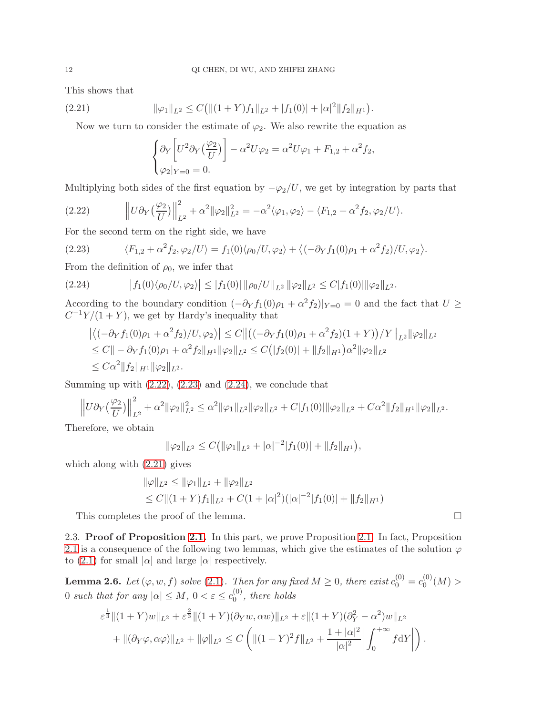This shows that

<span id="page-11-3"></span>(2.21) 
$$
\|\varphi_1\|_{L^2} \leq C \big( \|(1+Y)f_1\|_{L^2} + |f_1(0)| + |\alpha|^2 \|f_2\|_{H^1} \big).
$$

Now we turn to consider the estimate of  $\varphi_2$ . We also rewrite the equation as

$$
\begin{cases}\n\partial_Y \left[ U^2 \partial_Y \left( \frac{\varphi_2}{U} \right) \right] - \alpha^2 U \varphi_2 = \alpha^2 U \varphi_1 + F_{1,2} + \alpha^2 f_2, \\
\varphi_2 |_{Y=0} = 0.\n\end{cases}
$$

Multiplying both sides of the first equation by  $-\varphi_2/U$ , we get by integration by parts that

<span id="page-11-0"></span>(2.22) 
$$
\left\|U\partial_Y\left(\frac{\varphi_2}{U}\right)\right\|_{L^2}^2 + \alpha^2 \|\varphi_2\|_{L^2}^2 = -\alpha^2 \langle \varphi_1, \varphi_2 \rangle - \langle F_{1,2} + \alpha^2 f_2, \varphi_2/U \rangle.
$$

For the second term on the right side, we have

<span id="page-11-1"></span>(2.23) 
$$
\langle F_{1,2} + \alpha^2 f_2, \varphi_2 / U \rangle = f_1(0) \langle \rho_0 / U, \varphi_2 \rangle + \langle (-\partial_Y f_1(0)\rho_1 + \alpha^2 f_2) / U, \varphi_2 \rangle.
$$

From the definition of  $\rho_0$ , we infer that

<span id="page-11-2"></span>
$$
(2.24) \t\t |f_1(0)\langle \rho_0/U, \varphi_2\rangle| \le |f_1(0)| \|\rho_0/U\|_{L^2} \|\varphi_2\|_{L^2} \le C|f_1(0)| \|\varphi_2\|_{L^2}.
$$

According to the boundary condition  $\left(-\partial_Y f_1(0)\rho_1 + \alpha^2 f_2\right)|_{Y=0} = 0$  and the fact that  $U \ge$  $C^{-1}Y/(1+Y)$ , we get by Hardy's inequality that

$$
\left| \langle (-\partial_Y f_1(0)\rho_1 + \alpha^2 f_2) / U, \varphi_2 \rangle \right| \le C \left\| \left( (-\partial_Y f_1(0)\rho_1 + \alpha^2 f_2)(1+Y) \right) / Y \right\|_{L^2} \|\varphi_2\|_{L^2}
$$
  
\n
$$
\le C \|\varphi_2 f_1(0)\rho_1 + \alpha^2 f_2\|_{H^1} \|\varphi_2\|_{L^2} \le C \big( |f_2(0)| + \|f_2\|_{H^1} \big) \alpha^2 \|\varphi_2\|_{L^2}
$$
  
\n
$$
\le C \alpha^2 \|f_2\|_{H^1} \|\varphi_2\|_{L^2}.
$$

Summing up with  $(2.22)$ ,  $(2.23)$  and  $(2.24)$ , we conclude that

$$
\left\|U\partial_Y\left(\frac{\varphi_2}{U}\right)\right\|_{L^2}^2 + \alpha^2 \|\varphi_2\|_{L^2}^2 \le \alpha^2 \|\varphi_1\|_{L^2} \|\varphi_2\|_{L^2} + C|f_1(0)| \|\varphi_2\|_{L^2} + C\alpha^2 \|f_2\|_{H^1} \|\varphi_2\|_{L^2}.
$$

Therefore, we obtain

$$
\|\varphi_2\|_{L^2}\leq C(\|\varphi_1\|_{L^2}+|\alpha|^{-2}|f_1(0)|+\|f_2\|_{H^1}),
$$

which along with [\(2.21\)](#page-11-3) gives

$$
\|\varphi\|_{L^2} \le \|\varphi_1\|_{L^2} + \|\varphi_2\|_{L^2}
$$
  
\n
$$
\le C \|(1+Y)f_1\|_{L^2} + C(1+|\alpha|^2)(|\alpha|^{-2}|f_1(0)| + \|f_2\|_{H^1})
$$

This completes the proof of the lemma.

2.3. Proof of Proposition [2.1.](#page-5-1) In this part, we prove Proposition [2.1.](#page-5-1) In fact, Proposition [2.1](#page-5-1) is a consequence of the following two lemmas, which give the estimates of the solution  $\varphi$ to [\(2.1\)](#page-5-0) for small  $|\alpha|$  and large  $|\alpha|$  respectively.

<span id="page-11-4"></span>**Lemma 2.6.** Let  $(\varphi, w, f)$  solve [\(2.1\)](#page-5-0). Then for any fixed  $M \geq 0$ , there exist  $c_0^{(0)} = c_0^{(0)}$  $_0^{(0)}(M) >$ 0 such that for any  $|\alpha| \leq M$ ,  $0 < \varepsilon \leq c_0^{(0)}$  $\binom{0}{0}$ , there holds

$$
\varepsilon^{\frac{1}{3}} \|(1+Y)w\|_{L^{2}} + \varepsilon^{\frac{2}{3}} \|(1+Y)(\partial_{Y}w, \alpha w)\|_{L^{2}} + \varepsilon \|(1+Y)(\partial_{Y}^{2} - \alpha^{2})w\|_{L^{2}} \n+ \|(\partial_{Y}\varphi, \alpha \varphi)\|_{L^{2}} + \|\varphi\|_{L^{2}} \leq C \left( \|(1+Y)^{2}f\|_{L^{2}} + \frac{1+|\alpha|^{2}}{|\alpha|^{2}} \right) \int_{0}^{+\infty} f \mathrm{d}Y \right).
$$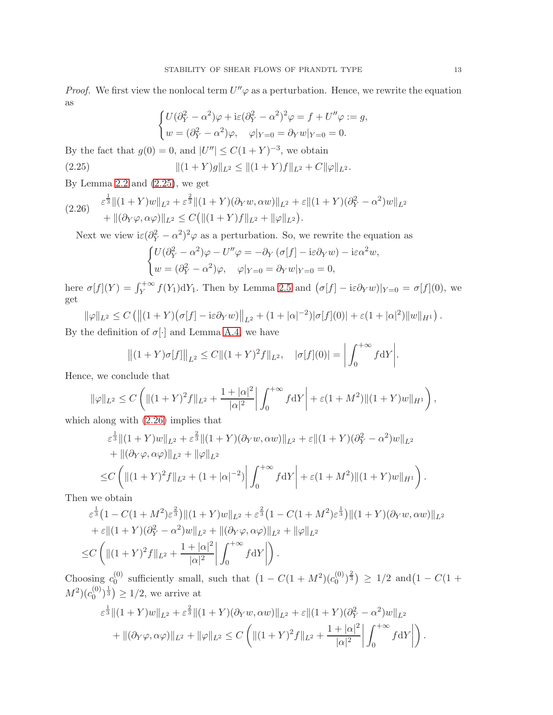*Proof.* We first view the nonlocal term  $U''\varphi$  as a perturbation. Hence, we rewrite the equation as

$$
\begin{cases} U(\partial_Y^2 - \alpha^2)\varphi + i\varepsilon(\partial_Y^2 - \alpha^2)^2\varphi = f + U''\varphi := g, \\ w = (\partial_Y^2 - \alpha^2)\varphi, \quad \varphi|_{Y=0} = \partial_Y w|_{Y=0} = 0. \end{cases}
$$

By the fact that  $g(0) = 0$ , and  $|U''| \le C(1+Y)^{-3}$ , we obtain

<span id="page-12-0"></span>(2.25) 
$$
\|(1+Y)g\|_{L^2} \leq \|(1+Y)f\|_{L^2} + C\|\varphi\|_{L^2}.
$$

By Lemma [2.2](#page-6-4) and  $(2.25)$ , we get

<span id="page-12-1"></span>
$$
(2.26) \quad \begin{aligned} \varepsilon^{\frac{1}{3}} \|(1+Y)w\|_{L^{2}} + \varepsilon^{\frac{2}{3}} \|(1+Y)(\partial_{Y}w, \alpha w)\|_{L^{2}} + \varepsilon \|(1+Y)(\partial_{Y}^{2} - \alpha^{2})w\|_{L^{2}} \\ + \|( \partial_{Y}\varphi, \alpha\varphi)\|_{L^{2}} \leq C \big( \|(1+Y)f\|_{L^{2}} + \|\varphi\|_{L^{2}} \big). \end{aligned}
$$

Next we view  $i\varepsilon(\partial_Y^2 - \alpha^2)^2 \varphi$  as a perturbation. So, we rewrite the equation as

$$
\begin{cases}\nU(\partial_Y^2 - \alpha^2)\varphi - U''\varphi = -\partial_Y(\sigma[f] - i\varepsilon\partial_Y w) - i\varepsilon\alpha^2 w, \\
w = (\partial_Y^2 - \alpha^2)\varphi, \quad \varphi|_{Y=0} = \partial_Y w|_{Y=0} = 0,\n\end{cases}
$$

here  $\sigma[f](Y) = \int_Y^{+\infty} f(Y_1) dY_1$ . Then by Lemma [2.5](#page-9-3) and  $(\sigma[f] - i\varepsilon \partial_Y w)|_{Y=0} = \sigma[f](0)$ , we get

$$
\|\varphi\|_{L^2} \le C \left( \left\| (1+Y) \left( \sigma[f] - i\varepsilon \partial_Y w \right) \right\|_{L^2} + (1+|\alpha|^{-2}) |\sigma[f](0)| + \varepsilon (1+|\alpha|^2) \|w\|_{H^1} \right).
$$
  
the definition of  $\sigma$  is not large.

By the definition of  $\sigma[\cdot]$  and Lemma [A.4,](#page-38-0) we have

$$
\|(1+Y)\sigma[f]\|_{L^2} \le C\|(1+Y)^2f\|_{L^2}, \quad |\sigma[f](0)| = \bigg|\int_0^{+\infty} f \mathrm{d}Y\bigg|.
$$

Hence, we conclude that

$$
\|\varphi\|_{L^2} \le C \left( \|(1+Y)^2 f\|_{L^2} + \frac{1+|\alpha|^2}{|\alpha|^2} \bigg| \int_0^{+\infty} f \mathrm{d}Y \bigg| + \varepsilon (1+M^2) \|(1+Y)w\|_{H^1} \right),
$$

which along with  $(2.26)$  implies that

$$
\varepsilon^{\frac{1}{3}} \|(1+Y)w\|_{L^{2}} + \varepsilon^{\frac{2}{3}} \|(1+Y)(\partial_{Y}w, \alpha w)\|_{L^{2}} + \varepsilon \|(1+Y)(\partial_{Y}^{2} - \alpha^{2})w\|_{L^{2}} \n+ \|(\partial_{Y}\varphi, \alpha\varphi)\|_{L^{2}} + \|\varphi\|_{L^{2}} \n\leq C \left( \| (1+Y)^{2}f \|_{L^{2}} + (1+|\alpha|^{-2}) \right) \int_{0}^{+\infty} f \mathrm{d}Y \Big| + \varepsilon (1+M^{2}) \|(1+Y)w\|_{H^{1}} \right).
$$

Then we obtain

$$
\varepsilon^{\frac{1}{3}} \left( 1 - C(1 + M^2) \varepsilon^{\frac{2}{3}} \right) \| (1 + Y) w \|_{L^2} + \varepsilon^{\frac{2}{3}} \left( 1 - C(1 + M^2) \varepsilon^{\frac{1}{3}} \right) \| (1 + Y)(\partial_Y w, \alpha w) \|_{L^2} \n+ \varepsilon \| (1 + Y)(\partial_Y^2 - \alpha^2) w \|_{L^2} + \|(\partial_Y \varphi, \alpha \varphi)\|_{L^2} + \|\varphi\|_{L^2} \n\leq C \left( \| (1 + Y)^2 f \|_{L^2} + \frac{1 + |\alpha|^2}{|\alpha|^2} \right) \int_0^{+\infty} f \mathrm{d}Y \right).
$$

Choosing  $c_0^{(0)}$  $\binom{0}{0}$  sufficiently small, such that  $(1 - C(1 + M^2)(c_0^{(0)})$  $\binom{0}{0}$  $\binom{2}{3}$   $\geq$  1/2 and  $\left(1 - C(1 + \frac{1}{2})\right)$  $(M^2)(c_0^{(0)}$  $\binom{0}{0}$  $\frac{1}{3}$   $\geq 1/2$ , we arrive at

$$
\varepsilon^{\frac{1}{3}} \|(1+Y)w\|_{L^{2}} + \varepsilon^{\frac{2}{3}} \|(1+Y)(\partial_{Y}w, \alpha w)\|_{L^{2}} + \varepsilon \|(1+Y)(\partial_{Y}^{2} - \alpha^{2})w\|_{L^{2}} \n+ \|(\partial_{Y}\varphi, \alpha\varphi)\|_{L^{2}} + \|\varphi\|_{L^{2}} \leq C \left( \|(1+Y)^{2}f\|_{L^{2}} + \frac{1+|\alpha|^{2}}{|\alpha|^{2}} \right) \int_{0}^{+\infty} f \mathrm{d}Y \Big| \right).
$$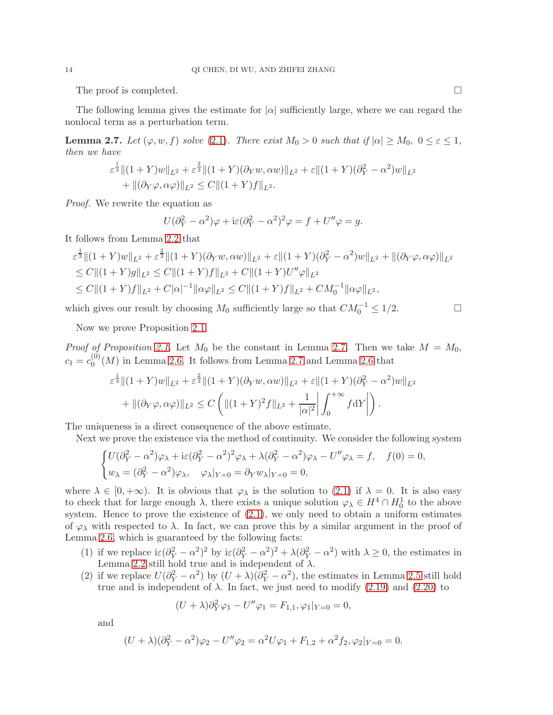The proof is completed.  $\Box$ 

The following lemma gives the estimate for  $|\alpha|$  sufficiently large, where we can regard the nonlocal term as a perturbation term.

<span id="page-13-0"></span>**Lemma 2.7.** Let  $(\varphi, w, f)$  solve [\(2.1\)](#page-5-0). There exist  $M_0 > 0$  such that if  $|\alpha| \ge M_0$ ,  $0 \le \varepsilon \le 1$ , then we have

$$
\varepsilon^{\frac{1}{3}} \|(1+Y)w\|_{L^{2}} + \varepsilon^{\frac{2}{3}} \|(1+Y)(\partial_{Y}w, \alpha w)\|_{L^{2}} + \varepsilon \|(1+Y)(\partial_{Y}^{2} - \alpha^{2})w\|_{L^{2}} + \|(\partial_{Y}\varphi, \alpha \varphi)\|_{L^{2}} \leq C \|(1+Y)f\|_{L^{2}}.
$$

Proof. We rewrite the equation as

$$
U(\partial_Y^2 - \alpha^2)\varphi + i\varepsilon(\partial_Y^2 - \alpha^2)^2\varphi = f + U''\varphi = g.
$$

It follows from Lemma [2.2](#page-6-4) that

$$
\varepsilon^{\frac{1}{3}} \|(1+Y)w\|_{L^{2}} + \varepsilon^{\frac{2}{3}} \|(1+Y)(\partial_{Y}w, \alpha w)\|_{L^{2}} + \varepsilon \|(1+Y)(\partial_{Y}^{2} - \alpha^{2})w\|_{L^{2}} + \|(\partial_{Y}\varphi, \alpha\varphi)\|_{L^{2}} \leq C \|(1+Y)g\|_{L^{2}} \leq C \|(1+Y)f\|_{L^{2}} + C \|(1+Y)U''\varphi\|_{L^{2}} \leq C \|(1+Y)f\|_{L^{2}} + C|\alpha|^{-1} \|\alpha\varphi\|_{L^{2}} \leq C \|(1+Y)f\|_{L^{2}} + CM_{0}^{-1} \|\alpha\varphi\|_{L^{2}},
$$

which gives our result by choosing  $M_0$  sufficiently large so that  $CM_0^{-1} \leq 1/2$ .

Now we prove Proposition [2.1.](#page-5-0)

*Proof of Proposition [2.1.](#page-5-0)* Let  $M_0$  be the constant in Lemma [2.7.](#page-13-0) Then we take  $M = M_0$ ,  $c_1 = c_0^{(0)}$  $_{0}^{(0)}(M)$  in Lemma [2.6.](#page-11-4) It follows from Lemma [2.7](#page-13-0) and Lemma [2.6](#page-11-4) that

$$
\varepsilon^{\frac{1}{3}} \|(1+Y)w\|_{L^{2}} + \varepsilon^{\frac{2}{3}} \|(1+Y)(\partial_{Y}w, \alpha w)\|_{L^{2}} + \varepsilon \|(1+Y)(\partial_{Y}^{2} - \alpha^{2})w\|_{L^{2}} \n+ \|(\partial_{Y}\varphi, \alpha\varphi)\|_{L^{2}} \leq C \left( \|(1+Y)^{2}f\|_{L^{2}} + \frac{1}{|\alpha|^{2}} \left| \int_{0}^{+\infty} f \mathrm{d}Y \right| \right).
$$

The uniqueness is a direct consequence of the above estimate.

Next we prove the existence via the method of continuity. We consider the following system

$$
\begin{cases}\nU(\partial_Y^2 - \alpha^2)\varphi_\lambda + i\varepsilon(\partial_Y^2 - \alpha^2)^2\varphi_\lambda + \lambda(\partial_Y^2 - \alpha^2)\varphi_\lambda - U''\varphi_\lambda = f, & f(0) = 0, \\
w_\lambda = (\partial_Y^2 - \alpha^2)\varphi_\lambda, & \varphi_\lambda|_{Y=0} = \partial_Y w_\lambda|_{Y=0} = 0,\n\end{cases}
$$

where  $\lambda \in [0, +\infty)$ . It is obvious that  $\varphi_{\lambda}$  is the solution to [\(2.1\)](#page-5-0) if  $\lambda = 0$ . It is also easy to check that for large enough  $\lambda$ , there exists a unique solution  $\varphi_{\lambda} \in H^4 \cap H_0^1$  to the above system. Hence to prove the existence of  $(2.1)$ , we only need to obtain a uniform estimates of  $\varphi_{\lambda}$  with respected to  $\lambda$ . In fact, we can prove this by a similar argument in the proof of Lemma [2.6,](#page-11-4) which is guaranteed by the following facts:

- (1) if we replace  $i\varepsilon(\partial_Y^2 \alpha^2)^2$  by  $i\varepsilon(\partial_Y^2 \alpha^2)^2 + \lambda(\partial_Y^2 \alpha^2)$  with  $\lambda \ge 0$ , the estimates in Lemma [2.2](#page-6-4) still hold true and is independent of  $\lambda$ .
- (2) if we replace  $U(\partial_Y^2 \alpha^2)$  by  $(U + \lambda)(\partial_Y^2 \alpha^2)$ , the estimates in Lemma [2.5](#page-9-3) still hold true and is independent of  $\lambda$ . In fact, we just need to modify [\(2.19\)](#page-10-0) and [\(2.20\)](#page-10-1) to

$$
(U + \lambda)\partial_Y^2 \varphi_1 - U''\varphi_1 = F_{1,1}, \varphi_1|_{Y=0} = 0,
$$

and

$$
(U + \lambda)(\partial_Y^2 - \alpha^2)\varphi_2 - U''\varphi_2 = \alpha^2 U\varphi_1 + F_{1,2} + \alpha^2 f_2, \varphi_2|_{Y=0} = 0.
$$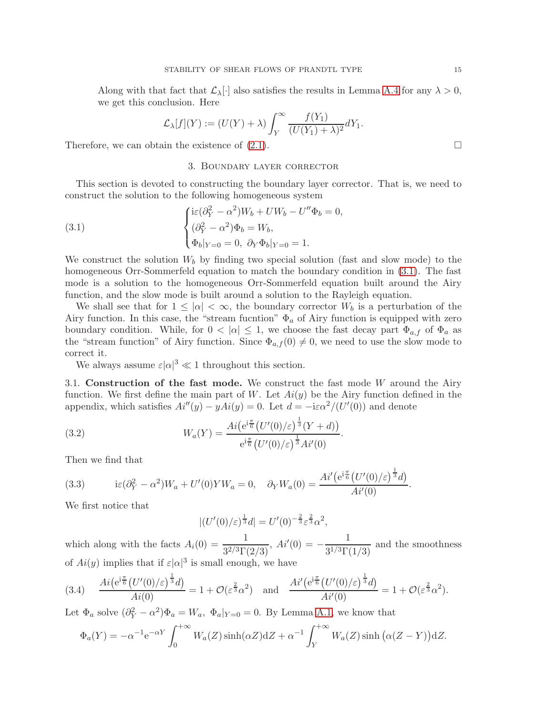Along with that fact that  $\mathcal{L}_{\lambda}[\cdot]$  also satisfies the results in Lemma [A.4](#page-38-0) for any  $\lambda > 0$ , we get this conclusion. Here

$$
\mathcal{L}_{\lambda}[f](Y) := (U(Y) + \lambda) \int_{Y}^{\infty} \frac{f(Y_1)}{(U(Y_1) + \lambda)^2} dY_1.
$$

Therefore, we can obtain the existence of  $(2.1)$ .

## 3. Boundary layer corrector

This section is devoted to constructing the boundary layer corrector. That is, we need to construct the solution to the following homogeneous system

<span id="page-14-0"></span>(3.1) 
$$
\begin{cases} \mathrm{i}\varepsilon(\partial_Y^2 - \alpha^2)W_b + UW_b - U''\Phi_b = 0, \\ (\partial_Y^2 - \alpha^2)\Phi_b = W_b, \\ \Phi_b|_{Y=0} = 0, \ \partial_Y\Phi_b|_{Y=0} = 1. \end{cases}
$$

We construct the solution  $W_b$  by finding two special solution (fast and slow mode) to the homogeneous Orr-Sommerfeld equation to match the boundary condition in [\(3.1\)](#page-14-0). The fast mode is a solution to the homogeneous Orr-Sommerfeld equation built around the Airy function, and the slow mode is built around a solution to the Rayleigh equation.

We shall see that for  $1 \leq |\alpha| < \infty$ , the boundary corrector  $W_b$  is a perturbation of the Airy function. In this case, the "stream fucntion"  $\Phi_a$  of Airy function is equipped with zero boundary condition. While, for  $0 < |\alpha| \leq 1$ , we choose the fast decay part  $\Phi_{a,f}$  of  $\Phi_a$  as the "stream function" of Airy function. Since  $\Phi_{a,f}(0)\neq 0$ , we need to use the slow mode to correct it.

We always assume  $\varepsilon |\alpha|^3 \ll 1$  throughout this section.

3.1. Construction of the fast mode. We construct the fast mode  $W$  around the Airy function. We first define the main part of W. Let  $Ai(y)$  be the Airy function defined in the appendix, which satisfies  $Ai''(y) - yAi(y) = 0$ . Let  $d = -i\varepsilon \alpha^2 / (U'(0))$  and denote

(3.2) 
$$
W_a(Y) = \frac{Ai(e^{i\frac{\pi}{6}}(U'(0)/\varepsilon)^{\frac{1}{3}}(Y+d))}{e^{i\frac{\pi}{6}}(U'(0)/\varepsilon)^{\frac{1}{3}}Ai'(0)}.
$$

Then we find that

(3.3) 
$$
i\varepsilon (\partial_Y^2 - \alpha^2) W_a + U'(0) Y W_a = 0, \quad \partial_Y W_a(0) = \frac{Ai' (e^{i\frac{\pi}{6}} (U'(0)/\varepsilon)^{\frac{1}{3}} d)}{Ai'(0)}.
$$

We first notice that

$$
|(U'(0)/\varepsilon)^{\frac{1}{3}}d|=U'(0)^{-\frac{2}{3}}\varepsilon^{\frac{2}{3}}\alpha^2,
$$

which along with the facts  $A_i(0) = \frac{1}{3^{2/3} \Gamma(2/3)}$ ,  $Ai'(0) = -\frac{1}{3^{1/3} \Gamma(3/3)}$  $\frac{1}{3^{1/3}\Gamma(1/3)}$  and the smoothness of  $Ai(y)$  implies that if  $\varepsilon |\alpha|^3$  is small enough, we have

<span id="page-14-1"></span>
$$
(3.4) \quad \frac{Ai\big(e^{i\frac{\pi}{6}}\big(U'(0)/\varepsilon\big)^{\frac{1}{3}}d\big)}{Ai(0)} = 1 + \mathcal{O}(\varepsilon^{\frac{2}{3}}\alpha^2) \quad \text{and} \quad \frac{Ai'\big(e^{i\frac{\pi}{6}}\big(U'(0)/\varepsilon\big)^{\frac{1}{3}}d\big)}{Ai'(0)} = 1 + \mathcal{O}(\varepsilon^{\frac{2}{3}}\alpha^2).
$$

Let  $\Phi_a$  solve  $(\partial_Y^2 - \alpha^2)\Phi_a = W_a$ ,  $\Phi_a|_{Y=0} = 0$ . By Lemma [A.1,](#page-35-0) we know that

$$
\Phi_a(Y) = -\alpha^{-1} e^{-\alpha Y} \int_0^{+\infty} W_a(Z) \sinh(\alpha Z) dZ + \alpha^{-1} \int_Y^{+\infty} W_a(Z) \sinh(\alpha (Z - Y)) dZ.
$$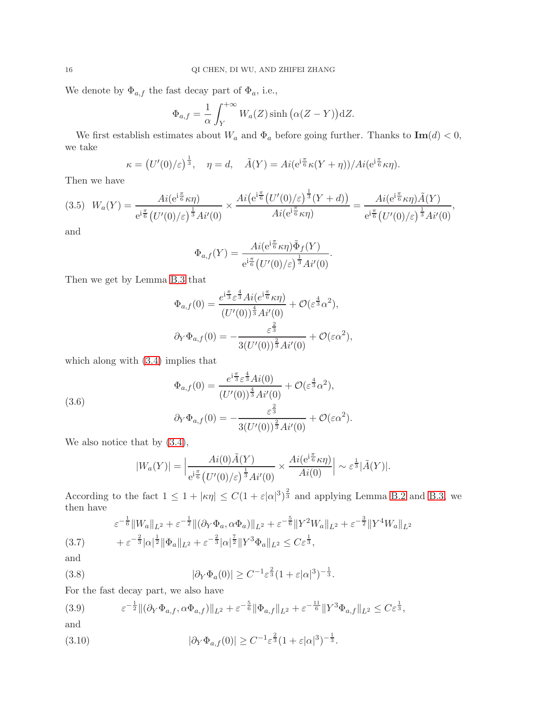We denote by  $\Phi_{a,f}$  the fast decay part of  $\Phi_a$ , i.e.,

$$
\Phi_{a,f} = \frac{1}{\alpha} \int_{Y}^{+\infty} W_a(Z) \sinh\big(\alpha(Z-Y)\big) dZ.
$$

We first establish estimates about  $W_a$  and  $\Phi_a$  before going further. Thanks to  $\text{Im}(d) < 0$ , we take

$$
\kappa = (U'(0)/\varepsilon)^{\frac{1}{3}}, \quad \eta = d, \quad \tilde{A}(Y) = Ai(e^{i\frac{\pi}{6}}\kappa(Y+\eta))/Ai(e^{i\frac{\pi}{6}}\kappa\eta).
$$

Then we have

$$
(3.5) \ W_a(Y) = \frac{Ai(e^{i\frac{\pi}{6}}\kappa\eta)}{e^{i\frac{\pi}{6}}(U'(0)/\varepsilon)^{\frac{1}{3}}Ai'(0)} \times \frac{Ai(e^{i\frac{\pi}{6}}(U'(0)/\varepsilon)^{\frac{1}{3}}(Y+d))}{Ai(e^{i\frac{\pi}{6}}\kappa\eta)} = \frac{Ai(e^{i\frac{\pi}{6}}\kappa\eta)\tilde{A}(Y)}{e^{i\frac{\pi}{6}}(U'(0)/\varepsilon)^{\frac{1}{3}}Ai'(0)},
$$

and

$$
\Phi_{a,f}(Y) = \frac{Ai(e^{i\frac{\pi}{6}}\kappa\eta)\tilde{\Phi}_f(Y)}{e^{i\frac{\pi}{6}}\left(U'(0)/\varepsilon\right)^{\frac{1}{3}}Ai'(0)}
$$

.

Then we get by Lemma [B.3](#page-41-0) that

$$
\Phi_{a,f}(0) = \frac{e^{i\frac{\pi}{3}}\varepsilon^{\frac{4}{3}}Ai(e^{i\frac{\pi}{6}}\kappa\eta)}{(U'(0))^{\frac{4}{3}}Ai'(0)} + \mathcal{O}(\varepsilon^{\frac{4}{3}}\alpha^2),
$$
  

$$
\partial_Y \Phi_{a,f}(0) = -\frac{\varepsilon^{\frac{2}{3}}}{3(U'(0))^{\frac{2}{3}}Ai'(0)} + \mathcal{O}(\varepsilon\alpha^2),
$$

which along with [\(3.4\)](#page-14-1) implies that

<span id="page-15-3"></span>(3.6)  
\n
$$
\Phi_{a,f}(0) = \frac{e^{i\frac{\pi}{3}} \varepsilon^{\frac{4}{3}} Ai(0)}{(U'(0))^{\frac{4}{3}} Ai'(0)} + \mathcal{O}(\varepsilon^{\frac{4}{3}} \alpha^2),
$$
\n
$$
\partial_Y \Phi_{a,f}(0) = -\frac{\varepsilon^{\frac{2}{3}}}{3(U'(0))^{\frac{2}{3}} Ai'(0)} + \mathcal{O}(\varepsilon \alpha^2).
$$

We also notice that by  $(3.4)$ ,

$$
|W_a(Y)| = \left| \frac{Ai(0)\tilde{A}(Y)}{e^{i\frac{\pi}{6}} (U'(0)/\varepsilon)^{\frac{1}{3}} Ai'(0)} \times \frac{Ai(e^{i\frac{\pi}{6}} \kappa \eta)}{Ai(0)} \right| \sim \varepsilon^{\frac{1}{3}} |\tilde{A}(Y)|.
$$

According to the fact  $1 \leq 1 + |\kappa \eta| \leq C(1 + \varepsilon |\alpha|^3)^{\frac{2}{3}}$  and applying Lemma [B.2](#page-39-0) and [B.3,](#page-41-0) we then have

<span id="page-15-0"></span>
$$
\varepsilon^{-\frac{1}{6}} \|W_a\|_{L^2} + \varepsilon^{-\frac{1}{2}} \|(\partial_Y \Phi_a, \alpha \Phi_a)\|_{L^2} + \varepsilon^{-\frac{5}{6}} \|Y^2 W_a\|_{L^2} + \varepsilon^{-\frac{3}{2}} \|Y^4 W_a\|_{L^2}
$$
  
(3.7) 
$$
+ \varepsilon^{-\frac{2}{3}} |\alpha|^{\frac{1}{2}} \|\Phi_a\|_{L^2} + \varepsilon^{-\frac{2}{3}} |\alpha|^{\frac{7}{2}} \|Y^3 \Phi_a\|_{L^2} \le C \varepsilon^{\frac{1}{3}},
$$

and

<span id="page-15-2"></span>(3.8) 
$$
|\partial_Y \Phi_a(0)| \geq C^{-1} \varepsilon^{\frac{2}{3}} (1 + \varepsilon |\alpha|^3)^{-\frac{1}{3}}.
$$

For the fast decay part, we also have

<span id="page-15-1"></span>(3.9) 
$$
\varepsilon^{-\frac{1}{2}} \| (\partial_Y \Phi_{a,f}, \alpha \Phi_{a,f}) \|_{L^2} + \varepsilon^{-\frac{5}{6}} \| \Phi_{a,f} \|_{L^2} + \varepsilon^{-\frac{11}{6}} \| Y^3 \Phi_{a,f} \|_{L^2} \leq C \varepsilon^{\frac{1}{3}},
$$
and

(3.10) 
$$
|\partial_Y \Phi_{a,f}(0)| \geq C^{-1} \varepsilon^{\frac{2}{3}} (1 + \varepsilon |\alpha|^3)^{-\frac{1}{3}}.
$$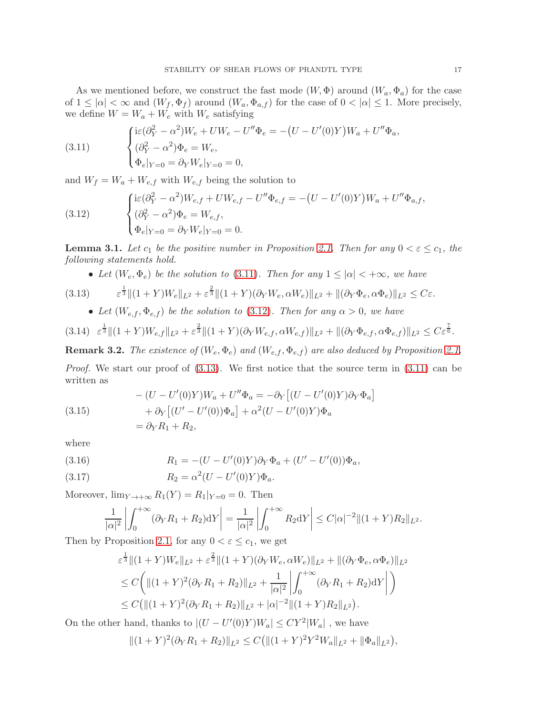As we mentioned before, we construct the fast mode  $(W, \Phi)$  around  $(W_a, \Phi_a)$  for the case of  $1 \leq |\alpha| < \infty$  and  $(W_f, \Phi_f)$  around  $(W_a, \Phi_{a,f})$  for the case of  $0 < |\alpha| \leq 1$ . More precisely, we define  $W=W_a+W_e$  with  $W_e$  satisfying

<span id="page-16-0"></span>(3.11) 
$$
\begin{cases} \mathrm{i}\varepsilon(\partial_Y^2 - \alpha^2)W_e + UW_e - U''\Phi_e = -(U - U'(0)Y)W_a + U''\Phi_a, \\ (\partial_Y^2 - \alpha^2)\Phi_e = W_e, \\ \Phi_e|_{Y=0} = \partial_Y W_e|_{Y=0} = 0, \end{cases}
$$

and  $W_f = W_a + W_{e,f}$  with  $W_{e,f}$  being the solution to

<span id="page-16-1"></span>(3.12) 
$$
\begin{cases} \mathrm{i}\varepsilon(\partial_Y^2 - \alpha^2)W_{e,f} + UW_{e,f} - U''\Phi_{e,f} = -(U - U'(0)Y)W_a + U''\Phi_{a,f}, \\ (\partial_Y^2 - \alpha^2)\Phi_e = W_{e,f}, \\ \Phi_e|_{Y=0} = \partial_Y W_e|_{Y=0} = 0. \end{cases}
$$

**Lemma 3.1.** Let  $c_1$  be the positive number in Proposition [2.1.](#page-5-1) Then for any  $0 < \varepsilon \leq c_1$ , the following statements hold.

• Let  $(W_e, \Phi_e)$  be the solution to [\(3.11\)](#page-16-0). Then for any  $1 \leq |\alpha| < +\infty$ , we have

<span id="page-16-2"></span>
$$
(3.13) \qquad \qquad \varepsilon^{\frac{1}{3}} \|(1+Y)W_e\|_{L^2} + \varepsilon^{\frac{2}{3}} \|(1+Y)(\partial_Y W_e, \alpha W_e)\|_{L^2} + \|(\partial_Y \Phi_e, \alpha \Phi_e)\|_{L^2} \leq C\varepsilon.
$$

• Let  $(W_{e,f}, \Phi_{e,f})$  be the solution to [\(3.12\)](#page-16-1). Then for any  $\alpha > 0$ , we have

<span id="page-16-3"></span>
$$
(3.14) \ \ \varepsilon^{\frac{1}{3}} \|(1+Y)W_{e,f}\|_{L^{2}} + \varepsilon^{\frac{2}{3}} \|(1+Y)(\partial_{Y}W_{e,f},\alpha W_{e,f})\|_{L^{2}} + \|(\partial_{Y}\Phi_{e,f},\alpha\Phi_{e,f})\|_{L^{2}} \leq C\varepsilon^{\frac{7}{6}}.
$$

**Remark 3.2.** The existence of  $(W_e, \Phi_e)$  and  $(W_{e,f}, \Phi_{e,f})$  are also deduced by Proposition [2.1.](#page-5-1)

Proof. We start our proof of  $(3.13)$ . We first notice that the source term in  $(3.11)$  can be written as

(3.15) 
$$
-(U - U'(0)Y)W_a + U''\Phi_a = -\partial_Y [(U - U'(0)Y)\partial_Y\Phi_a]
$$

$$
+ \partial_Y [(U' - U'(0))\Phi_a] + \alpha^2 (U - U'(0)Y)\Phi_a
$$

$$
= \partial_Y R_1 + R_2,
$$

where

(3.16) 
$$
R_1 = -(U - U'(0)Y)\partial_Y \Phi_a + (U' - U'(0))\Phi_a,
$$

(3.17) 
$$
R_2 = \alpha^2 (U - U'(0)Y)\Phi_a.
$$

Moreover,  $\lim_{Y \to +\infty} R_1(Y) = R_1|_{Y=0} = 0$ . Then

$$
\frac{1}{|\alpha|^2} \left| \int_0^{+\infty} (\partial_Y R_1 + R_2) dY \right| = \frac{1}{|\alpha|^2} \left| \int_0^{+\infty} R_2 dY \right| \leq C |\alpha|^{-2} \|(1+Y)R_2\|_{L^2}.
$$

Then by Proposition [2.1,](#page-5-1) for any  $0 < \varepsilon \leq c_1$ , we get

$$
\varepsilon^{\frac{1}{3}} \|(1+Y)W_{e}\|_{L^{2}} + \varepsilon^{\frac{2}{3}} \|(1+Y)(\partial_{Y}W_{e}, \alpha W_{e})\|_{L^{2}} + \|(\partial_{Y}\Phi_{e}, \alpha\Phi_{e})\|_{L^{2}} \n\leq C \bigg( \|(1+Y)^{2}(\partial_{Y}R_{1}+R_{2})\|_{L^{2}} + \frac{1}{|\alpha|^{2}} \bigg| \int_{0}^{+\infty} (\partial_{Y}R_{1}+R_{2}) dY \bigg| \bigg) \n\leq C \big( \|(1+Y)^{2}(\partial_{Y}R_{1}+R_{2})\|_{L^{2}} + |\alpha|^{-2} \|(1+Y)R_{2}\|_{L^{2}} \bigg).
$$

On the other hand, thanks to  $|(U - U'(0)Y)W_a| \leq CY^2|W_a|$ , we have

$$
||(1+Y)^2(\partial_Y R_1+R_2)||_{L^2}\leq C(||(1+Y)^2Y^2W_a||_{L^2}+||\Phi_a||_{L^2}),
$$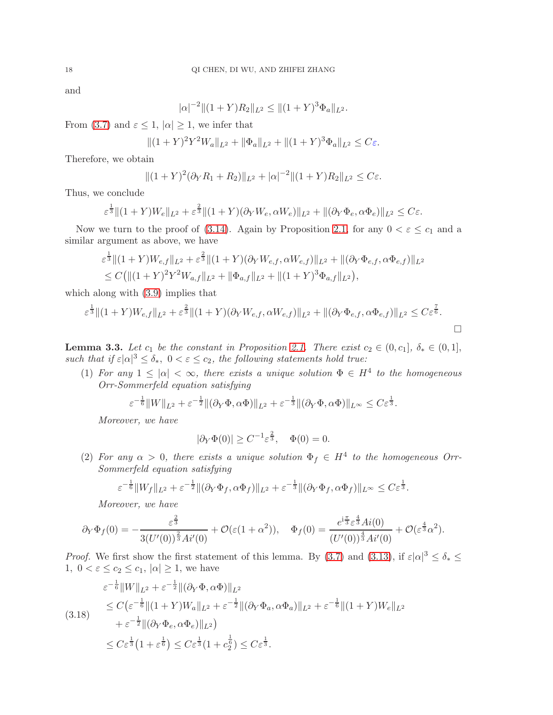and

$$
|\alpha|^{-2} \|(1+Y)R_2\|_{L^2} \le \|(1+Y)^3 \Phi_a\|_{L^2}.
$$

From [\(3.7\)](#page-15-0) and  $\varepsilon \leq 1$ ,  $|\alpha| \geq 1$ , we infer that

$$
\|(1+Y)^2Y^2W_a\|_{L^2} + \|\Phi_a\|_{L^2} + \|(1+Y)^3\Phi_a\|_{L^2} \leq C\varepsilon.
$$

Therefore, we obtain

$$
||(1+Y)^2(\partial_Y R_1+R_2)||_{L^2}+|\alpha|^{-2}||(1+Y)R_2||_{L^2}\leq C\varepsilon.
$$

Thus, we conclude

 $111$ 

$$
\varepsilon^{\frac{1}{3}} \|(1+Y)W_e\|_{L^2} + \varepsilon^{\frac{2}{3}} \|(1+Y)(\partial_Y W_e, \alpha W_e)\|_{L^2} + \|(\partial_Y \Phi_e, \alpha \Phi_e)\|_{L^2} \leq C\varepsilon.
$$

Now we turn to the proof of [\(3.14\)](#page-16-3). Again by Proposition [2.1,](#page-5-1) for any  $0 < \varepsilon \leq c_1$  and a similar argument as above, we have

$$
\varepsilon^{\frac{1}{3}} \|(1+Y)W_{e,f}\|_{L^{2}} + \varepsilon^{\frac{2}{3}} \|(1+Y)(\partial_{Y}W_{e,f}, \alpha W_{e,f})\|_{L^{2}} + \|(\partial_{Y}\Phi_{e,f}, \alpha \Phi_{e,f})\|_{L^{2}} \n\leq C \big( \|(1+Y)^{2}Y^{2}W_{a,f}\|_{L^{2}} + \|\Phi_{a,f}\|_{L^{2}} + \|(1+Y)^{3}\Phi_{a,f}\|_{L^{2}} \big),
$$

which along with [\(3.9\)](#page-15-1) implies that

$$
\varepsilon^{\frac{1}{3}} \|(1+Y)W_{e,f}\|_{L^{2}} + \varepsilon^{\frac{2}{3}} \|(1+Y)(\partial_{Y}W_{e,f},\alpha W_{e,f})\|_{L^{2}} + \|(\partial_{Y}\Phi_{e,f},\alpha\Phi_{e,f})\|_{L^{2}} \leq C\varepsilon^{\frac{7}{6}}.
$$

<span id="page-17-1"></span>**Lemma 3.3.** Let  $c_1$  be the constant in Proposition [2.1.](#page-5-1) There exist  $c_2 \in (0, c_1], \delta_* \in (0, 1],$ such that if  $\varepsilon |\alpha|^3 \leq \delta_*$ ,  $0 < \varepsilon \leq c_2$ , the following statements hold true:

(1) For any  $1 \leq |\alpha| < \infty$ , there exists a unique solution  $\Phi \in H^4$  to the homogeneous Orr-Sommerfeld equation satisfying

$$
\varepsilon^{-\frac{1}{6}}\|W\|_{L^2} + \varepsilon^{-\frac{1}{2}} \|(\partial_Y \Phi, \alpha \Phi)\|_{L^2} + \varepsilon^{-\frac{1}{3}} \|(\partial_Y \Phi, \alpha \Phi)\|_{L^\infty} \leq C \varepsilon^{\frac{1}{3}}.
$$

Moreover, we have

$$
|\partial_Y \Phi(0)| \ge C^{-1} \varepsilon^{\frac{2}{3}}, \quad \Phi(0) = 0.
$$

(2) For any  $\alpha > 0$ , there exists a unique solution  $\Phi_f \in H^4$  to the homogeneous Orr-Sommerfeld equation satisfying

$$
\varepsilon^{-\frac{1}{6}} \|W_f\|_{L^2} + \varepsilon^{-\frac{1}{2}} \|(\partial_Y \Phi_f, \alpha \Phi_f)\|_{L^2} + \varepsilon^{-\frac{1}{3}} \|(\partial_Y \Phi_f, \alpha \Phi_f)\|_{L^\infty} \leq C \varepsilon^{\frac{1}{3}}.
$$

Moreover, we have

$$
\partial_Y \Phi_f(0) = -\frac{\varepsilon^{\frac{2}{3}}}{3(U'(0))^{\frac{2}{3}}Ai'(0)} + \mathcal{O}(\varepsilon(1+\alpha^2)), \quad \Phi_f(0) = \frac{e^{i\frac{\pi}{3}}\varepsilon^{\frac{4}{3}}Ai(0)}{(U'(0))^{\frac{4}{3}}Ai'(0)} + \mathcal{O}(\varepsilon^{\frac{4}{3}}\alpha^2).
$$

*Proof.* We first show the first statement of this lemma. By [\(3.7\)](#page-15-0) and [\(3.13\)](#page-16-2), if  $\varepsilon |\alpha|^3 \leq \delta_* \leq$ 1,  $0 < \varepsilon \leq c_2 \leq c_1$ ,  $|\alpha| \geq 1$ , we have

<span id="page-17-0"></span>
$$
\varepsilon^{-\frac{1}{6}} \|W\|_{L^2} + \varepsilon^{-\frac{1}{2}} \|(\partial_Y \Phi, \alpha \Phi)\|_{L^2}
$$
  
\n
$$
\leq C \big( \varepsilon^{-\frac{1}{6}} \| (1+Y) W_a \|_{L^2} + \varepsilon^{-\frac{1}{2}} \|(\partial_Y \Phi_a, \alpha \Phi_a)\|_{L^2} + \varepsilon^{-\frac{1}{6}} \| (1+Y) W_e \|_{L^2}
$$
  
\n
$$
+ \varepsilon^{-\frac{1}{2}} \|(\partial_Y \Phi_e, \alpha \Phi_e)\|_{L^2} \big)
$$
  
\n
$$
\leq C \varepsilon^{\frac{1}{3}} (1 + \varepsilon^{\frac{1}{6}}) \leq C \varepsilon^{\frac{1}{3}} (1 + c_2^{\frac{1}{6}}) \leq C \varepsilon^{\frac{1}{3}}.
$$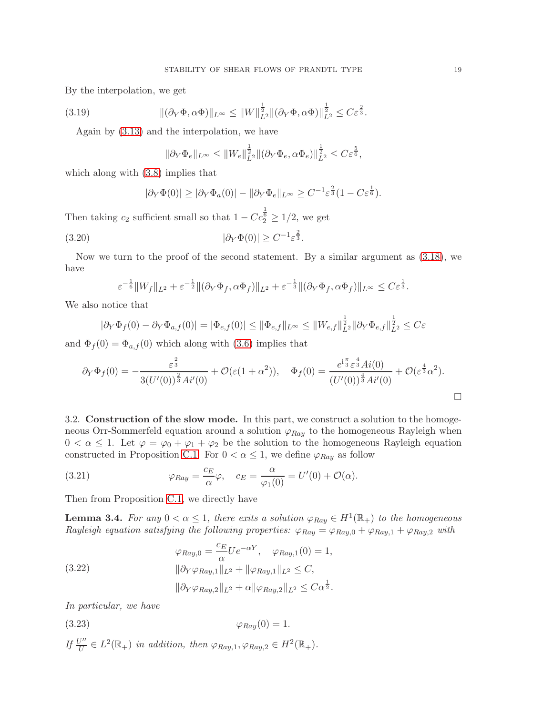By the interpolation, we get

(3.19) 
$$
\|(\partial_Y \Phi, \alpha \Phi)\|_{L^\infty} \le \|W\|_{L^2}^{\frac{1}{2}} \|(\partial_Y \Phi, \alpha \Phi)\|_{L^2}^{\frac{1}{2}} \le C\varepsilon^{\frac{2}{3}}.
$$

Again by [\(3.13\)](#page-16-2) and the interpolation, we have

$$
\|\partial_Y \Phi_e\|_{L^\infty} \le \|W_e\|_{L^2}^{\frac{1}{2}} \|(\partial_Y \Phi_e, \alpha \Phi_e)\|_{L^2}^{\frac{1}{2}} \le C\varepsilon^{\frac{5}{6}},
$$

which along with [\(3.8\)](#page-15-2) implies that

$$
|\partial_Y \Phi(0)| \ge |\partial_Y \Phi_a(0)| - \|\partial_Y \Phi_e\|_{L^\infty} \ge C^{-1} \varepsilon^{\frac{2}{3}} (1 - C \varepsilon^{\frac{1}{6}}).
$$

Then taking  $c_2$  sufficient small so that  $1 - C c_2^{\frac{1}{6}} \geq 1/2$ , we get

(3.20) 
$$
|\partial_Y \Phi(0)| \ge C^{-1} \varepsilon^{\frac{2}{3}}.
$$

Now we turn to the proof of the second statement. By a similar argument as [\(3.18\)](#page-17-0), we have

$$
\varepsilon^{-\frac{1}{6}}\|W_f\|_{L^2} + \varepsilon^{-\frac{1}{2}} \|(\partial_Y \Phi_f, \alpha \Phi_f)\|_{L^2} + \varepsilon^{-\frac{1}{3}} \|(\partial_Y \Phi_f, \alpha \Phi_f)\|_{L^\infty} \leq C \varepsilon^{\frac{1}{3}}.
$$

We also notice that

$$
|\partial_Y \Phi_f(0) - \partial_Y \Phi_{a,f}(0)| = |\Phi_{e,f}(0)| \le ||\Phi_{e,f}||_{L^{\infty}} \le ||W_{e,f}||_{L^2}^{\frac{1}{2}} ||\partial_Y \Phi_{e,f}||_{L^2}^{\frac{1}{2}} \le C\varepsilon
$$

and  $\Phi_f(0) = \Phi_{a,f}(0)$  which along with [\(3.6\)](#page-15-3) implies that

$$
\partial_Y \Phi_f(0) = -\frac{\varepsilon^{\frac{2}{3}}}{3(U'(0))^{\frac{2}{3}}Ai'(0)} + \mathcal{O}(\varepsilon(1+\alpha^2)), \quad \Phi_f(0) = \frac{e^{i\frac{\pi}{3}}\varepsilon^{\frac{4}{3}}Ai(0)}{(U'(0))^{\frac{4}{3}}Ai'(0)} + \mathcal{O}(\varepsilon^{\frac{4}{3}}\alpha^2).
$$

3.2. Construction of the slow mode. In this part, we construct a solution to the homogeneous Orr-Sommerfeld equation around a solution  $\varphi_{Ray}$  to the homogeneous Rayleigh when  $0 < \alpha \leq 1$ . Let  $\varphi = \varphi_0 + \varphi_1 + \varphi_2$  be the solution to the homogeneous Rayleigh equation constructed in Proposition [C.1.](#page-43-0) For  $0 < \alpha \leq 1$ , we define  $\varphi_{Ray}$  as follow

(3.21) 
$$
\varphi_{Ray} = \frac{c_E}{\alpha} \varphi, \quad c_E = \frac{\alpha}{\varphi_1(0)} = U'(0) + \mathcal{O}(\alpha).
$$

Then from Proposition [C.1,](#page-43-0) we directly have

<span id="page-18-1"></span>**Lemma 3.4.** For any  $0 < \alpha \leq 1$ , there exits a solution  $\varphi_{Ray} \in H^1(\mathbb{R}_+)$  to the homogeneous Rayleigh equation satisfying the following properties:  $\varphi_{Ray} = \varphi_{Ray,0} + \varphi_{Ray,1} + \varphi_{Ray,2}$  with

<span id="page-18-0"></span>(3.22) 
$$
\varphi_{Ray,0} = \frac{c_E}{\alpha} U e^{-\alpha Y}, \quad \varphi_{Ray,1}(0) = 1,
$$

$$
\|\partial_Y \varphi_{Ray,1}\|_{L^2} + \|\varphi_{Ray,1}\|_{L^2} \leq C,
$$

$$
\|\partial_Y \varphi_{Ray,2}\|_{L^2} + \alpha \|\varphi_{Ray,2}\|_{L^2} \leq C\alpha^{\frac{1}{2}}.
$$

In particular, we have

(3.23)  $\varphi_{Rau}(0) = 1.$ 

If  $\frac{U''}{U}$  $U''_{\overline{U}} \in L^2(\mathbb{R}_+)$  in addition, then  $\varphi_{Ray,1}, \varphi_{Ray,2} \in H^2(\mathbb{R}_+).$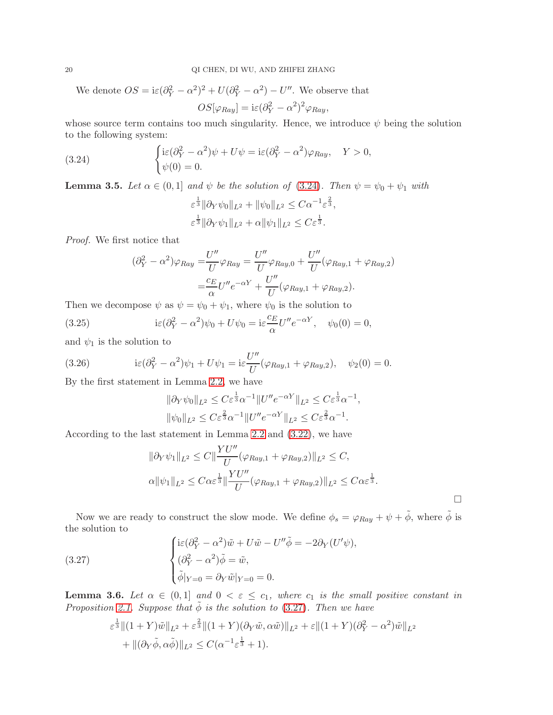We denote  $OS = i\varepsilon(\partial_Y^2 - \alpha^2)^2 + U(\partial_Y^2 - \alpha^2) - U''$ . We observe that  $OS[\varphi_{Ray}] = i\varepsilon (\partial_Y^2 - \alpha^2)^2 \varphi_{Ray},$ 

whose source term contains too much singularity. Hence, we introduce  $\psi$  being the solution to the following system:

<span id="page-19-0"></span>(3.24) 
$$
\begin{cases} \mathrm{i}\varepsilon(\partial_Y^2 - \alpha^2)\psi + U\psi = \mathrm{i}\varepsilon(\partial_Y^2 - \alpha^2)\varphi_{Ray}, & Y > 0, \\ \psi(0) = 0. \end{cases}
$$

<span id="page-19-2"></span>**Lemma 3.5.** Let  $\alpha \in (0,1]$  and  $\psi$  be the solution of [\(3.24\)](#page-19-0). Then  $\psi = \psi_0 + \psi_1$  with

$$
\varepsilon^{\frac{1}{3}} \|\partial_Y \psi_0\|_{L^2} + \|\psi_0\|_{L^2} \leq C\alpha^{-1} \varepsilon^{\frac{2}{3}},
$$
  

$$
\varepsilon^{\frac{1}{3}} \|\partial_Y \psi_1\|_{L^2} + \alpha \|\psi_1\|_{L^2} \leq C\varepsilon^{\frac{1}{3}}.
$$

Proof. We first notice that

$$
(\partial_Y^2 - \alpha^2)\varphi_{Ray} = \frac{U''}{U}\varphi_{Ray} = \frac{U''}{U}\varphi_{Ray,0} + \frac{U''}{U}(\varphi_{Ray,1} + \varphi_{Ray,2})
$$

$$
= \frac{c_E}{\alpha}U''e^{-\alpha Y} + \frac{U''}{U}(\varphi_{Ray,1} + \varphi_{Ray,2}).
$$

Then we decompose  $\psi$  as  $\psi = \psi_0 + \psi_1$ , where  $\psi_0$  is the solution to

(3.25) 
$$
i\varepsilon(\partial_Y^2 - \alpha^2)\psi_0 + U\psi_0 = i\varepsilon \frac{c_E}{\alpha}U''e^{-\alpha Y}, \quad \psi_0(0) = 0,
$$

and  $\psi_1$  is the solution to

(3.26) 
$$
i\varepsilon (\partial_Y^2 - \alpha^2)\psi_1 + U\psi_1 = i\varepsilon \frac{U''}{U}(\varphi_{Ray,1} + \varphi_{Ray,2}), \quad \psi_2(0) = 0.
$$

By the first statement in Lemma [2.2,](#page-6-4) we have

$$
\|\partial_Y \psi_0\|_{L^2} \le C\varepsilon^{\frac{1}{3}}\alpha^{-1} \|U''e^{-\alpha Y}\|_{L^2} \le C\varepsilon^{\frac{1}{3}}\alpha^{-1},
$$
  

$$
\|\psi_0\|_{L^2} \le C\varepsilon^{\frac{2}{3}}\alpha^{-1} \|U''e^{-\alpha Y}\|_{L^2} \le C\varepsilon^{\frac{2}{3}}\alpha^{-1}.
$$

According to the last statement in Lemma [2.2](#page-6-4) and [\(3.22\)](#page-18-0), we have

$$
\|\partial_Y \psi_1\|_{L^2} \le C \|\frac{YU''}{U}(\varphi_{Ray,1} + \varphi_{Ray,2})\|_{L^2} \le C,
$$
  

$$
\alpha \|\psi_1\|_{L^2} \le C\alpha \varepsilon^{\frac{1}{3}} \|\frac{YU''}{U}(\varphi_{Ray,1} + \varphi_{Ray,2})\|_{L^2} \le C\alpha \varepsilon^{\frac{1}{3}}.
$$

 $\Box$ 

Now we are ready to construct the slow mode. We define  $\phi_s = \varphi_{Ray} + \psi + \tilde{\phi}$ , where  $\tilde{\phi}$  is the solution to

<span id="page-19-1"></span>(3.27) 
$$
\begin{cases} \mathrm{i}\varepsilon(\partial_Y^2 - \alpha^2)\tilde{w} + U\tilde{w} - U''\tilde{\phi} = -2\partial_Y(U'\psi), \\ (\partial_Y^2 - \alpha^2)\tilde{\phi} = \tilde{w}, \\ \tilde{\phi}|_{Y=0} = \partial_Y\tilde{w}|_{Y=0} = 0. \end{cases}
$$

<span id="page-19-3"></span>**Lemma 3.6.** Let  $\alpha \in (0,1]$  and  $0 < \varepsilon \leq c_1$ , where  $c_1$  is the small positive constant in Proposition [2.1.](#page-5-1) Suppose that  $\tilde{\phi}$  is the solution to [\(3.27\)](#page-19-1). Then we have

$$
\varepsilon^{\frac{1}{3}} \|(1+Y)\tilde{w}\|_{L^{2}} + \varepsilon^{\frac{2}{3}} \|(1+Y)(\partial_{Y}\tilde{w}, \alpha\tilde{w})\|_{L^{2}} + \varepsilon \|(1+Y)(\partial_{Y}^{2} - \alpha^{2})\tilde{w}\|_{L^{2}} + \|(\partial_{Y}\tilde{\phi}, \alpha\tilde{\phi})\|_{L^{2}} \leq C(\alpha^{-1}\varepsilon^{\frac{1}{3}} + 1).
$$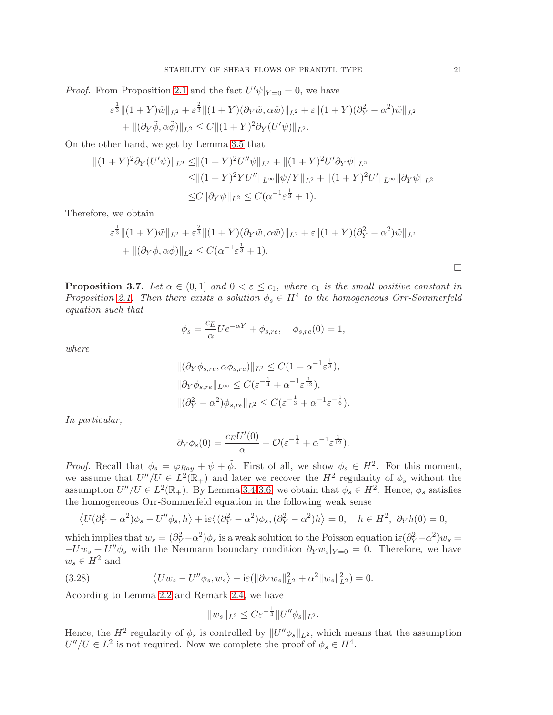*Proof.* From Proposition [2.1](#page-5-1) and the fact  $U'\psi|_{Y=0} = 0$ , we have

$$
\varepsilon^{\frac{1}{3}} \|(1+Y)\tilde{w}\|_{L^{2}} + \varepsilon^{\frac{2}{3}} \|(1+Y)(\partial_{Y}\tilde{w}, \alpha\tilde{w})\|_{L^{2}} + \varepsilon \|(1+Y)(\partial_{Y}^{2} - \alpha^{2})\tilde{w}\|_{L^{2}} \n+ \|(\partial_{Y}\tilde{\phi}, \alpha\tilde{\phi})\|_{L^{2}} \leq C \|(1+Y)^{2}\partial_{Y}(U'\psi)\|_{L^{2}}.
$$

On the other hand, we get by Lemma [3.5](#page-19-2) that

$$
||(1 + Y)^2 \partial_Y (U'\psi)||_{L^2} \le ||(1 + Y)^2 U''\psi||_{L^2} + ||(1 + Y)^2 U' \partial_Y \psi||_{L^2}
$$
  
\n
$$
\le ||(1 + Y)^2 Y U''||_{L^\infty} ||\psi/Y||_{L^2} + ||(1 + Y)^2 U'||_{L^\infty} ||\partial_Y \psi||_{L^2}
$$
  
\n
$$
\le C ||\partial_Y \psi||_{L^2} \le C(\alpha^{-1} \varepsilon^{\frac{1}{3}} + 1).
$$

Therefore, we obtain

$$
\varepsilon^{\frac{1}{3}} \|(1+Y)\tilde{w}\|_{L^{2}} + \varepsilon^{\frac{2}{3}} \|(1+Y)(\partial_{Y}\tilde{w}, \alpha\tilde{w})\|_{L^{2}} + \varepsilon \|(1+Y)(\partial_{Y}^{2} - \alpha^{2})\tilde{w}\|_{L^{2}} + \|(\partial_{Y}\tilde{\phi}, \alpha\tilde{\phi})\|_{L^{2}} \leq C(\alpha^{-1}\varepsilon^{\frac{1}{3}} + 1).
$$

<span id="page-20-1"></span>**Proposition 3.7.** Let  $\alpha \in (0,1]$  and  $0 < \varepsilon \leq c_1$ , where  $c_1$  is the small positive constant in Proposition [2.1.](#page-5-1) Then there exists a solution  $\phi_s \in H^4$  to the homogeneous Orr-Sommerfeld equation such that

$$
\phi_s = \frac{c_E}{\alpha} U e^{-\alpha Y} + \phi_{s, re}, \quad \phi_{s, re}(0) = 1,
$$

where

$$
\begin{aligned} &\|(\partial_Y \phi_{s, re}, \alpha \phi_{s, re})\|_{L^2} \le C(1 + \alpha^{-1} \varepsilon^{\frac{1}{3}}),\\ &\|\partial_Y \phi_{s, re}\|_{L^\infty} \le C(\varepsilon^{-\frac{1}{4}} + \alpha^{-1} \varepsilon^{\frac{1}{12}}),\\ &\|(\partial_Y^2 - \alpha^2) \phi_{s, re}\|_{L^2} \le C(\varepsilon^{-\frac{1}{3}} + \alpha^{-1} \varepsilon^{-\frac{1}{6}}). \end{aligned}
$$

In particular,

$$
\partial_Y \phi_s(0) = \frac{c_E U'(0)}{\alpha} + \mathcal{O}(\varepsilon^{-\frac{1}{4}} + \alpha^{-1} \varepsilon^{\frac{1}{12}}).
$$

*Proof.* Recall that  $\phi_s = \varphi_{Ray} + \psi + \tilde{\phi}$ . First of all, we show  $\phi_s \in H^2$ . For this moment, we assume that  $U''/U \in L^2(\mathbb{R}_+)$  and later we recover the  $H^2$  regularity of  $\phi_s$  without the assumption  $U''/U \in L^2(\mathbb{R}_+)$ . By Lemma [3.4](#page-18-1)[-3.6,](#page-19-3) we obtain that  $\phi_s \in H^2$ . Hence,  $\phi_s$  satisfies the homogeneous Orr-Sommerfeld equation in the following weak sense

$$
\langle U(\partial_Y^2 - \alpha^2)\phi_s - U''\phi_s, h \rangle + i\varepsilon \langle (\partial_Y^2 - \alpha^2)\phi_s, (\partial_Y^2 - \alpha^2)h \rangle = 0, \quad h \in H^2, \ \partial_Y h(0) = 0,
$$

which implies that  $w_s = (\partial_Y^2 - \alpha^2)\phi_s$  is a weak solution to the Poisson equation i $\varepsilon (\partial_Y^2 - \alpha^2)w_s =$  $-Uw_s + U''\phi_s$  with the Neumann boundary condition  $\partial_Y w_s|_{Y=0} = 0$ . Therefore, we have  $w_s \in H^2$  and

<span id="page-20-0"></span>(3.28) 
$$
\langle Uw_s - U''\phi_s, w_s \rangle - i\varepsilon (\|\partial_Y w_s\|_{L^2}^2 + \alpha^2 \|w_s\|_{L^2}^2) = 0.
$$

According to Lemma [2.2](#page-6-4) and Remark [2.4,](#page-6-5) we have

$$
||w_s||_{L^2} \leq C\varepsilon^{-\frac{1}{3}} ||U''\phi_s||_{L^2}.
$$

Hence, the  $H^2$  regularity of  $\phi_s$  is controlled by  $||U''\phi_s||_{L^2}$ , which means that the assumption  $U''/U \in L^2$  is not required. Now we complete the proof of  $\phi_s \in H^4$ .

 $\Box$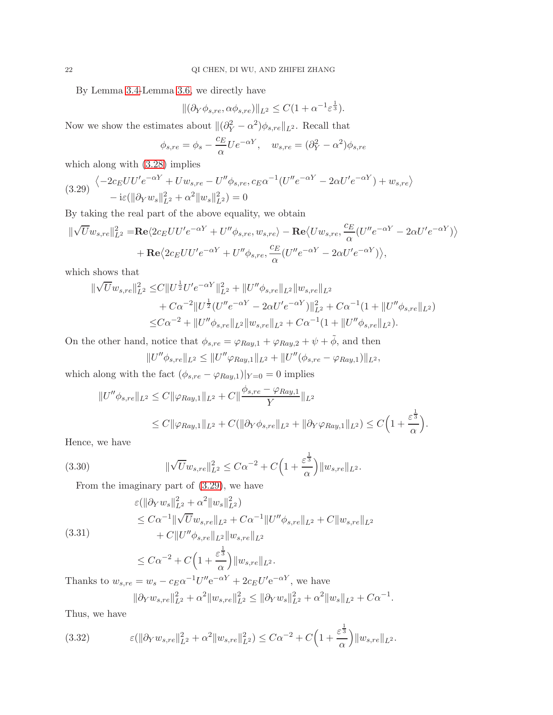By Lemma [3.4-](#page-18-1)Lemma [3.6,](#page-19-3) we directly have

$$
\|(\partial_Y \phi_{s, re}, \alpha \phi_{s, re})\|_{L^2} \le C(1 + \alpha^{-1} \varepsilon^{\frac{1}{3}}).
$$

Now we show the estimates about  $\|(\partial_Y^2 - \alpha^2)\phi_{s,re}\|_{L^2}$ . Recall that

$$
\phi_{s,re} = \phi_s - \frac{c_E}{\alpha} U e^{-\alpha Y}, \quad w_{s,re} = (\partial_Y^2 - \alpha^2) \phi_{s,re}
$$

which along with [\(3.28\)](#page-20-0) implies

<span id="page-21-0"></span>
$$
(3.29) \begin{aligned} \left\langle -2c_E U U' e^{-\alpha Y} + U w_{s, re} - U'' \phi_{s, re}, c_E \alpha^{-1} (U'' e^{-\alpha Y} - 2\alpha U' e^{-\alpha Y}) + w_{s, re} \right\rangle \\ &- i\varepsilon (\|\partial_Y w_s\|_{L^2}^2 + \alpha^2 \|w_s\|_{L^2}^2) = 0 \end{aligned}
$$

By taking the real part of the above equality, we obtain

$$
\|\sqrt{U}w_{s,re}\|_{L^2}^2 = \mathbf{Re}\langle 2c_E U U' e^{-\alpha Y} + U'' \phi_{s,re}, w_{s,re}\rangle - \mathbf{Re}\langle U w_{s,re}, \frac{c_E}{\alpha} (U''e^{-\alpha Y} - 2\alpha U'e^{-\alpha Y})\rangle + \mathbf{Re}\langle 2c_E U U'e^{-\alpha Y} + U'' \phi_{s,re}, \frac{c_E}{\alpha} (U''e^{-\alpha Y} - 2\alpha U'e^{-\alpha Y})\rangle,
$$

which shows that

$$
\begin{split} \|\sqrt{U}w_{s,re}\|_{L^{2}}^{2} \leq & C\|U^{\frac{1}{2}}U'e^{-\alpha Y}\|_{L^{2}}^{2} + \|U''\phi_{s,re}\|_{L^{2}}\|w_{s,re}\|_{L^{2}} \\ & + C\alpha^{-2}\|U^{\frac{1}{2}}(U''e^{-\alpha Y} - 2\alpha U'e^{-\alpha Y})\|_{L^{2}}^{2} + C\alpha^{-1}(1 + \|U''\phi_{s,re}\|_{L^{2}}) \\ \leq & C\alpha^{-2} + \|U''\phi_{s,re}\|_{L^{2}}\|w_{s,re}\|_{L^{2}} + C\alpha^{-1}(1 + \|U''\phi_{s,re}\|_{L^{2}}). \end{split}
$$

On the other hand, notice that  $\phi_{s,re} = \varphi_{Ray,1} + \varphi_{Ray,2} + \psi + \tilde{\phi}$ , and then

$$
||U''\phi_{s,re}||_{L^2} \le ||U''\varphi_{Ray,1}||_{L^2} + ||U''(\phi_{s,re} - \varphi_{Ray,1})||_{L^2},
$$

which along with the fact  $(\phi_{s,re} - \varphi_{Ray,1})|_{Y=0} = 0$  implies

$$
||U''\phi_{s,re}||_{L^2} \leq C ||\varphi_{Ray,1}||_{L^2} + C ||\frac{\phi_{s,re} - \varphi_{Ray,1}}{Y}||_{L^2}
$$
  
 
$$
\leq C ||\varphi_{Ray,1}||_{L^2} + C(||\partial_Y \phi_{s,re}||_{L^2} + ||\partial_Y \varphi_{Ray,1}||_{L^2}) \leq C \Big(1 + \frac{\varepsilon^{\frac{1}{3}}}{\alpha}\Big).
$$

Hence, we have

<span id="page-21-1"></span>(3.30) 
$$
\|\sqrt{U}w_{s,re}\|_{L^2}^2 \leq C\alpha^{-2} + C\Big(1+\frac{\varepsilon^{\frac{1}{3}}}{\alpha}\Big)\|w_{s,re}\|_{L^2}.
$$

From the imaginary part of [\(3.29\)](#page-21-0), we have

(3.31)  
\n
$$
\varepsilon(||\partial_Y w_s||_{L^2}^2 + \alpha^2 ||w_s||_{L^2}^2)
$$
\n
$$
\leq C\alpha^{-1} ||\sqrt{U}w_{s,re}||_{L^2} + C\alpha^{-1} ||U''\phi_{s,re}||_{L^2} + C ||w_{s,re}||_{L^2}
$$
\n
$$
+ C||U''\phi_{s,re}||_{L^2} ||w_{s,re}||_{L^2}
$$

$$
\leq C\alpha^{-2} + C\Big(1+\frac{\varepsilon^{\frac{1}{3}}}{\alpha}\Big)\|w_{s,re}\|_{L^{2}}.
$$

Thanks to  $w_{s, re} = w_s - c_E \alpha^{-1} U'' e^{-\alpha Y} + 2c_E U' e^{-\alpha Y}$ , we have

$$
\|\partial_Y w_{s, re}\|_{L^2}^2 + \alpha^2 \|w_{s, re}\|_{L^2}^2 \le \|\partial_Y w_s\|_{L^2}^2 + \alpha^2 \|w_s\|_{L^2} + C\alpha^{-1}.
$$

Thus, we have

<span id="page-21-2"></span>(3.32) 
$$
\varepsilon(\|\partial_Y w_{s, re}\|_{L^2}^2 + \alpha^2 \|w_{s, re}\|_{L^2}^2) \leq C\alpha^{-2} + C\Big(1 + \frac{\varepsilon^{\frac{1}{3}}}{\alpha}\Big) \|w_{s, re}\|_{L^2}.
$$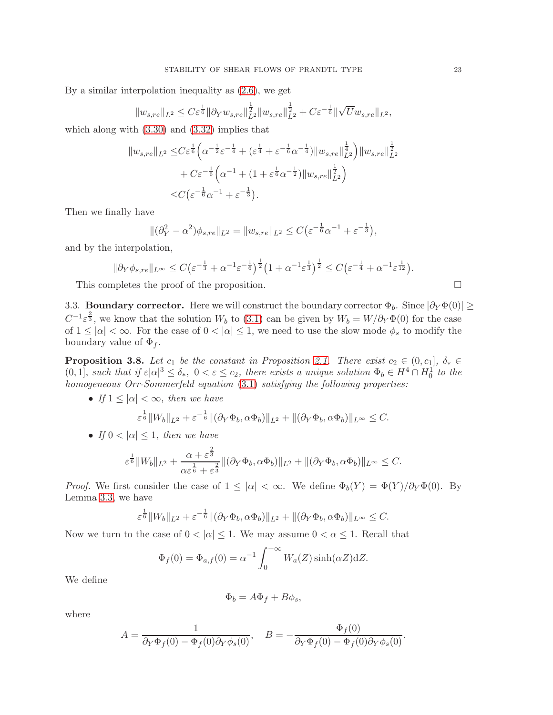By a similar interpolation inequality as [\(2.6\)](#page-7-4), we get

$$
||w_{s,re}||_{L^{2}} \leq C\varepsilon^{\frac{1}{6}} ||\partial_{Y} w_{s,re}||_{L^{2}}^{\frac{1}{2}} ||w_{s,re}||_{L^{2}}^{\frac{1}{2}} + C\varepsilon^{-\frac{1}{6}} ||\sqrt{U}w_{s,re}||_{L^{2}},
$$

which along with [\(3.30\)](#page-21-1) and [\(3.32\)](#page-21-2) implies that

$$
||w_{s,re}||_{L^{2}} \leq C\varepsilon^{\frac{1}{6}} \Big( \alpha^{-\frac{1}{2}} \varepsilon^{-\frac{1}{4}} + (\varepsilon^{\frac{1}{4}} + \varepsilon^{-\frac{1}{6}} \alpha^{-\frac{1}{4}})||w_{s,re}||_{L^{2}}^{\frac{1}{4}} \Big) ||w_{s,re}||_{L^{2}}^{\frac{1}{2}} + C\varepsilon^{-\frac{1}{6}} \Big( \alpha^{-1} + (1 + \varepsilon^{\frac{1}{6}} \alpha^{-\frac{1}{2}})||w_{s,re}||_{L^{2}}^{\frac{1}{2}} \Big) \leq C \Big( \varepsilon^{-\frac{1}{6}} \alpha^{-1} + \varepsilon^{-\frac{1}{3}} \Big).
$$

Then we finally have

$$
\|(\partial_Y^2 - \alpha^2)\phi_{s, re}\|_{L^2} = \|w_{s, re}\|_{L^2} \le C\left(\varepsilon^{-\frac{1}{6}}\alpha^{-1} + \varepsilon^{-\frac{1}{3}}\right),
$$

and by the interpolation,

$$
\|\partial_Y\phi_{s,re}\|_{L^\infty}\leq C\big(\varepsilon^{-\frac{1}{3}}+\alpha^{-1}\varepsilon^{-\frac{1}{6}}\big)^{\frac{1}{2}}\big(1+\alpha^{-1}\varepsilon^{\frac{1}{3}}\big)^{\frac{1}{2}}\leq C\big(\varepsilon^{-\frac{1}{4}}+\alpha^{-1}\varepsilon^{\frac{1}{12}}\big).
$$

This completes the proof of the proposition.  $\Box$ 

3.3. **Boundary corrector.** Here we will construct the boundary corrector  $\Phi_b$ . Since  $|\partial_Y \Phi(0)| \ge$  $C^{-1} \varepsilon^{\frac{2}{3}}$ , we know that the solution  $W_b$  to [\(3.1\)](#page-14-0) can be given by  $W_b = W/\partial_Y \Phi(0)$  for the case of  $1 \leq |\alpha| < \infty$ . For the case of  $0 < |\alpha| \leq 1$ , we need to use the slow mode  $\phi_s$  to modify the boundary value of  $\Phi_f$ .

<span id="page-22-0"></span>**Proposition 3.8.** Let  $c_1$  be the constant in Proposition [2.1.](#page-5-1) There exist  $c_2 \in (0, c_1], \delta_* \in$  $(0, 1]$ , such that if  $\varepsilon |\alpha|^3 \leq \delta_*$ ,  $0 < \varepsilon \leq c_2$ , there exists a unique solution  $\Phi_b \in H^4 \cap H_0^1$  to the homogeneous Orr-Sommerfeld equation [\(3.1\)](#page-14-0) satisfying the following properties:

• If  $1 \leq |\alpha| < \infty$ , then we have

$$
\varepsilon^{\frac{1}{6}} \|W_b\|_{L^2} + \varepsilon^{-\frac{1}{6}} \|(\partial_Y \Phi_b, \alpha \Phi_b)\|_{L^2} + \|(\partial_Y \Phi_b, \alpha \Phi_b)\|_{L^\infty} \leq C.
$$

• If  $0 < |\alpha| \leq 1$ , then we have

$$
\varepsilon^{\frac{1}{6}} \|W_b\|_{L^2} + \frac{\alpha + \varepsilon^{\frac{2}{3}}}{\alpha \varepsilon^{\frac{1}{6}} + \varepsilon^{\frac{2}{3}}} \|(\partial_Y \Phi_b, \alpha \Phi_b)\|_{L^2} + \|(\partial_Y \Phi_b, \alpha \Phi_b)\|_{L^\infty} \leq C.
$$

*Proof.* We first consider the case of  $1 \leq |\alpha| < \infty$ . We define  $\Phi_b(Y) = \Phi(Y)/\partial_Y \Phi(0)$ . By Lemma [3.3,](#page-17-1) we have

$$
\varepsilon^{\frac{1}{6}} \|W_b\|_{L^2} + \varepsilon^{-\frac{1}{6}} \|(\partial_Y \Phi_b, \alpha \Phi_b)\|_{L^2} + \|(\partial_Y \Phi_b, \alpha \Phi_b)\|_{L^\infty} \leq C.
$$

Now we turn to the case of  $0 < |\alpha| \leq 1$ . We may assume  $0 < \alpha \leq 1$ . Recall that

$$
\Phi_f(0) = \Phi_{a,f}(0) = \alpha^{-1} \int_0^{+\infty} W_a(Z) \sinh(\alpha Z) dZ.
$$

We define

$$
\Phi_b = A\Phi_f + B\phi_s,
$$

where

$$
A = \frac{1}{\partial_Y \Phi_f(0) - \Phi_f(0)\partial_Y \phi_s(0)}, \quad B = -\frac{\Phi_f(0)}{\partial_Y \Phi_f(0) - \Phi_f(0)\partial_Y \phi_s(0)}.
$$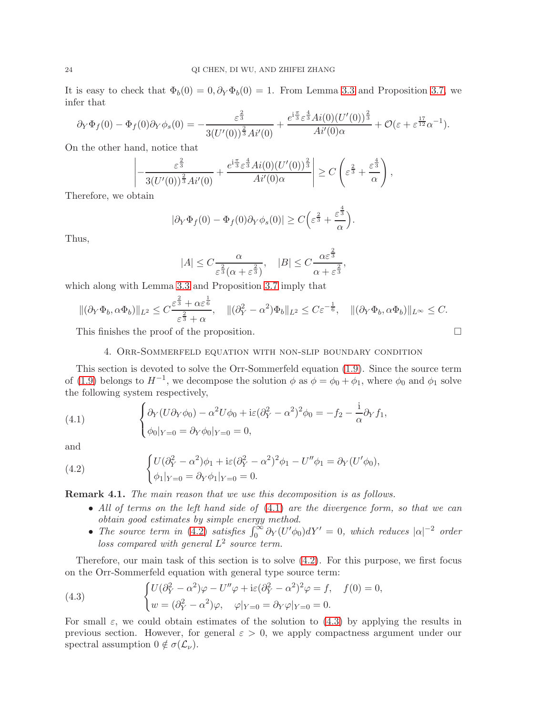It is easy to check that  $\Phi_b(0) = 0, \partial_Y \Phi_b(0) = 1$ . From Lemma [3.3](#page-17-1) and Proposition [3.7,](#page-20-1) we infer that

$$
\partial_Y \Phi_f(0) - \Phi_f(0) \partial_Y \phi_s(0) = -\frac{\varepsilon^{\frac{2}{3}}}{3(U'(0))^{\frac{2}{3}} A i'(0)} + \frac{e^{i\frac{\pi}{3}} \varepsilon^{\frac{4}{3}} Ai(0) (U'(0))^{\frac{2}{3}}}{Ai'(0)\alpha} + \mathcal{O}(\varepsilon + \varepsilon^{\frac{17}{12}} \alpha^{-1}).
$$

On the other hand, notice that

$$
\left|-\frac{\varepsilon^{\frac{2}{3}}}{3(U'(0))^{\frac{2}{3}}Ai'(0)}+\frac{e^{i\frac{\pi}{3}}\varepsilon^{\frac{4}{3}}Ai(0)(U'(0))^{\frac{2}{3}}}{Ai'(0)\alpha}\right|\geq C\left(\varepsilon^{\frac{2}{3}}+\frac{\varepsilon^{\frac{4}{3}}}{\alpha}\right),
$$

Therefore, we obtain

$$
|\partial_Y \Phi_f(0) - \Phi_f(0)\partial_Y \phi_s(0)| \ge C\left(\varepsilon^{\frac{2}{3}} + \frac{\varepsilon^{\frac{4}{3}}}{\alpha}\right).
$$

Thus,

$$
|A| \le C \frac{\alpha}{\varepsilon^{\frac{2}{3}}(\alpha + \varepsilon^{\frac{2}{3}})}, \quad |B| \le C \frac{\alpha \varepsilon^{\frac{2}{3}}}{\alpha + \varepsilon^{\frac{2}{3}}}
$$

,

which along with Lemma [3.3](#page-17-1) and Proposition [3.7](#page-20-1) imply that

$$
\|(\partial_Y \Phi_b, \alpha \Phi_b)\|_{L^2} \leq C \frac{\varepsilon^{\frac{2}{3}} + \alpha \varepsilon^{\frac{1}{6}}}{\varepsilon^{\frac{2}{3}} + \alpha}, \quad \|(\partial_Y^2 - \alpha^2)\Phi_b\|_{L^2} \leq C\varepsilon^{-\frac{1}{6}}, \quad \|(\partial_Y \Phi_b, \alpha \Phi_b)\|_{L^\infty} \leq C.
$$

This finishes the proof of the proposition.

#### 4. Orr-Sommerfeld equation with non-slip boundary condition

This section is devoted to solve the Orr-Sommerfeld equation [\(1.9\)](#page-3-1). Since the source term of [\(1.9\)](#page-3-1) belongs to  $H^{-1}$ , we decompose the solution  $\phi$  as  $\phi = \phi_0 + \phi_1$ , where  $\phi_0$  and  $\phi_1$  solve the following system respectively,

<span id="page-23-0"></span>(4.1) 
$$
\begin{cases} \partial_Y (U \partial_Y \phi_0) - \alpha^2 U \phi_0 + i \varepsilon (\partial_Y^2 - \alpha^2)^2 \phi_0 = -f_2 - \frac{i}{\alpha} \partial_Y f_1, \\ \phi_0|_{Y=0} = \partial_Y \phi_0|_{Y=0} = 0, \end{cases}
$$

and

<span id="page-23-1"></span>(4.2) 
$$
\begin{cases} U(\partial_Y^2 - \alpha^2)\phi_1 + i\varepsilon(\partial_Y^2 - \alpha^2)^2\phi_1 - U''\phi_1 = \partial_Y(U'\phi_0), \\ \phi_1|_{Y=0} = \partial_Y\phi_1|_{Y=0} = 0. \end{cases}
$$

Remark 4.1. The main reason that we use this decomposition is as follows.

- All of terms on the left hand side of  $(4.1)$  are the divergence form, so that we can obtain good estimates by simple energy method.
- The source term in [\(4.2\)](#page-23-1) satisfies  $\int_0^\infty \partial Y (U' \phi_0) dY' = 0$ , which reduces  $|\alpha|^{-2}$  order loss compared with general  $L^2$  source term.

Therefore, our main task of this section is to solve [\(4.2\)](#page-23-1). For this purpose, we first focus on the Orr-Sommerfeld equation with general type source term:

<span id="page-23-2"></span>(4.3) 
$$
\begin{cases} U(\partial_Y^2 - \alpha^2)\varphi - U''\varphi + i\varepsilon(\partial_Y^2 - \alpha^2)^2\varphi = f, & f(0) = 0, \\ w = (\partial_Y^2 - \alpha^2)\varphi, & \varphi|_{Y=0} = \partial_Y\varphi|_{Y=0} = 0. \end{cases}
$$

For small  $\varepsilon$ , we could obtain estimates of the solution to [\(4.3\)](#page-23-2) by applying the results in previous section. However, for general  $\varepsilon > 0$ , we apply compactness argument under our spectral assumption  $0 \notin \sigma(\mathcal{L}_{\nu}).$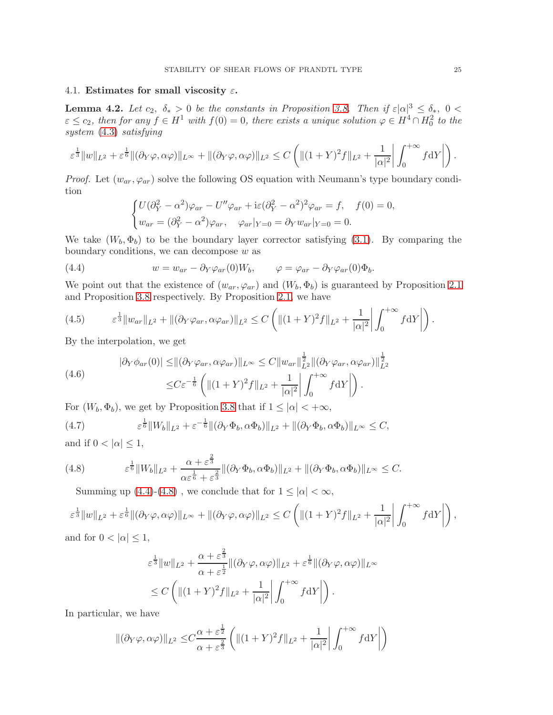# 4.1. Estimates for small viscosity  $\varepsilon$ .

<span id="page-24-2"></span>**Lemma 4.2.** Let  $c_2$ ,  $\delta_* > 0$  be the constants in Proposition [3.8.](#page-22-0) Then if  $\varepsilon |\alpha|^3 \leq \delta_*$ ,  $0 <$  $\varepsilon \leq c_2$ , then for any  $f \in H^1$  with  $f(0) = 0$ , there exists a unique solution  $\varphi \in H^4 \cap H_0^2$  to the system [\(4.3\)](#page-23-2) satisfying

$$
\varepsilon^{\frac{1}{3}} \|w\|_{L^{2}} + \varepsilon^{\frac{1}{6}} \|(\partial_{Y}\varphi,\alpha\varphi)\|_{L^{\infty}} + \|(\partial_{Y}\varphi,\alpha\varphi)\|_{L^{2}} \leq C \left( \|(1+Y)^{2}f\|_{L^{2}} + \frac{1}{|\alpha|^{2}} \left| \int_{0}^{+\infty} f \mathrm{d}Y \right| \right).
$$

*Proof.* Let  $(w_{ar}, \varphi_{ar})$  solve the following OS equation with Neumann's type boundary condition

$$
\begin{cases}\nU(\partial_Y^2 - \alpha^2)\varphi_{ar} - U''\varphi_{ar} + i\varepsilon(\partial_Y^2 - \alpha^2)^2\varphi_{ar} = f, & f(0) = 0, \\
w_{ar} = (\partial_Y^2 - \alpha^2)\varphi_{ar}, & \varphi_{ar}|_{Y=0} = \partial_Y w_{ar}|_{Y=0} = 0.\n\end{cases}
$$

We take  $(W_b, \Phi_b)$  to be the boundary layer corrector satisfying [\(3.1\)](#page-14-0). By comparing the boundary conditions, we can decompose  $w$  as

<span id="page-24-0"></span>(4.4) 
$$
w = w_{ar} - \partial_Y \varphi_{ar}(0)W_b, \qquad \varphi = \varphi_{ar} - \partial_Y \varphi_{ar}(0)\Phi_b.
$$

We point out that the existence of  $(w_{ar}, \varphi_{ar})$  and  $(W_b, \Phi_b)$  is guaranteed by Proposition [2.1](#page-5-1) and Proposition [3.8](#page-22-0) respectively. By Proposition [2.1,](#page-5-1) we have

(4.5) 
$$
\varepsilon^{\frac{1}{3}} \|w_{ar}\|_{L^{2}} + \|(\partial_{Y} \varphi_{ar}, \alpha \varphi_{ar})\|_{L^{2}} \leq C \left( \|(1+Y)^{2} f\|_{L^{2}} + \frac{1}{|\alpha|^{2}} \left| \int_{0}^{+\infty} f \mathrm{d}Y \right| \right).
$$

By the interpolation, we get

(4.6) 
$$
|\partial_Y \phi_{ar}(0)| \leq ||(\partial_Y \phi_{ar}, \alpha \phi_{ar})||_{L^{\infty}} \leq C||w_{ar}||_{L^2}^{\frac{1}{2}} ||(\partial_Y \phi_{ar}, \alpha \phi_{ar})||_{L^2}^{\frac{1}{2}}
$$

$$
\leq C\varepsilon^{-\frac{1}{6}} \left(||(1+Y)^2 f||_{L^2} + \frac{1}{|\alpha|^2} \left| \int_0^{+\infty} f \mathrm{d}Y \right| \right).
$$

For  $(W_b, \Phi_b)$ , we get by Proposition [3.8](#page-22-0) that if  $1 \leq |\alpha| < +\infty$ ,

$$
(4.7) \qquad \varepsilon^{\frac{1}{6}} \|W_b\|_{L^2} + \varepsilon^{-\frac{1}{6}} \|(\partial_Y \Phi_b, \alpha \Phi_b)\|_{L^2} + \|(\partial_Y \Phi_b, \alpha \Phi_b)\|_{L^\infty} \le C,
$$

and if  $0 < |\alpha| \leq 1$ ,

<span id="page-24-1"></span>(4.8) 
$$
\varepsilon^{\frac{1}{6}} \|W_b\|_{L^2} + \frac{\alpha + \varepsilon^{\frac{2}{3}}}{\alpha \varepsilon^{\frac{1}{6}} + \varepsilon^{\frac{2}{3}}} \|(\partial_Y \Phi_b, \alpha \Phi_b)\|_{L^2} + \|(\partial_Y \Phi_b, \alpha \Phi_b)\|_{L^\infty} \leq C.
$$

Summing up [\(4.4\)](#page-24-0)-[\(4.8\)](#page-24-1), we conclude that for  $1 \leq |\alpha| < \infty$ ,

$$
\varepsilon^{\frac{1}{3}} \|w\|_{L^{2}} + \varepsilon^{\frac{1}{6}} \|(\partial_{Y}\varphi, \alpha\varphi)\|_{L^{\infty}} + \|(\partial_{Y}\varphi, \alpha\varphi)\|_{L^{2}} \leq C \left( \|(1+Y)^{2}f\|_{L^{2}} + \frac{1}{|\alpha|^{2}} \left| \int_{0}^{+\infty} f \mathrm{d}Y \right| \right),
$$
  
and for  $0 < |\alpha| \leq 1$ ,

$$
\varepsilon^{\frac{1}{3}} \|w\|_{L^{2}} + \frac{\alpha + \varepsilon^{\frac{2}{3}}}{\alpha + \varepsilon^{\frac{1}{2}}} \|(\partial_{Y}\varphi, \alpha\varphi)\|_{L^{2}} + \varepsilon^{\frac{1}{6}} \|(\partial_{Y}\varphi, \alpha\varphi)\|_{L^{\infty}} \n\leq C \left( \| (1+Y)^{2} f \|_{L^{2}} + \frac{1}{|\alpha|^{2}} \left| \int_{0}^{+\infty} f \mathrm{d}Y \right| \right).
$$

In particular, we have

$$
\|(\partial_Y \varphi, \alpha \varphi)\|_{L^2} \leq C \frac{\alpha + \varepsilon^{\frac{1}{2}}}{\alpha + \varepsilon^{\frac{2}{3}}} \left( \| (1+Y)^2 f \|_{L^2} + \frac{1}{|\alpha|^2} \left| \int_0^{+\infty} f \mathrm{d}Y \right| \right)
$$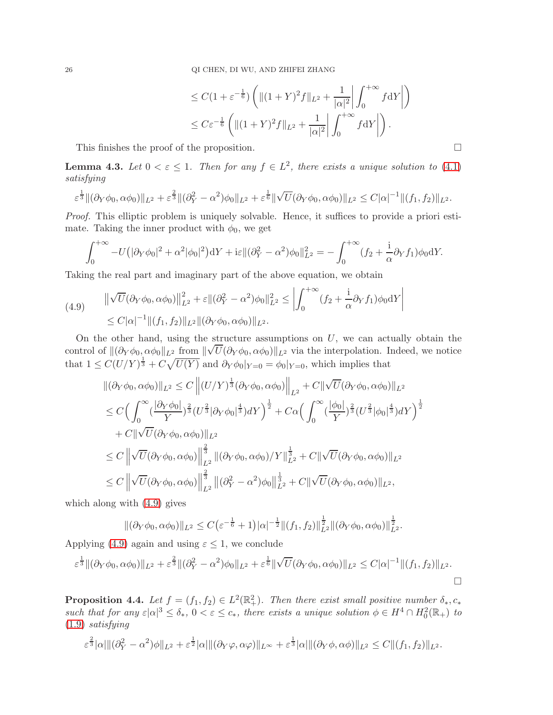$$
\leq C(1+\varepsilon^{-\frac{1}{6}})\left(\|(1+Y)^2f\|_{L^2}+\frac{1}{|\alpha|^2}\left|\int_0^{+\infty}f\mathrm{d}Y\right|\right)
$$
  

$$
\leq C\varepsilon^{-\frac{1}{6}}\left(\|(1+Y)^2f\|_{L^2}+\frac{1}{|\alpha|^2}\left|\int_0^{+\infty}f\mathrm{d}Y\right|\right).
$$

This finishes the proof of the proposition.

<span id="page-25-0"></span>**Lemma 4.3.** Let  $0 < \varepsilon \leq 1$ . Then for any  $f \in L^2$ , there exists a unique solution to [\(4.1\)](#page-23-0) satisfying

$$
\varepsilon^{\frac{1}{3}} \|(\partial_Y \phi_0, \alpha \phi_0)\|_{L^2} + \varepsilon^{\frac{2}{3}} \|(\partial_Y^2 - \alpha^2) \phi_0\|_{L^2} + \varepsilon^{\frac{1}{6}} \|\sqrt{U}(\partial_Y \phi_0, \alpha \phi_0)\|_{L^2} \leq C |\alpha|^{-1} \|(f_1, f_2)\|_{L^2}.
$$

Proof. This elliptic problem is uniquely solvable. Hence, it suffices to provide a priori estimate. Taking the inner product with  $\phi_0$ , we get

$$
\int_0^{+\infty} -U(|\partial_Y \phi_0|^2 + \alpha^2 |\phi_0|^2) dY + i\varepsilon \|(\partial_Y^2 - \alpha^2)\phi_0\|_{L^2}^2 = -\int_0^{+\infty} (f_2 + \frac{i}{\alpha}\partial_Y f_1)\phi_0 dY.
$$

Taking the real part and imaginary part of the above equation, we obtain

<span id="page-25-1"></span>(4.9) 
$$
\|\sqrt{U}(\partial_Y \phi_0, \alpha \phi_0)\|_{L^2}^2 + \varepsilon \|(\partial_Y^2 - \alpha^2) \phi_0\|_{L^2}^2 \le \left| \int_0^{+\infty} (f_2 + \frac{\mathrm{i}}{\alpha} \partial_Y f_1) \phi_0 \mathrm{d}Y \right|
$$
  
 
$$
\le C |\alpha|^{-1} \| (f_1, f_2) \|_{L^2} \| (\partial_Y \phi_0, \alpha \phi_0) \|_{L^2}.
$$

On the other hand, using the structure assumptions on  $U$ , we can actually obtain the control of  $\|(\partial_Y \phi_{0, \alpha} \phi_0\|_{L^2} \text{ from } \|\sqrt{U}(\partial_Y \phi_0, \alpha \phi_0)\|_{L^2}$  via the interpolation. Indeed, we notice that  $1 \leq C(U/Y)^{\frac{1}{3}} + C\sqrt{U(Y)}$  and  $\partial_Y \phi_0|_{Y=0} = \phi_0|_{Y=0}$ , which implies that

$$
\begin{split}\n&\|(\partial_Y\phi_0, \alpha\phi_0)\|_{L^2} \leq C \left\| (U/Y)^{\frac{1}{3}} (\partial_Y\phi_0, \alpha\phi_0) \right\|_{L^2} + C \|\sqrt{U}(\partial_Y\phi_0, \alpha\phi_0)\|_{L^2} \\
&\leq C \Big(\int_0^\infty (\frac{|\partial_Y\phi_0|}{Y})^{\frac{2}{3}} (U^{\frac{2}{3}} |\partial_Y\phi_0|^{\frac{4}{3}}) dY\Big)^{\frac{1}{2}} + C\alpha \Big(\int_0^\infty (\frac{|\phi_0|}{Y})^{\frac{2}{3}} (U^{\frac{2}{3}} |\phi_0|^{\frac{4}{3}}) dY\Big)^{\frac{1}{2}} \\
&+ C \|\sqrt{U}(\partial_Y\phi_0, \alpha\phi_0)\|_{L^2} \\
&\leq C \left\|\sqrt{U}(\partial_Y\phi_0, \alpha\phi_0)\right\|_{L^2}^{\frac{2}{3}} \left\|(\partial_Y\phi_0, \alpha\phi_0)/Y\right\|_{L^2}^{\frac{1}{3}} + C \|\sqrt{U}(\partial_Y\phi_0, \alpha\phi_0)\|_{L^2} \\
&\leq C \left\|\sqrt{U}(\partial_Y\phi_0, \alpha\phi_0)\right\|_{L^2}^{\frac{2}{3}} \left\|(\partial_Y^2 - \alpha^2)\phi_0\right\|_{L^2}^{\frac{1}{3}} + C \|\sqrt{U}(\partial_Y\phi_0, \alpha\phi_0)\|_{L^2},\n\end{split}
$$

which along with [\(4.9\)](#page-25-1) gives

$$
\|(\partial_Y \phi_0, \alpha \phi_0)\|_{L^2} \le C \big(\varepsilon^{-\frac{1}{6}} + 1\big)|\alpha|^{-\frac{1}{2}} \|(f_1, f_2)\|_{L^2}^{\frac{1}{2}} \|(\partial_Y \phi_0, \alpha \phi_0)\|_{L^2}^{\frac{1}{2}}.
$$

Applying [\(4.9\)](#page-25-1) again and using  $\varepsilon \leq 1$ , we conclude

$$
\varepsilon^{\frac{1}{3}} \| (\partial_Y \phi_0, \alpha \phi_0) \|_{L^2} + \varepsilon^{\frac{2}{3}} \| (\partial_Y^2 - \alpha^2) \phi_0 \|_{L^2} + \varepsilon^{\frac{1}{6}} \| \sqrt{U} (\partial_Y \phi_0, \alpha \phi_0) \|_{L^2} \leq C |\alpha|^{-1} \| (f_1, f_2) \|_{L^2}.
$$

<span id="page-25-2"></span>**Proposition 4.4.** Let  $f = (f_1, f_2) \in L^2(\mathbb{R}^2_+)$ . Then there exist small positive number  $\delta_*, c_*$ such that for any  $\varepsilon |\alpha|^3 \leq \delta_*$ ,  $0 < \varepsilon \leq c_*$ , there exists a unique solution  $\phi \in H^4 \cap H_0^2(\mathbb{R}_+)$  to [\(1.9\)](#page-3-1) satisfying

$$
\varepsilon^{\frac{2}{3}}|\alpha|\|(\partial_Y^2-\alpha^2)\phi\|_{L^2}+\varepsilon^{\frac{1}{2}}|\alpha|\|(\partial_Y\varphi,\alpha\varphi)\|_{L^\infty}+\varepsilon^{\frac{1}{3}}|\alpha|\|(\partial_Y\phi,\alpha\phi)\|_{L^2}\leq C\|(f_1,f_2)\|_{L^2}.
$$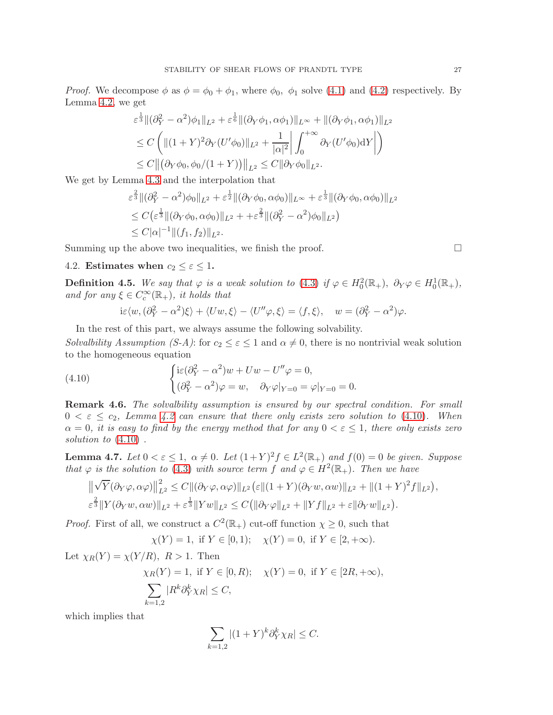*Proof.* We decompose  $\phi$  as  $\phi = \phi_0 + \phi_1$ , where  $\phi_0$ ,  $\phi_1$  solve [\(4.1\)](#page-23-0) and [\(4.2\)](#page-23-1) respectively. By Lemma [4.2,](#page-24-2) we get

$$
\varepsilon^{\frac{1}{3}} \|\partial_Y^2 - \alpha^2 \phi_1\|_{L^2} + \varepsilon^{\frac{1}{6}} \|\partial_Y \phi_1, \alpha \phi_1\|_{L^\infty} + \|(\partial_Y \phi_1, \alpha \phi_1)\|_{L^2}
$$
  
\n
$$
\leq C \left( \| (1+Y)^2 \partial_Y (U' \phi_0) \|_{L^2} + \frac{1}{|\alpha|^2} \left| \int_0^{+\infty} \partial_Y (U' \phi_0) dY \right| \right)
$$
  
\n
$$
\leq C \|\big(\partial_Y \phi_0, \phi_0 / (1+Y)\big) \|_{L^2} \leq C \|\partial_Y \phi_0\|_{L^2}.
$$

We get by Lemma [4.3](#page-25-0) and the interpolation that

$$
\varepsilon^{\frac{2}{3}} \| (\partial_Y^2 - \alpha^2) \phi_0 \|_{L^2} + \varepsilon^{\frac{1}{2}} \| (\partial_Y \phi_0, \alpha \phi_0) \|_{L^\infty} + \varepsilon^{\frac{1}{3}} \| (\partial_Y \phi_0, \alpha \phi_0) \|_{L^2} \n\leq C \big( \varepsilon^{\frac{1}{3}} \| (\partial_Y \phi_0, \alpha \phi_0) \|_{L^2} + \varepsilon^{\frac{2}{3}} \| (\partial_Y^2 - \alpha^2) \phi_0 \|_{L^2} \big) \n\leq C |\alpha|^{-1} \| (f_1, f_2) \|_{L^2}.
$$

Summing up the above two inequalities, we finish the proof.  $\Box$ 

# 4.2. Estimates when  $c_2 \leq \varepsilon \leq 1$ .

**Definition 4.5.** We say that  $\varphi$  is a weak solution to [\(4.3\)](#page-23-2) if  $\varphi \in H_0^2(\mathbb{R}_+), \ \partial_Y \varphi \in H_0^1(\mathbb{R}_+),$ and for any  $\xi \in C_c^{\infty}(\mathbb{R}_+),$  it holds that

$$
i\varepsilon \langle w, (\partial_Y^2 - \alpha^2)\xi \rangle + \langle Uw, \xi \rangle - \langle U''\varphi, \xi \rangle = \langle f, \xi \rangle, \quad w = (\partial_Y^2 - \alpha^2)\varphi.
$$

In the rest of this part, we always assume the following solvability. Solvalbility Assumption (S-A): for  $c_2 \leq \varepsilon \leq 1$  and  $\alpha \neq 0$ , there is no nontrivial weak solution to the homogeneous equation

<span id="page-26-0"></span>(4.10) 
$$
\begin{cases} \mathrm{i}\varepsilon(\partial_Y^2 - \alpha^2)w + Uw - U''\varphi = 0, \\ (\partial_Y^2 - \alpha^2)\varphi = w, \quad \partial_Y\varphi|_{Y=0} = \varphi|_{Y=0} = 0. \end{cases}
$$

**Remark 4.6.** The solvalbility assumption is ensured by our spectral condition. For small  $0 < \varepsilon \leq c_2$ , Lemma [4.2](#page-24-2) can ensure that there only exists zero solution to [\(4.10\)](#page-26-0). When  $\alpha = 0$ , it is easy to find by the energy method that for any  $0 < \varepsilon \leq 1$ , there only exists zero solution to [\(4.10\)](#page-26-0) .

<span id="page-26-1"></span>**Lemma 4.7.** Let  $0 < \varepsilon \leq 1$ ,  $\alpha \neq 0$ . Let  $(1 + Y)^2 f \in L^2(\mathbb{R}_+)$  and  $f(0) = 0$  be given. Suppose that  $\varphi$  is the solution to [\(4.3\)](#page-23-2) with source term f and  $\varphi \in H^2(\mathbb{R}_+)$ . Then we have

$$
\|\sqrt{Y}(\partial_Y\varphi,\alpha\varphi)\|_{L^2}^2 \leq C\|(\partial_Y\varphi,\alpha\varphi)\|_{L^2}(\varepsilon\|(1+Y)(\partial_Yw,\alpha w)\|_{L^2} + \|(1+Y)^2f\|_{L^2}),
$$
  

$$
\varepsilon^{\frac{2}{3}}\|Y(\partial_Yw,\alpha w)\|_{L^2} + \varepsilon^{\frac{1}{3}}\|Yw\|_{L^2} \leq C\big(\|\partial_Y\varphi\|_{L^2} + \|Yf\|_{L^2} + \varepsilon\|\partial_Yw\|_{L^2}\big).
$$

*Proof.* First of all, we construct a  $C^2(\mathbb{R}_+)$  cut-off function  $\chi \geq 0$ , such that

$$
\chi(Y) = 1
$$
, if  $Y \in [0, 1)$ ;  $\chi(Y) = 0$ , if  $Y \in [2, +\infty)$ .

Let  $\chi_R(Y) = \chi(Y/R)$ ,  $R > 1$ . Then  $\chi_B(Y) = 1$ , if  $Y \in [0, R)$ ;  $\chi(Y) = 0$ , if  $Y \in [2R, +\infty)$ ,  $\sum$  $_{k=1,2}$  $|R^k\partial_Y^k\chi_R|\leq C,$ 

which implies that

$$
\sum_{k=1,2} |(1+Y)^k \partial_Y^k \chi_R| \le C.
$$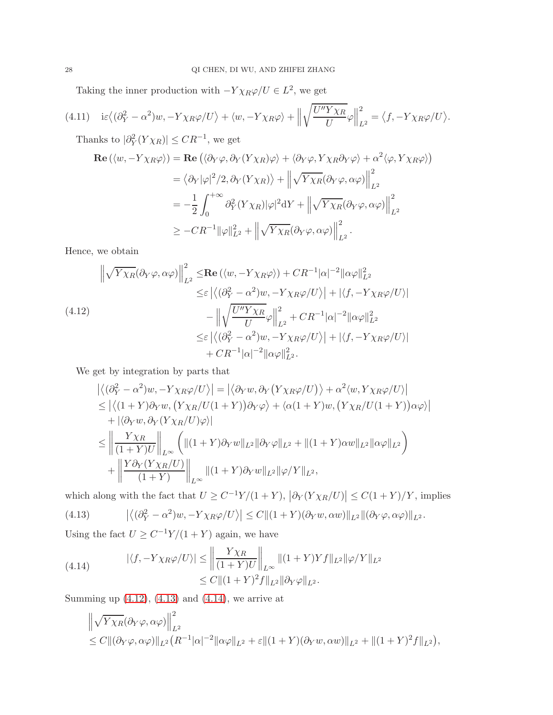Taking the inner production with  $-Y \chi_R \varphi / U \in L^2$ , we get

$$
(4.11) \quad \mathrm{i}\varepsilon \langle (\partial_Y^2 - \alpha^2)w, -Y\chi_R\varphi/U \rangle + \langle w, -Y\chi_R\varphi \rangle + \left\| \sqrt{\frac{U''Y\chi_R}{U}}\varphi \right\|_{L^2}^2 = \langle f, -Y\chi_R\varphi/U \rangle.
$$

Thanks to  $|\partial_Y^2(Y\chi_R)| \leq CR^{-1}$ , we get

$$
\begin{split} \mathbf{Re}\left(\langle w, -Y\chi_R\varphi\rangle\right) &= \mathbf{Re}\left(\langle\partial_Y\varphi, \partial_Y(Y\chi_R)\varphi\rangle + \langle\partial_Y\varphi, Y\chi_R\partial_Y\varphi\rangle + \alpha^2\langle\varphi, Y\chi_R\varphi\rangle\right) \\ &= \langle\partial_Y|\varphi|^2/2, \partial_Y(Y\chi_R)\rangle + \left\|\sqrt{Y\chi_R}(\partial_Y\varphi, \alpha\varphi)\right\|_{L^2}^2 \\ &= -\frac{1}{2} \int_0^{+\infty} \partial_Y^2(Y\chi_R)|\varphi|^2 \mathrm{d}Y + \left\|\sqrt{Y\chi_R}(\partial_Y\varphi, \alpha\varphi)\right\|_{L^2}^2 \\ &\geq -CR^{-1} \|\varphi\|_{L^2}^2 + \left\|\sqrt{Y\chi_R}(\partial_Y\varphi, \alpha\varphi)\right\|_{L^2}^2. \end{split}
$$

Hence, we obtain

<span id="page-27-0"></span>
$$
\left\| \sqrt{Y\chi_R} (\partial_Y \varphi, \alpha \varphi) \right\|_{L^2}^2 \le \text{Re} \left( \langle w, -Y\chi_R \varphi \rangle \right) + C R^{-1} |\alpha|^{-2} \|\alpha \varphi\|_{L^2}^2
$$
  
\n
$$
\le \varepsilon \left| \langle (\partial_Y^2 - \alpha^2) w, -Y\chi_R \varphi/U \rangle \right| + |\langle f, -Y\chi_R \varphi/U \rangle|
$$
  
\n
$$
- \left\| \sqrt{\frac{U'' Y \chi_R}{U}} \varphi \right\|_{L^2}^2 + C R^{-1} |\alpha|^{-2} \|\alpha \varphi\|_{L^2}^2
$$
  
\n
$$
\le \varepsilon \left| \langle (\partial_Y^2 - \alpha^2) w, -Y\chi_R \varphi/U \rangle \right| + |\langle f, -Y\chi_R \varphi/U \rangle|
$$
  
\n
$$
+ C R^{-1} |\alpha|^{-2} \|\alpha \varphi\|_{L^2}^2.
$$

We get by integration by parts that

$$
\begin{split}\n&\left| \left\langle (\partial_Y^2 - \alpha^2) w, -Y \chi_R \varphi / U \right\rangle \right| = \left| \left\langle \partial_Y w, \partial_Y \left( Y \chi_R \varphi / U \right) \right\rangle + \alpha^2 \langle w, Y \chi_R \varphi / U \rangle \right| \\
&\leq \left| \left\langle (1+Y) \partial_Y w, \left( Y \chi_R / U(1+Y) \right) \partial_Y \varphi \right\rangle + \left\langle \alpha (1+Y) w, \left( Y \chi_R / U(1+Y) \right) \alpha \varphi \right\rangle \right| \\
&+ \left| \left\langle \partial_Y w, \partial_Y \left( Y \chi_R / U \right) \varphi \right\rangle \right| \\
&\leq \left\| \frac{Y \chi_R}{(1+Y)U} \right\|_{L^\infty} \left( \| (1+Y) \partial_Y w \|_{L^2} \| \partial_Y \varphi \|_{L^2} + \| (1+Y) \alpha w \|_{L^2} \| \alpha \varphi \|_{L^2} \right) \\
&+ \left\| \frac{Y \partial_Y \left( Y \chi_R / U \right)}{(1+Y)} \right\|_{L^\infty} \| (1+Y) \partial_Y w \|_{L^2} \| \varphi / Y \|_{L^2},\n\end{split}
$$

<span id="page-27-1"></span>which along with the fact that  $U \ge C^{-1}Y/(1+Y)$ ,  $|\partial_Y(Y\chi_R/U)| \le C(1+Y)/Y$ , implies (4.13)  $\left| \langle (\partial_Y^2 - \alpha^2) w, -Y \chi_R \varphi / U \rangle \right| \leq C \| (1 + Y)(\partial_Y w, \alpha w) \|_{L^2} \| (\partial_Y \varphi, \alpha \varphi) \|_{L^2}.$ 

Using the fact  $U \geq C^{-1}Y/(1+Y)$  again, we have

<span id="page-27-2"></span>(4.14) 
$$
|\langle f, -Y\chi_R\varphi/U\rangle| \le \left\| \frac{Y\chi_R}{(1+Y)U} \right\|_{L^\infty} ||(1+Y)Yf||_{L^2} ||\varphi/Y||_{L^2}
$$

$$
\le C ||(1+Y)^2f||_{L^2} ||\partial_Y\varphi||_{L^2}.
$$

Summing up  $(4.12)$ ,  $(4.13)$  and  $(4.14)$ , we arrive at

$$
\left\|\sqrt{Y\chi_R}(\partial_Y\varphi,\alpha\varphi)\right\|_{L^2}^2
$$
  
\n
$$
\leq C\|(\partial_Y\varphi,\alpha\varphi)\|_{L^2}(R^{-1}|\alpha|^{-2}\|\alpha\varphi\|_{L^2} + \varepsilon\|(1+Y)(\partial_Yw,\alpha w)\|_{L^2} + \|(1+Y)^2f\|_{L^2}),
$$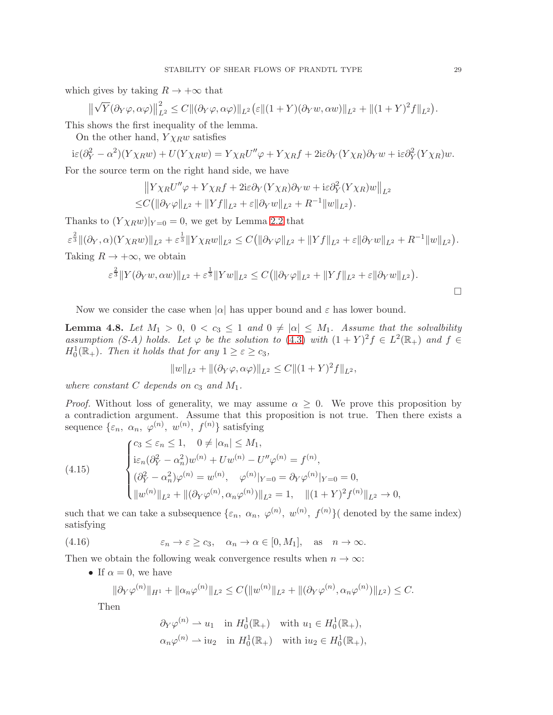which gives by taking  $R \to +\infty$  that

$$
\left\|\sqrt{Y}(\partial_Y\varphi,\alpha\varphi)\right\|_{L^2}^2 \leq C\|(\partial_Y\varphi,\alpha\varphi)\|_{L^2} \left(\varepsilon\|(1+Y)(\partial_Yw,\alpha w)\|_{L^2} + \|(1+Y)^2f\|_{L^2}\right).
$$

This shows the first inequality of the lemma.

On the other hand,  $Y \chi_R w$  satisfies

$$
i\varepsilon(\partial_Y^2 - \alpha^2)(Y\chi_R w) + U(Y\chi_R w) = Y\chi_R U''\varphi + Y\chi_R f + 2i\varepsilon\partial_Y(Y\chi_R)\partial_Y w + i\varepsilon\partial_Y^2(Y\chi_R)w.
$$

For the source term on the right hand side, we have

$$
||Y\chi_R U''\varphi + Y\chi_R f + 2i\varepsilon \partial_Y (Y\chi_R) \partial_Y w + i\varepsilon \partial_Y^2 (Y\chi_R) w||_{L^2}
$$
  
\n
$$
\leq C(||\partial_Y \varphi||_{L^2} + ||Yf||_{L^2} + \varepsilon ||\partial_Y w||_{L^2} + R^{-1}||w||_{L^2}).
$$

Thanks to  $(Y \chi_R w)|_{Y=0} = 0$ , we get by Lemma [2.2](#page-6-4) that

$$
\varepsilon^{\frac{2}{3}} \|(\partial_Y, \alpha)(Y\chi_R w)\|_{L^2} + \varepsilon^{\frac{1}{3}} \|Y\chi_R w\|_{L^2} \leq C ( \|\partial_Y \varphi\|_{L^2} + \|Yf\|_{L^2} + \varepsilon \|\partial_Y w\|_{L^2} + R^{-1} \|w\|_{L^2} ).
$$

Taking  $R \to +\infty$ , we obtain

$$
\varepsilon^{\frac{2}{3}} \|Y(\partial_Y w, \alpha w)\|_{L^2} + \varepsilon^{\frac{1}{3}} \|Yw\|_{L^2} \leq C (\|\partial_Y \varphi\|_{L^2} + \|Yf\|_{L^2} + \varepsilon \|\partial_Y w\|_{L^2}).
$$

Now we consider the case when  $|\alpha|$  has upper bound and  $\varepsilon$  has lower bound.

<span id="page-28-0"></span>**Lemma 4.8.** Let  $M_1 > 0$ ,  $0 < c_3 \leq 1$  and  $0 \neq |\alpha| \leq M_1$ . Assume that the solvalbility assumption (S-A) holds. Let  $\varphi$  be the solution to [\(4.3\)](#page-23-2) with  $(1 + Y)^2 f \in L^2(\mathbb{R}_+)$  and  $f \in L^2(\mathbb{R}_+)$  $H_0^1(\mathbb{R}_+)$ . Then it holds that for any  $1 \geq \varepsilon \geq c_3$ ,

$$
||w||_{L^2} + ||(\partial_Y \varphi, \alpha \varphi)||_{L^2} \leq C ||(1+Y)^2 f||_{L^2},
$$

where constant C depends on  $c_3$  and  $M_1$ .

*Proof.* Without loss of generality, we may assume  $\alpha \geq 0$ . We prove this proposition by a contradiction argument. Assume that this proposition is not true. Then there exists a sequence  $\{\varepsilon_n, \alpha_n, \varphi^{(n)}, w^{(n)}, f^{(n)}\}$  satisfying

(4.15) 
$$
\begin{cases} c_3 \leq \varepsilon_n \leq 1, & 0 \neq |\alpha_n| \leq M_1, \\ \mathrm{i}\varepsilon_n(\partial_Y^2 - \alpha_n^2) w^{(n)} + U w^{(n)} - U'' \varphi^{(n)} = f^{(n)}, \\ (\partial_Y^2 - \alpha_n^2) \varphi^{(n)} = w^{(n)}, & \varphi^{(n)}|_{Y=0} = \partial_Y \varphi^{(n)}|_{Y=0} = 0, \\ \|w^{(n)}\|_{L^2} + \|(\partial_Y \varphi^{(n)}, \alpha_n \varphi^{(n)})\|_{L^2} = 1, & \|(1+Y)^2 f^{(n)}\|_{L^2} \to 0, \end{cases}
$$

such that we can take a subsequence  $\{\varepsilon_n, \alpha_n, \varphi^{(n)}, w^{(n)}, f^{(n)}\}$  denoted by the same index) satisfying

(4.16) 
$$
\varepsilon_n \to \varepsilon \ge c_3, \quad \alpha_n \to \alpha \in [0, M_1], \text{ as } n \to \infty.
$$

Then we obtain the following weak convergence results when  $n \to \infty$ :

• If  $\alpha = 0$ , we have

$$
\|\partial_Y \varphi^{(n)}\|_{H^1} + \|\alpha_n \varphi^{(n)}\|_{L^2} \le C \big(\|w^{(n)}\|_{L^2} + \|(\partial_Y \varphi^{(n)}, \alpha_n \varphi^{(n)})\|_{L^2}\big) \le C.
$$

Then

$$
\partial_Y \varphi^{(n)} \rightharpoonup u_1 \quad \text{in } H_0^1(\mathbb{R}_+) \quad \text{with } u_1 \in H_0^1(\mathbb{R}_+),
$$
  

$$
\alpha_n \varphi^{(n)} \rightharpoonup i u_2 \quad \text{in } H_0^1(\mathbb{R}_+) \quad \text{with } i u_2 \in H_0^1(\mathbb{R}_+),
$$

 $\Box$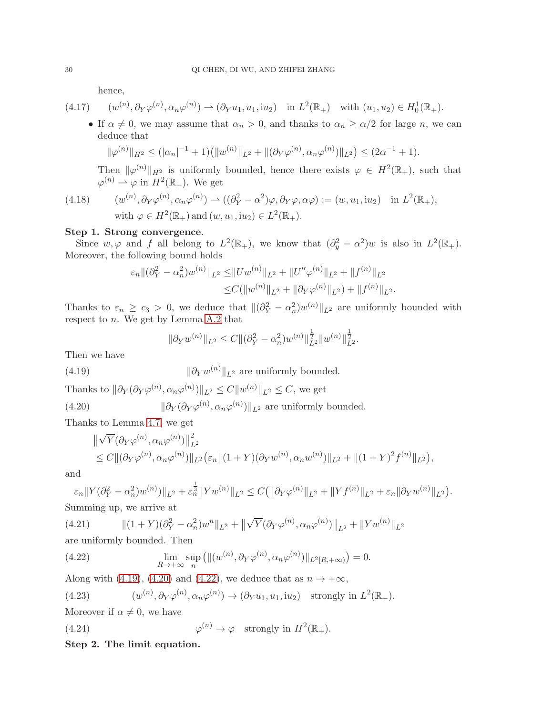hence,

$$
(4.17) \qquad (w^{(n)}, \partial_Y \varphi^{(n)}, \alpha_n \varphi^{(n)}) \rightharpoonup (\partial_Y u_1, u_1, i u_2) \quad \text{in } L^2(\mathbb{R}_+) \quad \text{with } (u_1, u_2) \in H_0^1(\mathbb{R}_+).
$$

• If  $\alpha \neq 0$ , we may assume that  $\alpha_n > 0$ , and thanks to  $\alpha_n \geq \alpha/2$  for large n, we can deduce that

$$
\|\varphi^{(n)}\|_{H^2} \leq (|\alpha_n|^{-1} + 1) \left( \|w^{(n)}\|_{L^2} + \|(\partial_Y \varphi^{(n)}, \alpha_n \varphi^{(n)})\|_{L^2} \right) \leq (2\alpha^{-1} + 1).
$$

Then  $\|\varphi^{(n)}\|_{H^2}$  is uniformly bounded, hence there exists  $\varphi \in H^2(\mathbb{R}_+)$ , such that  $\varphi^{(n)} \rightharpoonup \varphi$  in  $H^2(\mathbb{R}_+)$ . We get

(4.18)  $(w^{(n)}, \partial_Y \varphi^{(n)}, \alpha_n \varphi^{(n)}) \rightharpoonup ((\partial_Y^2 - \alpha^2) \varphi, \partial_Y \varphi, \alpha \varphi) := (w, u_1, i u_2) \text{ in } L^2(\mathbb{R}_+),$ with  $\varphi \in H^2(\mathbb{R}_+)$  and  $(w, u_1, i u_2) \in L^2(\mathbb{R}_+).$ 

## Step 1. Strong convergence.

Since  $w, \varphi$  and f all belong to  $L^2(\mathbb{R}_+),$  we know that  $(\partial_y^2 - \alpha^2)w$  is also in  $L^2(\mathbb{R}_+).$ Moreover, the following bound holds

$$
\varepsilon_n \| (\partial_Y^2 - \alpha_n^2) w^{(n)} \|_{L^2} \le \|U w^{(n)} \|_{L^2} + \|U'' \varphi^{(n)} \|_{L^2} + \|f^{(n)} \|_{L^2}
$$
  

$$
\le C (\|w^{(n)} \|_{L^2} + \|\partial_Y \varphi^{(n)} \|_{L^2}) + \|f^{(n)} \|_{L^2}.
$$

Thanks to  $\varepsilon_n \geq c_3 > 0$ , we deduce that  $\|(\partial_Y^2 - \alpha_n^2)w^{(n)}\|_{L^2}$  are uniformly bounded with respect to  $n$ . We get by Lemma [A.2](#page-36-0) that

$$
\|\partial_Y w^{(n)}\|_{L^2} \le C \|(\partial_Y^2 - \alpha_n^2) w^{(n)}\|_{L^2}^{\frac{1}{2}} \|w^{(n)}\|_{L^2}^{\frac{1}{2}}.
$$

Then we have

<span id="page-29-0"></span>(4.19) 
$$
\|\partial_Y w^{(n)}\|_{L^2}
$$
 are uniformly bounded.

Thanks to  $\|\partial_Y(\partial_Y\varphi^{(n)},\alpha_n\varphi^{(n)})\|_{L^2} \leq C \|w^{(n)}\|_{L^2} \leq C$ , we get

<span id="page-29-1"></span>(4.20)  $\|\partial_Y(\partial_Y \varphi^{(n)}, \alpha_n \varphi^{(n)})\|_{L^2}$  are uniformly bounded.

Thanks to Lemma [4.7,](#page-26-1) we get

$$
\|\sqrt{Y}(\partial_Y\varphi^{(n)},\alpha_n\varphi^{(n)})\|_{L^2}^2 \leq C\|(\partial_Y\varphi^{(n)},\alpha_n\varphi^{(n)})\|_{L^2}(\varepsilon_n\|(1+Y)(\partial_Yw^{(n)},\alpha_nw^{(n)})\|_{L^2} + \|(1+Y)^2f^{(n)}\|_{L^2}),
$$

and

$$
\varepsilon_n \|Y(\partial_Y^2 - \alpha_n^2) w^{(n)})\|_{L^2} + \varepsilon_n^{\frac{1}{3}} \|Y w^{(n)}\|_{L^2} \le C \big( \|\partial_Y \varphi^{(n)}\|_{L^2} + \|Y f^{(n)}\|_{L^2} + \varepsilon_n \|\partial_Y w^{(n)}\|_{L^2} \big).
$$

Summing up, we arrive at

(4.21) 
$$
\| (1+Y)(\partial_Y^2 - \alpha_n^2) w^n \|_{L^2} + \| \sqrt{Y} (\partial_Y \varphi^{(n)}, \alpha_n \varphi^{(n)}) \|_{L^2} + \| Y w^{(n)} \|_{L^2}
$$

are uniformly bounded. Then

<span id="page-29-2"></span>(4.22) 
$$
\lim_{R\to+\infty}\sup_n\left(\|(w^{(n)},\partial_Y\varphi^{(n)},\alpha_n\varphi^{(n)})\|_{L^2[R,+\infty)}\right)=0.
$$

Along with [\(4.19\)](#page-29-0), [\(4.20\)](#page-29-1) and [\(4.22\)](#page-29-2), we deduce that as  $n \to +\infty$ ,

<span id="page-29-4"></span>(4.23) 
$$
(w^{(n)}, \partial_Y \varphi^{(n)}, \alpha_n \varphi^{(n)}) \to (\partial_Y u_1, u_1, i u_2) \text{ strongly in } L^2(\mathbb{R}_+).
$$

Moreover if  $\alpha \neq 0$ , we have

<span id="page-29-3"></span>(4.24) 
$$
\varphi^{(n)} \to \varphi \quad \text{strongly in } H^2(\mathbb{R}_+).
$$

Step 2. The limit equation.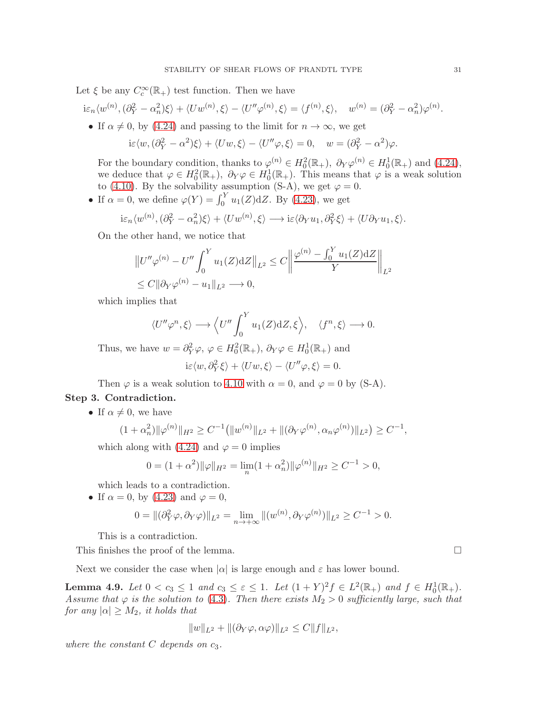Let  $\xi$  be any  $C_c^{\infty}(\mathbb{R}_+)$  test function. Then we have

$$
i\varepsilon_n\langle w^{(n)},(\partial_Y^2-\alpha_n^2)\xi\rangle+\langle Uw^{(n)},\xi\rangle-\langle U''\varphi^{(n)},\xi\rangle=\langle f^{(n)},\xi\rangle,\quad w^{(n)}=(\partial_Y^2-\alpha_n^2)\varphi^{(n)}.
$$

• If  $\alpha \neq 0$ , by [\(4.24\)](#page-29-3) and passing to the limit for  $n \to \infty$ , we get

$$
i\varepsilon \langle w, (\partial_Y^2 - \alpha^2)\xi \rangle + \langle Uw, \xi \rangle - \langle U''\varphi, \xi \rangle = 0, \quad w = (\partial_Y^2 - \alpha^2)\varphi.
$$

For the boundary condition, thanks to  $\varphi^{(n)} \in H_0^2(\mathbb{R}_+), \ \partial_Y \varphi^{(n)} \in H_0^1(\mathbb{R}_+)$  and  $(4.24)$ , we deduce that  $\varphi \in H_0^2(\mathbb{R}_+), \ \partial_Y \varphi \in H_0^1(\mathbb{R}_+).$  This means that  $\varphi$  is a weak solution we deduce that  $\varphi \in H_0(\mathbb{R}_+)$ ,  $O_Y \varphi \in H_0(\mathbb{R}_+)$ . This means the  $(4.10)$ . By the solvability assumption  $(S-A)$ , we get  $\varphi = 0$ .

• If  $\alpha = 0$ , we define  $\varphi(Y) = \int_0^Y u_1(Z) dZ$ . By [\(4.23\)](#page-29-4), we get

$$
i\varepsilon_n \langle w^{(n)}, (\partial_Y^2 - \alpha_n^2)\xi \rangle + \langle Uw^{(n)}, \xi \rangle \longrightarrow i\varepsilon \langle \partial_Y u_1, \partial_Y^2 \xi \rangle + \langle U \partial_Y u_1, \xi \rangle.
$$

On the other hand, we notice that

$$
||U''\varphi^{(n)} - U'' \int_0^Y u_1(Z) dZ||_{L^2} \le C \left\| \frac{\varphi^{(n)} - \int_0^Y u_1(Z) dZ}{Y} \right\|_{L^2}
$$
  
\$\le C || \partial\_Y \varphi^{(n)} - u\_1 ||\_{L^2} \longrightarrow 0,

which implies that

$$
\langle U''\varphi^n,\xi\rangle \longrightarrow \langle U''\int_0^Y u_1(Z)\mathrm{d}Z,\xi\rangle, \quad \langle f^n,\xi\rangle \longrightarrow 0.
$$

Thus, we have  $w = \partial_Y^2 \varphi$ ,  $\varphi \in H_0^2(\mathbb{R}_+), \, \partial_Y \varphi \in H_0^1(\mathbb{R}_+)$  and

$$
i\varepsilon \langle w, \partial_Y^2 \xi \rangle + \langle Uw, \xi \rangle - \langle U''\varphi, \xi \rangle = 0.
$$

Then  $\varphi$  is a weak solution to [4.10](#page-26-0) with  $\alpha = 0$ , and  $\varphi = 0$  by (S-A).

## Step 3. Contradiction.

• If  $\alpha \neq 0$ , we have

$$
(1+\alpha_n^2)\|\varphi^{(n)}\|_{H^2}\geq C^{-1}\big(\|w^{(n)}\|_{L^2}+\|(\partial_Y\varphi^{(n)},\alpha_n\varphi^{(n)})\|_{L^2}\big)\geq C^{-1},
$$

which along with [\(4.24\)](#page-29-3) and  $\varphi = 0$  implies

$$
0 = (1 + \alpha^2) \|\varphi\|_{H^2} = \lim_n (1 + \alpha_n^2) \|\varphi^{(n)}\|_{H^2} \ge C^{-1} > 0,
$$

which leads to a contradiction.

• If  $\alpha = 0$ , by [\(4.23\)](#page-29-4) and  $\varphi = 0$ ,

$$
0 = ||(\partial_Y^2 \varphi, \partial_Y \varphi)||_{L^2} = \lim_{n \to +\infty} ||(w^{(n)}, \partial_Y \varphi^{(n)})||_{L^2} \ge C^{-1} > 0.
$$

This is a contradiction.

This finishes the proof of the lemma.

Next we consider the case when 
$$
|\alpha|
$$
 is large enough and  $\varepsilon$  has lower bound.

<span id="page-30-0"></span>**Lemma 4.9.** Let  $0 < c_3 \leq 1$  and  $c_3 \leq \varepsilon \leq 1$ . Let  $(1 + Y)^2 f \in L^2(\mathbb{R}_+)$  and  $f \in H_0^1(\mathbb{R}_+)$ . Assume that  $\varphi$  is the solution to [\(4.3\)](#page-23-2). Then there exists  $M_2 > 0$  sufficiently large, such that for any  $|\alpha| \geq M_2$ , it holds that

$$
||w||_{L^2} + ||(\partial_Y \varphi, \alpha \varphi)||_{L^2} \leq C||f||_{L^2},
$$

where the constant  $C$  depends on  $c_3$ .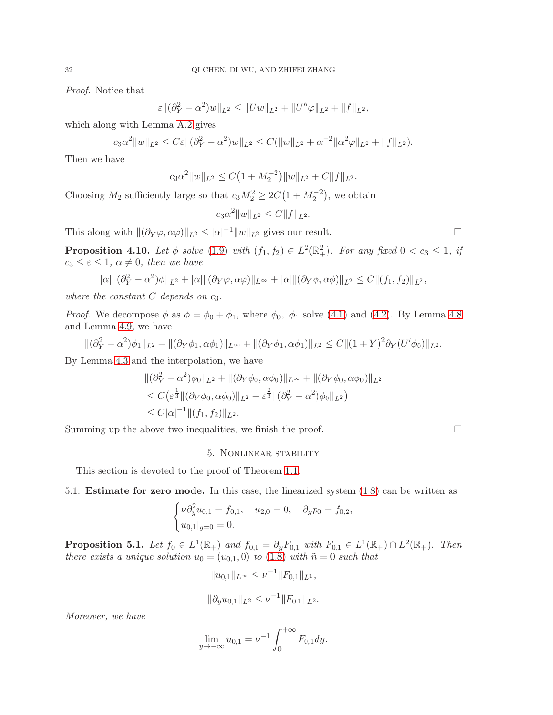Proof. Notice that

$$
\varepsilon \|(\partial_Y^2 - \alpha^2)w\|_{L^2} \le \|Uw\|_{L^2} + \|U''\varphi\|_{L^2} + \|f\|_{L^2},
$$

which along with Lemma [A.2](#page-36-0) gives

$$
c_3\alpha^2\|w\|_{L^2} \leq C\varepsilon \|\partial_Y^2 - \alpha^2)w\|_{L^2} \leq C(\|w\|_{L^2} + \alpha^{-2}\|\alpha^2\varphi\|_{L^2} + \|f\|_{L^2}).
$$

Then we have

$$
c_3\alpha^2\|w\|_{L^2}\leq C\big(1+M_2^{-2}\big)\|w\|_{L^2}+C\|f\|_{L^2}.
$$

Choosing  $M_2$  sufficiently large so that  $c_3M_2^2 \ge 2C(1 + M_2^{-2})$ , we obtain

$$
c_3\alpha^2\|w\|_{L^2} \le C\|f\|_{L^2}.
$$

This along with  $\|(\partial_Y \varphi, \alpha \varphi)\|_{L^2} \le |\alpha|^{-1} \|w\|_{L^2}$  gives our result.

<span id="page-31-0"></span>**Proposition 4.10.** Let  $\phi$  solve [\(1.9\)](#page-3-1) with  $(f_1, f_2) \in L^2(\mathbb{R}^2_+)$ . For any fixed  $0 < c_3 \leq 1$ , if  $c_3 \leq \varepsilon \leq 1$ ,  $\alpha \neq 0$ , then we have

$$
|\alpha| \|(\partial_Y^2 - \alpha^2)\phi\|_{L^2} + |\alpha| \|(\partial_Y \varphi, \alpha \varphi)\|_{L^\infty} + |\alpha| \|(\partial_Y \phi, \alpha \phi)\|_{L^2} \leq C \|f_1, f_2\|_{L^2},
$$

where the constant  $C$  depends on  $c_3$ .

*Proof.* We decompose  $\phi$  as  $\phi = \phi_0 + \phi_1$ , where  $\phi_0$ ,  $\phi_1$  solve [\(4.1\)](#page-23-0) and [\(4.2\)](#page-23-1). By Lemma [4.8](#page-28-0) and Lemma [4.9,](#page-30-0) we have

$$
\|(\partial_Y^2 - \alpha^2)\phi_1\|_{L^2} + \|(\partial_Y\phi_1, \alpha\phi_1)\|_{L^\infty} + \|(\partial_Y\phi_1, \alpha\phi_1)\|_{L^2} \leq C\|(1+Y)^2\partial_Y(U'\phi_0)\|_{L^2}.
$$

By Lemma [4.3](#page-25-0) and the interpolation, we have

$$
\begin{aligned} &\|(\partial_Y^2 - \alpha^2)\phi_0\|_{L^2} + \|(\partial_Y\phi_0, \alpha\phi_0)\|_{L^\infty} + \|(\partial_Y\phi_0, \alpha\phi_0)\|_{L^2} \\ &\leq C\big(\varepsilon^{\frac{1}{3}}\|(\partial_Y\phi_0, \alpha\phi_0)\|_{L^2} + \varepsilon^{\frac{2}{3}}\|(\partial_Y^2 - \alpha^2)\phi_0\|_{L^2}\big) \\ &\leq C|\alpha|^{-1}\|(f_1, f_2)\|_{L^2}.\end{aligned}
$$

Summing up the above two inequalities, we finish the proof.  $\Box$ 

#### 5. Nonlinear stability

This section is devoted to the proof of Theorem [1.1.](#page-1-0)

## 5.1. Estimate for zero mode. In this case, the linearized system [\(1.8\)](#page-3-0) can be written as

$$
\begin{cases}\n\nu \partial_y^2 u_{0,1} = f_{0,1}, & u_{2,0} = 0, \quad \partial_y p_0 = f_{0,2}, \\
u_{0,1}|_{y=0} = 0.\n\end{cases}
$$

<span id="page-31-1"></span>**Proposition 5.1.** Let  $f_0 \in L^1(\mathbb{R}_+)$  and  $f_{0,1} = \partial_y F_{0,1}$  with  $F_{0,1} \in L^1(\mathbb{R}_+) \cap L^2(\mathbb{R}_+)$ . Then there exists a unique solution  $u_0 = (u_{0,1}, 0)$  to  $(1.8)$  with  $\tilde{n} = 0$  such that

$$
||u_{0,1}||_{L^{\infty}} \leq \nu^{-1} ||F_{0,1}||_{L^{1}},
$$
  

$$
||\partial_y u_{0,1}||_{L^2} \leq \nu^{-1} ||F_{0,1}||_{L^2}.
$$

Moreover, we have

$$
\lim_{y \to +\infty} u_{0,1} = \nu^{-1} \int_0^{+\infty} F_{0,1} dy.
$$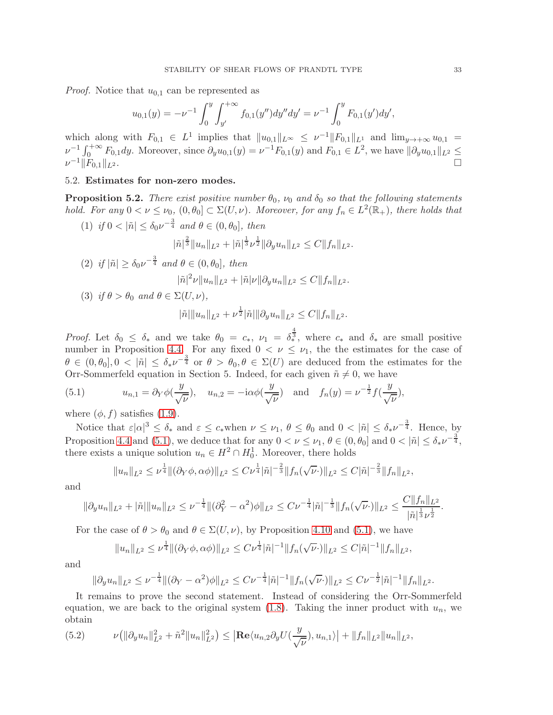*Proof.* Notice that  $u_{0,1}$  can be represented as

$$
u_{0,1}(y) = -\nu^{-1} \int_0^y \int_{y'}^{+\infty} f_{0,1}(y'') dy'' dy' = \nu^{-1} \int_0^y F_{0,1}(y') dy',
$$

which along with  $F_{0,1} \in L^1$  implies that  $||u_{0,1}||_{L^{\infty}} \leq \nu^{-1} ||F_{0,1}||_{L^1}$  and  $\lim_{y\to+\infty} u_{0,1}$  $\nu^{-1} \int_0^{+\infty} F_{0,1} dy$ . Moreover, since  $\partial_y u_{0,1}(y) = \nu^{-1} F_{0,1}(y)$  and  $F_{0,1} \in L^2$ , we have  $|| \partial_y u_{0,1} ||_{L^2} \le$  $\nu^{-1}$ || $F_{0,1}$ || $_{L^2}$ .  $-1||F_{0,1}||_{L^2}$ .

## 5.2. Estimates for non-zero modes.

<span id="page-32-0"></span>**Proposition 5.2.** There exist positive number  $\theta_0$ ,  $\nu_0$  and  $\delta_0$  so that the following statements hold. For any  $0 < \nu \leq \nu_0$ ,  $(0, \theta_0] \subset \Sigma(U, \nu)$ . Moreover, for any  $f_n \in L^2(\mathbb{R}_+)$ , there holds that

(1) if  $0 < |\tilde{n}| \leq \delta_0 \nu^{-\frac{3}{4}}$  and  $\theta \in (0, \theta_0]$ , then

$$
|\tilde{n}|^{\frac{2}{3}} \|u_n\|_{L^2} + |\tilde{n}|^{\frac{1}{3}} \nu^{\frac{1}{2}} \|\partial_y u_n\|_{L^2} \leq C \|f_n\|_{L^2}.
$$

(2) if 
$$
|\tilde{n}| \ge \delta_0 \nu^{-\frac{3}{4}}
$$
 and  $\theta \in (0, \theta_0]$ , then  
\n
$$
|\tilde{n}|^2 \nu \|u_n\|_{L^2} + |\tilde{n}| \nu \|\partial_y u_n\|_{L^2} \le C \|f_n\|_{L^2}.
$$
\n(3) if  $\theta > \theta_0$  and  $\theta \in \Sigma(U, \nu)$ ,  
\n
$$
|\tilde{n}| \|u_n\|_{L^2} + \nu^{\frac{1}{2}} |\tilde{n}| \|\partial_y u_n\|_{L^2} \le C \|f_n\|_{L^2}.
$$

*Proof.* Let  $\delta_0 \leq \delta_*$  and we take  $\theta_0 = c_*$ ,  $\nu_1 = \delta_*^{\frac{4}{3}}$ , where  $c_*$  and  $\delta_*$  are small positive number in Proposition [4.4.](#page-25-2) For any fixed  $0 < \nu \leq \nu_1$ , the the estimates for the case of  $\theta \in (0, \theta_0], 0 < |\tilde{n}| \leq \delta_* \nu^{-\frac{3}{4}}$  or  $\theta > \theta_0, \theta \in \Sigma(U)$  are deduced from the estimates for the Orr-Sommerfeld equation in Section 5. Indeed, for each given  $\tilde{n} \neq 0$ , we have

<span id="page-32-1"></span>(5.1) 
$$
u_{n,1} = \partial_Y \phi(\frac{y}{\sqrt{\nu}}), \quad u_{n,2} = -i\alpha \phi(\frac{y}{\sqrt{\nu}}) \quad \text{and} \quad f_n(y) = \nu^{-\frac{1}{2}} f(\frac{y}{\sqrt{\nu}}),
$$

where  $(\phi, f)$  satisfies [\(1.9\)](#page-3-1).

Notice that  $\varepsilon |\alpha|^3 \leq \delta_*$  and  $\varepsilon \leq c_*$  when  $\nu \leq \nu_1$ ,  $\theta \leq \theta_0$  and  $0 < |\tilde{n}| \leq \delta_* \nu^{-\frac{3}{4}}$ . Hence, by Proposition [4.4](#page-25-2) and [\(5.1\)](#page-32-1), we deduce that for any  $0 < \nu \leq \nu_1, \theta \in (0, \theta_0]$  and  $0 < |\tilde{n}| \leq \delta_* \nu^{-\frac{3}{4}}$ , there exists a unique solution  $u_n \in H^2 \cap H_0^1$ . Moreover, there holds

$$
||u_n||_{L^2} \leq \nu^{\frac{1}{4}} ||(\partial_Y \phi, \alpha \phi)||_{L^2} \leq C \nu^{\frac{1}{4}} |\tilde{n}|^{-\frac{2}{3}} ||f_n(\sqrt{\nu} \cdot)||_{L^2} \leq C |\tilde{n}|^{-\frac{2}{3}} ||f_n||_{L^2},
$$

and

$$
\|\partial_y u_n\|_{L^2} + |\tilde{n}| \|u_n\|_{L^2} \le \nu^{-\frac{1}{4}} \|(\partial_Y^2 - \alpha^2)\phi\|_{L^2} \le C\nu^{-\frac{1}{4}} |\tilde{n}|^{-\frac{1}{3}} \|f_n(\sqrt{\nu}\cdot)\|_{L^2} \le \frac{C \|f_n\|_{L^2}}{|\tilde{n}|^{\frac{1}{3}}\nu^{\frac{1}{2}}}.
$$

For the case of  $\theta > \theta_0$  and  $\theta \in \Sigma(U, \nu)$ , by Proposition [4.10](#page-31-0) and [\(5.1\)](#page-32-1), we have

$$
||u_n||_{L^2} \leq \nu^{\frac{1}{4}} ||(\partial_Y \phi, \alpha \phi)||_{L^2} \leq C \nu^{\frac{1}{4}} |\tilde{n}|^{-1} ||f_n(\sqrt{\nu} \cdot)||_{L^2} \leq C |\tilde{n}|^{-1} ||f_n||_{L^2},
$$

and

$$
\|\partial_y u_n\|_{L^2} \leq \nu^{-\frac{1}{4}} \|(\partial_Y - \alpha^2)\phi\|_{L^2} \leq C\nu^{-\frac{1}{4}}|\tilde{n}|^{-1} \|f_n(\sqrt{\nu}\cdot)\|_{L^2} \leq C\nu^{-\frac{1}{2}}|\tilde{n}|^{-1} \|f_n\|_{L^2}.
$$

It remains to prove the second statement. Instead of considering the Orr-Sommerfeld equation, we are back to the original system [\(1.8\)](#page-3-0). Taking the inner product with  $u_n$ , we obtain

<span id="page-32-2"></span>(5.2) 
$$
\nu(\|\partial_y u_n\|_{L^2}^2 + \tilde{n}^2 \|u_n\|_{L^2}^2) \leq |\mathbf{Re}\langle u_{n,2}\partial_y U(\frac{y}{\sqrt{\nu}}), u_{n,1}\rangle| + \|f_n\|_{L^2} \|u_n\|_{L^2},
$$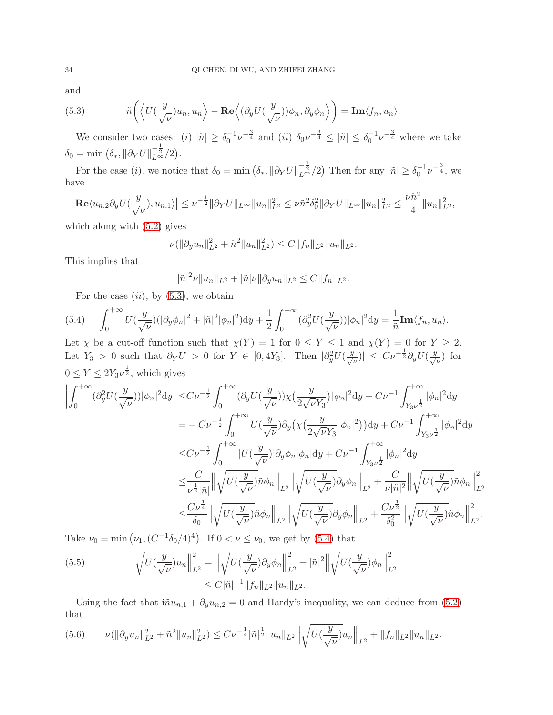and

<span id="page-33-0"></span>(5.3) 
$$
\tilde{n}\left(\left\langle U(\frac{y}{\sqrt{\nu}})u_n, u_n \right\rangle - \text{Re}\left\langle (\partial_y U(\frac{y}{\sqrt{\nu}}))\phi_n, \partial_y \phi_n \right\rangle \right) = \text{Im}\langle f_n, u_n \rangle.
$$

We consider two cases: (i)  $|\tilde{n}| \geq \delta_0^{-1} \nu^{-\frac{3}{4}}$  and (ii)  $\delta_0 \nu^{-\frac{3}{4}} \leq |\tilde{n}| \leq \delta_0^{-1} \nu^{-\frac{3}{4}}$  where we take  $\delta_0 = \min \left( \delta_* , \|\partial_Y U\|_{L^\infty}^{-\frac{1}{2}} / 2 \right).$ 

For the case (*i*), we notice that  $\delta_0 = \min \left( \delta_* , || \partial_Y U ||_{L^{\infty}}^{-\frac{1}{2}} / 2 \right)$  Then for any  $|\tilde{n}| \geq \delta_0^{-1} \nu^{-\frac{3}{4}}$ , we have

$$
\left| \mathbf{Re} \langle u_{n,2} \partial_y U(\frac{y}{\sqrt{\nu}}), u_{n,1} \rangle \right| \leq \nu^{-\frac{1}{2}} \|\partial_Y U\|_{L^\infty} \|u_n\|_{L^2}^2 \leq \nu \tilde{n}^2 \delta_0^2 \|\partial_Y U\|_{L^\infty} \|u_n\|_{L^2}^2 \leq \frac{\nu \tilde{n}^2}{4} \|u_n\|_{L^2}^2,
$$

which along with [\(5.2\)](#page-32-2) gives

$$
\nu(\|\partial_y u_n\|_{L^2}^2 + \tilde{n}^2 \|u_n\|_{L^2}^2) \le C \|f_n\|_{L^2} \|u_n\|_{L^2}.
$$

This implies that

$$
|\tilde{n}|^2 \nu \|u_n\|_{L^2} + |\tilde{n}| \nu \| \partial_y u_n \|_{L^2} \leq C \|f_n\|_{L^2}.
$$

For the case  $(ii)$ , by  $(5.3)$ , we obtain

<span id="page-33-1"></span>(5.4) 
$$
\int_0^{+\infty} U(\frac{y}{\sqrt{\nu}})(|\partial_y \phi_n|^2 + |\tilde{n}|^2 |\phi_n|^2) dy + \frac{1}{2} \int_0^{+\infty} (\partial_y^2 U(\frac{y}{\sqrt{\nu}})) |\phi_n|^2 dy = \frac{1}{\tilde{n}} \text{Im} \langle f_n, u_n \rangle.
$$

Let  $\chi$  be a cut-off function such that  $\chi(Y) = 1$  for  $0 \le Y \le 1$  and  $\chi(Y) = 0$  for  $Y \ge 2$ . Let  $Y_3 > 0$  such that  $\partial_Y U > 0$  for  $Y \in [0, 4Y_3]$ . Then  $|\partial_y^2 U(\frac{y}{\sqrt{\nu}})| \leq C \nu^{-\frac{1}{2}} \partial_y U(\frac{y}{\sqrt{\nu}})$  for  $0 \le Y \le 2Y_3\nu^{\frac{1}{2}},$  which gives

$$
\left| \int_{0}^{+\infty} (\partial_{y}^{2} U(\frac{y}{\sqrt{\nu}})) |\phi_{n}|^{2} dy \right| \leq C\nu^{-\frac{1}{2}} \int_{0}^{+\infty} (\partial_{y} U(\frac{y}{\sqrt{\nu}})) \chi(\frac{y}{2\sqrt{\nu}Y_{3}}) |\phi_{n}|^{2} dy + C\nu^{-1} \int_{Y_{3}\nu^{\frac{1}{2}}}^{+\infty} |\phi_{n}|^{2} dy
$$
  
\n
$$
= -C\nu^{-\frac{1}{2}} \int_{0}^{+\infty} U(\frac{y}{\sqrt{\nu}}) \partial_{y} \left( \chi(\frac{y}{2\sqrt{\nu}Y_{3}}|\phi_{n}|^{2}) \right) dy + C\nu^{-1} \int_{Y_{3}\nu^{\frac{1}{2}}}^{+\infty} |\phi_{n}|^{2} dy
$$
  
\n
$$
\leq C\nu^{-\frac{1}{2}} \int_{0}^{+\infty} |U(\frac{y}{\sqrt{\nu}})| \partial_{y} \phi_{n} |\phi_{n}| dy + C\nu^{-1} \int_{Y_{3}\nu^{\frac{1}{2}}}^{+\infty} |\phi_{n}|^{2} dy
$$
  
\n
$$
\leq \frac{C}{\nu^{\frac{1}{2}} |\tilde{n}|} \left\| \sqrt{U(\frac{y}{\sqrt{\nu}})} \tilde{n} \phi_{n} \right\|_{L^{2}} \left\| \sqrt{U(\frac{y}{\sqrt{\nu}})} \partial_{y} \phi_{n} \right\|_{L^{2}} + \frac{C}{\nu |\tilde{n}|^{2}} \left\| \sqrt{U(\frac{y}{\sqrt{\nu}})} \tilde{n} \phi_{n} \right\|_{L^{2}}^{2}
$$
  
\n
$$
\leq \frac{C\nu^{\frac{1}{4}}}{\delta_{0}} \left\| \sqrt{U(\frac{y}{\sqrt{\nu}})} \tilde{n} \phi_{n} \right\|_{L^{2}} \left\| \sqrt{U(\frac{y}{\sqrt{\nu}})} \partial_{y} \phi_{n} \right\|_{L^{2}} + \frac{C\nu^{\frac{1}{2}}}{\delta_{0}^{2}} \left\| \sqrt{U(\frac{y}{\sqrt{\nu}})} \tilde{n} \phi_{n} \right\|_{L^{2}}^{2}.
$$

Take  $\nu_0 = \min(\nu_1, (C^{-1}\delta_0/4)^4)$ . If  $0 < \nu \le \nu_0$ , we get by [\(5.4\)](#page-33-1) that

<span id="page-33-3"></span>(5.5) 
$$
\left\| \sqrt{U(\frac{y}{\sqrt{\nu}})} u_n \right\|_{L^2}^2 = \left\| \sqrt{U(\frac{y}{\sqrt{\nu}})} \partial_y \phi_n \right\|_{L^2}^2 + |\tilde{n}|^2 \left\| \sqrt{U(\frac{y}{\sqrt{\nu}})} \phi_n \right\|_{L^2}^2
$$

$$
\leq C |\tilde{n}|^{-1} \|f_n\|_{L^2} \|u_n\|_{L^2}.
$$

Using the fact that  $i\tilde{n}u_{n,1} + \partial_y u_{n,2} = 0$  and Hardy's inequality, we can deduce from [\(5.2\)](#page-32-2) that

<span id="page-33-2"></span>
$$
(5.6) \qquad \nu(\|\partial_y u_n\|_{L^2}^2 + \tilde{n}^2 \|u_n\|_{L^2}^2) \leq C \nu^{-\frac{1}{4}} |\tilde{n}|^{\frac{1}{2}} \|u_n\|_{L^2} \left\| \sqrt{U(\frac{y}{\sqrt{\nu}})} u_n \right\|_{L^2} + \|f_n\|_{L^2} \|u_n\|_{L^2}.
$$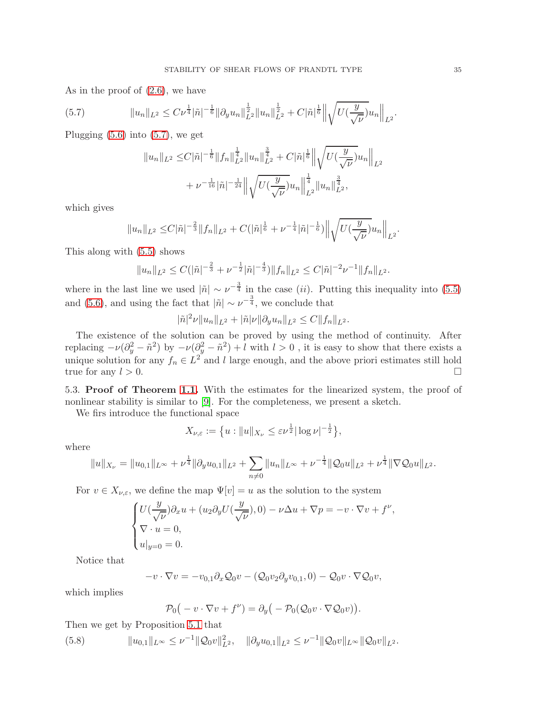As in the proof of [\(2.6\)](#page-7-4), we have

<span id="page-34-0"></span>(5.7) 
$$
||u_n||_{L^2} \leq C \nu^{\frac{1}{4}} |\tilde{n}|^{-\frac{1}{6}} ||\partial_y u_n||_{L^2}^{\frac{1}{2}} ||u_n||_{L^2}^{\frac{1}{2}} + C |\tilde{n}|^{\frac{1}{6}} ||\sqrt{U(\frac{y}{\sqrt{\nu}})} u_n||_{L^2}.
$$

Plugging  $(5.6)$  into  $(5.7)$ , we get

$$
||u_n||_{L^2} \leq C|\tilde{n}|^{-\frac{1}{6}}||f_n||_{L^2}^{\frac{1}{4}}||u_n||_{L^2}^{\frac{3}{4}} + C|\tilde{n}|^{\frac{1}{6}}||\sqrt{U(\frac{y}{\sqrt{\nu}})}u_n||_{L^2}
$$
  
+  $\nu^{-\frac{1}{16}}|\tilde{n}|^{-\frac{1}{24}}||\sqrt{U(\frac{y}{\sqrt{\nu}})}u_n||_{L^2}^{\frac{1}{4}}||u_n||_{L^2}^{\frac{3}{4}},$ 

which gives

$$
||u_n||_{L^2} \leq C|\tilde{n}|^{-\frac{2}{3}}||f_n||_{L^2} + C(|\tilde{n}|^{\frac{1}{6}} + \nu^{-\frac{1}{4}}|\tilde{n}|^{-\frac{1}{6}})||\sqrt{U(\frac{y}{\sqrt{\nu}})}u_n||_{L^2}.
$$

This along with [\(5.5\)](#page-33-3) shows

$$
||u_n||_{L^2} \leq C(|\tilde{n}|^{-\frac{2}{3}} + \nu^{-\frac{1}{2}}|\tilde{n}|^{-\frac{4}{3}})||f_n||_{L^2} \leq C|\tilde{n}|^{-2}\nu^{-1}||f_n||_{L^2}.
$$

where in the last line we used  $|\tilde{n}| \sim \nu^{-\frac{3}{4}}$  in the case *(ii)*. Putting this inequality into [\(5.5\)](#page-33-3) and [\(5.6\)](#page-33-2), and using the fact that  $|\tilde{n}| \sim \nu^{-\frac{3}{4}}$ , we conclude that

$$
|\tilde{n}|^2 \nu \|u_n\|_{L^2} + |\tilde{n}| \nu \| \partial_y u_n \|_{L^2} \leq C \|f_n\|_{L^2}.
$$

The existence of the solution can be proved by using the method of continuity. After replacing  $-\nu(\partial_y^2 - \tilde{n}^2)$  by  $-\nu(\partial_y^2 - \tilde{n}^2) + l$  with  $l > 0$ , it is easy to show that there exists a unique solution for any  $f_n \in L^2$  and l large enough, and the above priori estimates still hold true for any  $l > 0$ .

5.3. Proof of Theorem [1.1.](#page-1-0) With the estimates for the linearized system, the proof of nonlinear stability is similar to [\[9\]](#page-44-0). For the completeness, we present a sketch.

We firs introduce the functional space

$$
X_{\nu,\varepsilon} := \big\{ u : \|u\|_{X_{\nu}} \leq \varepsilon \nu^{\frac{1}{2}} |\log \nu|^{-\frac{1}{2}} \big\},\,
$$

where

$$
||u||_{X_{\nu}} = ||u_{0,1}||_{L^{\infty}} + \nu^{\frac{1}{4}} ||\partial_y u_{0,1}||_{L^2} + \sum_{n \neq 0} ||u_n||_{L^{\infty}} + \nu^{-\frac{1}{4}} ||Q_0 u||_{L^2} + \nu^{\frac{1}{4}} ||\nabla Q_0 u||_{L^2}.
$$

For  $v \in X_{\nu,\varepsilon}$ , we define the map  $\Psi[v] = u$  as the solution to the system

$$
\begin{cases} U(\frac{y}{\sqrt{\nu}})\partial_x u + (u_2 \partial_y U(\frac{y}{\sqrt{\nu}}), 0) - \nu \Delta u + \nabla p = -v \cdot \nabla v + f^{\nu}, \\ \nabla \cdot u = 0, \\ u|_{y=0} = 0. \end{cases}
$$

Notice that

$$
-v\cdot\nabla v=-v_{0,1}\partial_x\mathcal{Q}_0v-(\mathcal{Q}_0v_2\partial_yv_{0,1},0)-\mathcal{Q}_0v\cdot\nabla\mathcal{Q}_0v,
$$

which implies

$$
\mathcal{P}_0(-v\cdot\nabla v+f^{\nu})=\partial_y(-\mathcal{P}_0(\mathcal{Q}_0v\cdot\nabla\mathcal{Q}_0v)).
$$

Then we get by Proposition [5.1](#page-31-1) that

$$
(5.8) \t\t ||u_{0,1}||_{L^{\infty}} \leq \nu^{-1} ||Q_0v||_{L^2}^2, \t ||\partial_y u_{0,1}||_{L^2} \leq \nu^{-1} ||Q_0v||_{L^{\infty}} ||Q_0v||_{L^2}.
$$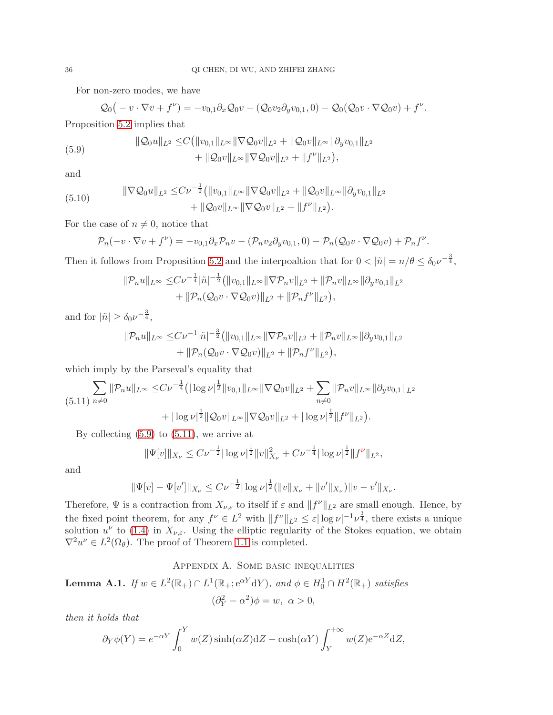For non-zero modes, we have

<span id="page-35-1"></span>
$$
Q_0(-v\cdot\nabla v+f^{\nu})=-v_{0,1}\partial_x Q_0v-(Q_0v_2\partial_yv_{0,1},0)-Q_0(Q_0v\cdot\nabla Q_0v)+f^{\nu}.
$$

Proposition [5.2](#page-32-0) implies that

(5.9) 
$$
\|\mathcal{Q}_0 u\|_{L^2} \leq C \left( \|v_{0,1}\|_{L^\infty} \|\nabla \mathcal{Q}_0 v\|_{L^2} + \|\mathcal{Q}_0 v\|_{L^\infty} \|\partial_y v_{0,1}\|_{L^2} + \|\mathcal{Q}_0 v\|_{L^\infty} \|\nabla \mathcal{Q}_0 v\|_{L^2} + \|f^\nu\|_{L^2} \right),
$$

and

(5.10) 
$$
\|\nabla Q_0 u\|_{L^2} \leq C \nu^{-\frac{1}{2}} (\|v_{0,1}\|_{L^\infty} \|\nabla Q_0 v\|_{L^2} + \|\mathcal{Q}_0 v\|_{L^\infty} \|\partial_y v_{0,1}\|_{L^2} + \|\mathcal{Q}_0 v\|_{L^\infty} \|\nabla \mathcal{Q}_0 v\|_{L^2} + \|f^\nu\|_{L^2}).
$$

For the case of  $n \neq 0$ , notice that

$$
\mathcal{P}_n(-v\cdot\nabla v+f^{\nu})=-v_{0,1}\partial_x\mathcal{P}_nv-(\mathcal{P}_nv_2\partial_yv_{0,1},0)-\mathcal{P}_n(\mathcal{Q}_0v\cdot\nabla\mathcal{Q}_0v)+\mathcal{P}_nf^{\nu}.
$$

Then it follows from Proposition [5.2](#page-32-0) and the interpoaltion that for  $0 < |\tilde{n}| = n/\theta \le \delta_0 \nu^{-\frac{3}{4}}$ ,

$$
\|\mathcal{P}_n u\|_{L^{\infty}} \leq C\nu^{-\frac{1}{4}}|\tilde{n}|^{-\frac{1}{2}}(\|v_{0,1}\|_{L^{\infty}}\|\nabla \mathcal{P}_n v\|_{L^2} + \|\mathcal{P}_n v\|_{L^{\infty}}\|\partial_y v_{0,1}\|_{L^2} + \|\mathcal{P}_n(\mathcal{Q}_0 v \cdot \nabla \mathcal{Q}_0 v)\|_{L^2} + \|\mathcal{P}_n f^{\nu}\|_{L^2}),
$$

and for  $|\tilde{n}| \geq \delta_0 \nu^{-\frac{3}{4}},$ 

$$
\|\mathcal{P}_n u\|_{L^{\infty}} \leq C\nu^{-1}|\tilde{n}|^{-\frac{3}{2}} (\|v_{0,1}\|_{L^{\infty}} \|\nabla \mathcal{P}_n v\|_{L^2} + \|\mathcal{P}_n v\|_{L^{\infty}} \|\partial_y v_{0,1}\|_{L^2} + \|\mathcal{P}_n(\mathcal{Q}_0 v \cdot \nabla \mathcal{Q}_0 v)\|_{L^2} + \|\mathcal{P}_n f^{\nu}\|_{L^2}),
$$

which imply by the Parseval's equality that

<span id="page-35-2"></span>
$$
\sum_{n\neq 0} \|\mathcal{P}_n u\|_{L^{\infty}} \leq C\nu^{-\frac{1}{4}} \left( |\log \nu|^{\frac{1}{2}} \|v_{0,1}\|_{L^{\infty}} \|\nabla \mathcal{Q}_0 v\|_{L^2} + \sum_{n\neq 0} \|\mathcal{P}_n v\|_{L^{\infty}} \|\partial_y v_{0,1}\|_{L^2} \right) + |\log \nu|^{\frac{1}{2}} \|\mathcal{Q}_0 v\|_{L^{\infty}} \|\nabla \mathcal{Q}_0 v\|_{L^2} + |\log \nu|^{\frac{1}{2}} \|f^{\nu}\|_{L^2} \right).
$$

By collecting  $(5.9)$  to  $(5.11)$ , we arrive at

$$
\|\Psi[v]\|_{X_{\nu}} \leq C\nu^{-\frac{1}{2}}|\log \nu|^{\frac{1}{2}}\|v\|_{X_{\nu}}^2 + C\nu^{-\frac{1}{4}}|\log \nu|^{\frac{1}{2}}\|f^{\nu}\|_{L^2},
$$

and

$$
\|\Psi[v] - \Psi[v']\|_{X_{\nu}} \leq C\nu^{-\frac{1}{2}}|\log \nu|^{\frac{1}{2}}(\|v\|_{X_{\nu}} + \|v'\|_{X_{\nu}})\|v - v'\|_{X_{\nu}}.
$$

Therefore,  $\Psi$  is a contraction from  $X_{\nu,\varepsilon}$  to itself if  $\varepsilon$  and  $||f^{\nu}||_{L^2}$  are small enough. Hence, by the fixed point theorem, for any  $f^{\nu} \in L^2$  with  $||f^{\nu}||_{L^2} \leq \varepsilon |\log \nu|^{-1} \nu^{\frac{3}{4}}$ , there exists a unique solution  $u^{\nu}$  to [\(1.4\)](#page-0-2) in  $X_{\nu,\varepsilon}$ . Using the elliptic regularity of the Stokes equation, we obtain  $\nabla^2 u^{\nu} \in L^2(\Omega_{\theta})$ . The proof of Theorem [1.1](#page-1-0) is completed.

# Appendix A. Some basic inequalities

<span id="page-35-0"></span>**Lemma A.1.** If  $w \in L^2(\mathbb{R}_+) \cap L^1(\mathbb{R}_+; e^{\alpha Y} dY)$ , and  $\phi \in H_0^1 \cap H^2(\mathbb{R}_+)$  satisfies

$$
(\partial_Y^2 - \alpha^2)\phi = w, \ \alpha > 0,
$$

then it holds that

$$
\partial_Y \phi(Y) = e^{-\alpha Y} \int_0^Y w(Z) \sinh(\alpha Z) dZ - \cosh(\alpha Y) \int_Y^{+\infty} w(Z) e^{-\alpha Z} dZ,
$$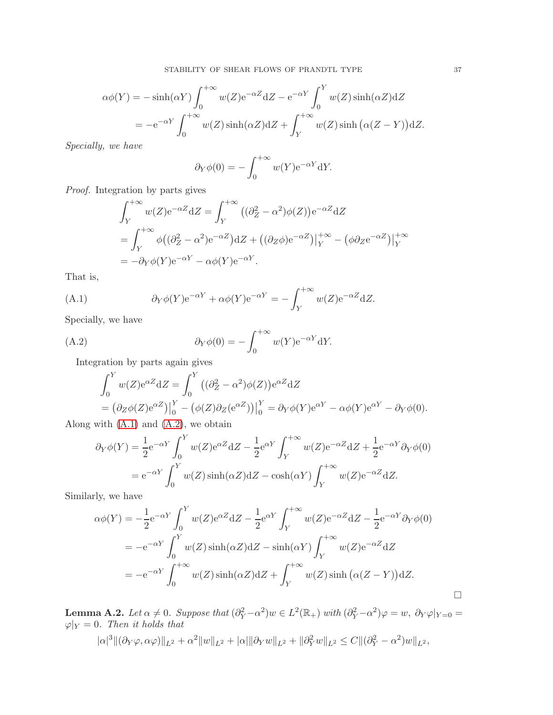$$
\alpha\phi(Y) = -\sinh(\alpha Y) \int_0^{+\infty} w(Z) e^{-\alpha Z} dZ - e^{-\alpha Y} \int_0^Y w(Z) \sinh(\alpha Z) dZ
$$
  
= 
$$
-e^{-\alpha Y} \int_0^{+\infty} w(Z) \sinh(\alpha Z) dZ + \int_Y^{+\infty} w(Z) \sinh(\alpha (Z - Y)) dZ.
$$

Specially, we have

$$
\partial_Y \phi(0) = -\int_0^{+\infty} w(Y) e^{-\alpha Y} dY.
$$

Proof. Integration by parts gives

$$
\int_{Y}^{+\infty} w(Z) e^{-\alpha Z} dZ = \int_{Y}^{+\infty} ((\partial_{Z}^{2} - \alpha^{2}) \phi(Z)) e^{-\alpha Z} dZ
$$
  
= 
$$
\int_{Y}^{+\infty} \phi ((\partial_{Z}^{2} - \alpha^{2}) e^{-\alpha Z}) dZ + ((\partial_{Z} \phi) e^{-\alpha Z})|_{Y}^{+\infty} - (\phi \partial_{Z} e^{-\alpha Z})|_{Y}^{+\infty}
$$
  
= 
$$
-\partial_{Y} \phi(Y) e^{-\alpha Y} - \alpha \phi(Y) e^{-\alpha Y}.
$$

That is,

<span id="page-36-1"></span>(A.1) 
$$
\partial_Y \phi(Y) e^{-\alpha Y} + \alpha \phi(Y) e^{-\alpha Y} = - \int_Y^{+\infty} w(Z) e^{-\alpha Z} dZ.
$$

Specially, we have

<span id="page-36-2"></span>(A.2) 
$$
\partial_Y \phi(0) = -\int_0^{+\infty} w(Y) e^{-\alpha Y} dY.
$$

Integration by parts again gives

$$
\int_0^Y w(Z) e^{\alpha Z} dZ = \int_0^Y \left( (\partial_Z^2 - \alpha^2) \phi(Z) \right) e^{\alpha Z} dZ
$$
  
=  $(\partial_Z \phi(Z) e^{\alpha Z}) \Big|_0^Y - \left( \phi(Z) \partial_Z (e^{\alpha Z}) \right) \Big|_0^Y = \partial_Y \phi(Y) e^{\alpha Y} - \alpha \phi(Y) e^{\alpha Y} - \partial_Y \phi(0).$ 

Along with  $(A.1)$  and  $(A.2)$ , we obtain

$$
\partial_Y \phi(Y) = \frac{1}{2} e^{-\alpha Y} \int_0^Y w(Z) e^{\alpha Z} dZ - \frac{1}{2} e^{\alpha Y} \int_Y^{+\infty} w(Z) e^{-\alpha Z} dZ + \frac{1}{2} e^{-\alpha Y} \partial_Y \phi(0)
$$
  
=  $e^{-\alpha Y} \int_0^Y w(Z) \sinh(\alpha Z) dZ - \cosh(\alpha Y) \int_Y^{+\infty} w(Z) e^{-\alpha Z} dZ.$ 

Similarly, we have

$$
\alpha\phi(Y) = -\frac{1}{2}e^{-\alpha Y}\int_0^Y w(Z)e^{\alpha Z}dZ - \frac{1}{2}e^{\alpha Y}\int_Y^{+\infty} w(Z)e^{-\alpha Z}dZ - \frac{1}{2}e^{-\alpha Y}\partial_Y\phi(0)
$$
  
= 
$$
-e^{-\alpha Y}\int_0^Y w(Z)\sinh(\alpha Z)dZ - \sinh(\alpha Y)\int_Y^{+\infty} w(Z)e^{-\alpha Z}dZ
$$
  
= 
$$
-e^{-\alpha Y}\int_0^{+\infty} w(Z)\sinh(\alpha Z)dZ + \int_Y^{+\infty} w(Z)\sinh(\alpha (Z-Y))dZ.
$$

<span id="page-36-0"></span>**Lemma A.2.** Let  $\alpha \neq 0$ . Suppose that  $(\partial_Y^2 - \alpha^2)w \in L^2(\mathbb{R}_+)$  with  $(\partial_Y^2 - \alpha^2)\varphi = w$ ,  $\partial_Y \varphi|_{Y=0} =$  $\varphi|_Y = 0$ . Then it holds that

$$
|\alpha|^3 \|(\partial_Y \varphi, \alpha \varphi)\|_{L^2} + \alpha^2 \|w\|_{L^2} + |\alpha| \|\partial_Y w\|_{L^2} + \|\partial_Y^2 w\|_{L^2} \leq C \|(\partial_Y^2 - \alpha^2) w\|_{L^2},
$$

 $\Box$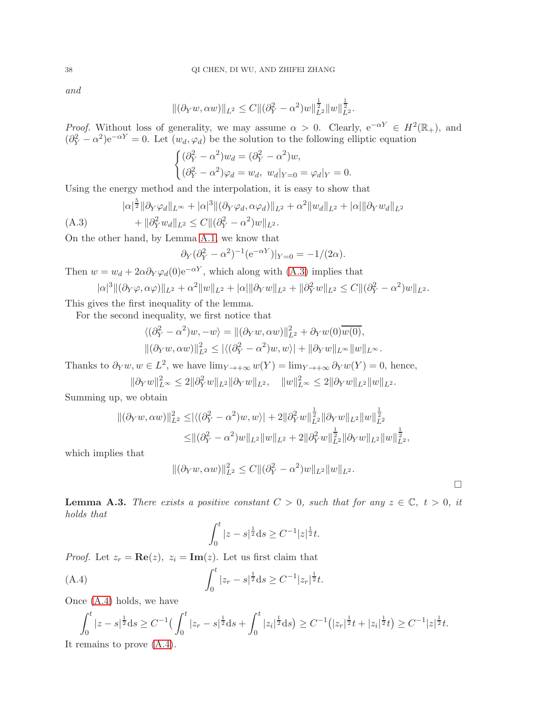and

$$
\|(\partial_Y w, \alpha w)\|_{L^2} \le C \|(\partial_Y^2 - \alpha^2)w\|_{L^2}^{\frac{1}{2}} \|w\|_{L^2}^{\frac{1}{2}}.
$$

*Proof.* Without loss of generality, we may assume  $\alpha > 0$ . Clearly,  $e^{-\alpha Y} \in H^2(\mathbb{R}_+)$ , and  $(\partial_Y^2 - \alpha^2) e^{-\alpha Y} = 0$ . Let  $(w_d, \varphi_d)$  be the solution to the following elliptic equation

$$
\begin{cases} (\partial_Y^2 - \alpha^2)w_d = (\partial_Y^2 - \alpha^2)w, \\ (\partial_Y^2 - \alpha^2)\varphi_d = w_d, \ w_d|_{Y=0} = \varphi_d|_Y = 0. \end{cases}
$$

Using the energy method and the interpolation, it is easy to show that

<span id="page-37-0"></span>
$$
|\alpha|^{\frac{5}{2}} \|\partial_Y \varphi_d\|_{L^\infty} + |\alpha|^3 \|(\partial_Y \varphi_d, \alpha \varphi_d)\|_{L^2} + \alpha^2 \|w_d\|_{L^2} + |\alpha| \|\partial_Y w_d\|_{L^2}
$$
  
(A.3) 
$$
+ \|\partial_Y^2 w_d\|_{L^2} \le C \|(\partial_Y^2 - \alpha^2)w\|_{L^2}.
$$

On the other hand, by Lemma [A.1,](#page-35-0) we know that

$$
\partial_Y(\partial_Y^2 - \alpha^2)^{-1} (e^{-\alpha Y})|_{Y=0} = -1/(2\alpha).
$$

Then  $w = w_d + 2\alpha \partial_Y \varphi_d(0) e^{-\alpha Y}$ , which along with [\(A.3\)](#page-37-0) implies that

$$
|\alpha|^3 \|(\partial_Y \varphi, \alpha \varphi)\|_{L^2} + \alpha^2 \|w\|_{L^2} + |\alpha| \|\partial_Y w\|_{L^2} + \|\partial_Y^2 w\|_{L^2} \leq C \|(\partial_Y^2 - \alpha^2) w\|_{L^2}.
$$

This gives the first inequality of the lemma.

For the second inequality, we first notice that

$$
\langle (\partial_Y^2 - \alpha^2)w, -w \rangle = \|(\partial_Y w, \alpha w)\|_{L^2}^2 + \partial_Y w(0) \overline{w(0)},
$$
  

$$
\|(\partial_Y w, \alpha w)\|_{L^2}^2 \le |\langle (\partial_Y^2 - \alpha^2)w, w \rangle| + \|\partial_Y w\|_{L^\infty} \|w\|_{L^\infty}.
$$

Thanks to  $\partial_Y w, w \in L^2$ , we have  $\lim_{Y \to +\infty} w(Y) = \lim_{Y \to +\infty} \partial_Y w(Y) = 0$ , hence,

 $\|\partial_Y w\|_{L^{\infty}}^2 \le 2\|\partial_Y^2 w\|_{L^2}\|\partial_Y w\|_{L^2}, \quad \|w\|_{L^{\infty}}^2 \le 2\|\partial_Y w\|_{L^2}\|w\|_{L^2}.$ 

Summing up, we obtain

$$
\begin{aligned} \|(\partial_Y w,\alpha w)\|_{L^2}^2 \leq & |\langle (\partial_Y^2-\alpha^2)w,w\rangle| + 2\|\partial_Y^2 w\|_{L^2}^{\frac{1}{2}}\|\partial_Y w\|_{L^2}\|w\|_{L^2}^{\frac{1}{2}}\\ \leq & \|(\partial_Y^2-\alpha^2)w\|_{L^2}\|w\|_{L^2} + 2\|\partial_Y^2 w\|_{L^2}^{\frac{1}{2}}\|\partial_Y w\|_{L^2}\|w\|_{L^2}^{\frac{1}{2}}, \end{aligned}
$$

which implies that

$$
\|(\partial_Y w, \alpha w)\|_{L^2}^2 \leq C \|(\partial_Y^2 - \alpha^2)w\|_{L^2} \|w\|_{L^2}.
$$

 $\Box$ 

<span id="page-37-2"></span>**Lemma A.3.** There exists a positive constant  $C > 0$ , such that for any  $z \in \mathbb{C}$ ,  $t > 0$ , it holds that

$$
\int_0^t |z - s|^{\frac{1}{2}} ds \ge C^{-1} |z|^{\frac{1}{2}} t.
$$

*Proof.* Let  $z_r = \text{Re}(z)$ ,  $z_i = \text{Im}(z)$ . Let us first claim that

<span id="page-37-1"></span>(A.4) 
$$
\int_0^t |z_r - s|^{\frac{1}{2}} ds \ge C^{-1} |z_r|^{\frac{1}{2}} t.
$$

Once [\(A.4\)](#page-37-1) holds, we have

$$
\int_0^t |z-s|^{\frac{1}{2}} ds \ge C^{-1} \left( \int_0^t |z_r - s|^{\frac{1}{2}} ds + \int_0^t |z_i|^{\frac{1}{2}} ds \right) \ge C^{-1} \left( |z_r|^{\frac{1}{2}} t + |z_i|^{\frac{1}{2}} t \right) \ge C^{-1} |z|^{\frac{1}{2}} t.
$$

It remains to prove [\(A.4\)](#page-37-1).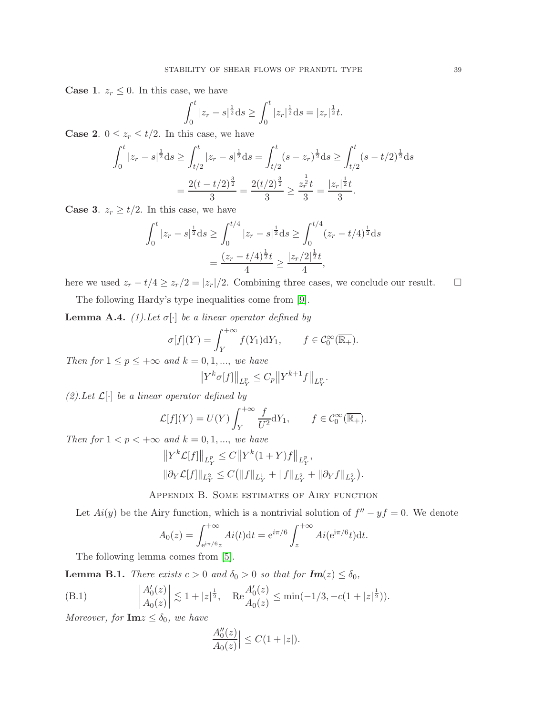**Case 1.**  $z_r \leq 0$ . In this case, we have

$$
\int_0^t |z_r - s|^{\frac{1}{2}} ds \ge \int_0^t |z_r|^{\frac{1}{2}} ds = |z_r|^{\frac{1}{2}} t.
$$

**Case 2.**  $0 \le z_r \le t/2$ . In this case, we have

$$
\int_0^t |z_r - s|^{\frac{1}{2}} ds \ge \int_{t/2}^t |z_r - s|^{\frac{1}{2}} ds = \int_{t/2}^t (s - z_r)^{\frac{1}{2}} ds \ge \int_{t/2}^t (s - t/2)^{\frac{1}{2}} ds
$$

$$
= \frac{2(t - t/2)^{\frac{3}{2}}}{3} = \frac{2(t/2)^{\frac{3}{2}}}{3} \ge \frac{z_r^{\frac{1}{2}}t}{3} = \frac{|z_r|^{\frac{1}{2}}t}{3}.
$$

**Case 3.**  $z_r \geq t/2$ . In this case, we have

$$
\int_0^t |z_r - s|^{\frac{1}{2}} ds \ge \int_0^{t/4} |z_r - s|^{\frac{1}{2}} ds \ge \int_0^{t/4} (z_r - t/4)^{\frac{1}{2}} ds
$$

$$
= \frac{(z_r - t/4)^{\frac{1}{2}} t}{4} \ge \frac{|z_r/2|^{\frac{1}{2}} t}{4},
$$

here we used  $z_r - t/4 \ge z_r/2 = |z_r|/2$ . Combining three cases, we conclude our result.  $\square$ 

The following Hardy's type inequalities come from [\[9\]](#page-44-0).

<span id="page-38-0"></span>**Lemma A.4.** (1). Let  $\sigma[\cdot]$  be a linear operator defined by

$$
\sigma[f](Y) = \int_Y^{+\infty} f(Y_1) dY_1, \qquad f \in C_0^{\infty}(\overline{\mathbb{R}_+}).
$$

Then for  $1 \le p \le +\infty$  and  $k = 0, 1, \dots$ , we have

$$
||Y^k \sigma[f]||_{L^p_Y} \le C_p ||Y^{k+1}f||_{L^p_Y}.
$$

(2). Let  $\mathcal{L}[\cdot]$  be a linear operator defined by

$$
\mathcal{L}[f](Y) = U(Y) \int_{Y}^{+\infty} \frac{f}{U^2} dY_1, \qquad f \in \mathcal{C}_0^{\infty}(\overline{\mathbb{R}_+}).
$$

Then for  $1 < p < +\infty$  and  $k = 0, 1, \dots$ , we have

$$
||Y^{k}\mathcal{L}[f]||_{L^{p}_{Y}} \leq C||Y^{k}(1+Y)f||_{L^{p}_{Y}},
$$
  

$$
||\partial_{Y}\mathcal{L}[f]||_{L^{2}_{Y}} \leq C(||f||_{L^{1}_{Y}} + ||f||_{L^{2}_{Y}} + ||\partial_{Y}f||_{L^{2}_{Y}}).
$$

Appendix B. Some estimates of Airy function

Let  $Ai(y)$  be the Airy function, which is a nontrivial solution of  $f'' - yf = 0$ . We denote

$$
A_0(z) = \int_{e^{i\pi/6}z}^{+\infty} Ai(t)dt = e^{i\pi/6} \int_z^{+\infty} Ai(e^{i\pi/6}t)dt.
$$

The following lemma comes from [\[5\]](#page-44-30).

<span id="page-38-1"></span>**Lemma B.1.** There exists  $c > 0$  and  $\delta_0 > 0$  so that for  $Im(z) \leq \delta_0$ ,

(B.1) 
$$
\left|\frac{A'_0(z)}{A_0(z)}\right| \lesssim 1 + |z|^{\frac{1}{2}}, \quad \text{Re}\frac{A'_0(z)}{A_0(z)} \le \min(-1/3, -c(1+|z|^{\frac{1}{2}})).
$$

Moreover, for  $\mathbf{Im} z \leq \delta_0$ , we have

$$
\left|\frac{A_0''(z)}{A_0(z)}\right| \le C(1+|z|).
$$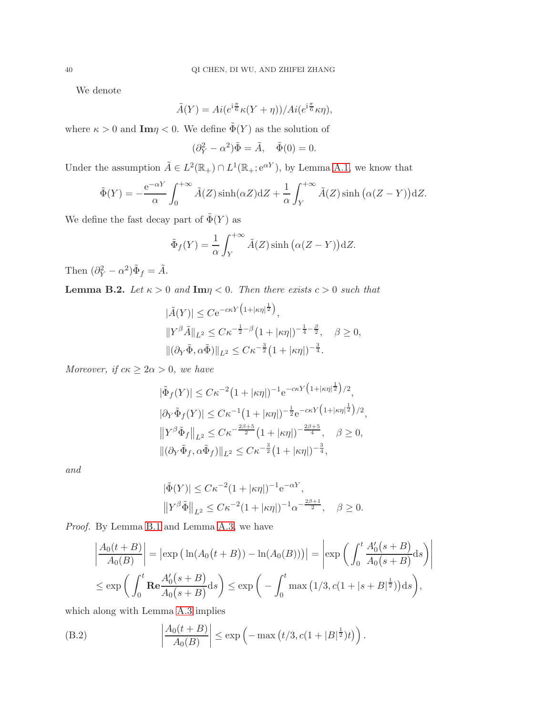We denote

$$
\tilde{A}(Y) = Ai(e^{i\frac{\pi}{6}}\kappa(Y+\eta))/Ai(e^{i\frac{\pi}{6}}\kappa\eta),
$$

where  $\kappa > 0$  and  $\text{Im}\eta < 0$ . We define  $\tilde{\Phi}(Y)$  as the solution of

$$
(\partial_Y^2 - \alpha^2)\tilde{\Phi} = \tilde{A}, \quad \tilde{\Phi}(0) = 0.
$$

Under the assumption  $\tilde{A} \in L^2(\mathbb{R}_+) \cap L^1(\mathbb{R}_+; e^{\alpha Y})$ , by Lemma [A.1,](#page-35-0) we know that

$$
\tilde{\Phi}(Y) = -\frac{e^{-\alpha Y}}{\alpha} \int_0^{+\infty} \tilde{A}(Z) \sinh(\alpha Z) dZ + \frac{1}{\alpha} \int_Y^{+\infty} \tilde{A}(Z) \sinh(\alpha (Z - Y)) dZ.
$$

We define the fast decay part of  $\tilde{\Phi}(Y)$  as

$$
\tilde{\Phi}_f(Y) = \frac{1}{\alpha} \int_Y^{+\infty} \tilde{A}(Z) \sinh\big(\alpha(Z - Y)\big) dZ.
$$

Then  $(\partial_Y^2 - \alpha^2)\tilde{\Phi}_f = \tilde{A}$ .

<span id="page-39-0"></span>**Lemma B.2.** Let  $\kappa > 0$  and  $\text{Im}\eta < 0$ . Then there exists  $c > 0$  such that

$$
|\tilde{A}(Y)| \leq C e^{-c\kappa Y (1+|\kappa \eta|^{\frac{1}{2}})},
$$
  
\n
$$
||Y^{\beta} \tilde{A}||_{L^{2}} \leq C \kappa^{-\frac{1}{2}-\beta} (1+|\kappa \eta|)^{-\frac{1}{4}-\frac{\beta}{2}}, \quad \beta \geq 0,
$$
  
\n
$$
||(\partial_{Y} \tilde{\Phi}, \alpha \tilde{\Phi})||_{L^{2}} \leq C \kappa^{-\frac{3}{2}} (1+|\kappa \eta|)^{-\frac{3}{4}}.
$$

Moreover, if  $c\kappa \geq 2\alpha > 0$ , we have

$$
|\tilde{\Phi}_f(Y)| \leq C\kappa^{-2} \left(1+|\kappa \eta|\right)^{-1} e^{-c\kappa Y \left(1+|\kappa \eta|^{\frac{1}{2}}\right)/2},
$$
  
\n
$$
|\partial_Y \tilde{\Phi}_f(Y)| \leq C\kappa^{-1} \left(1+|\kappa \eta|\right)^{-\frac{1}{2}} e^{-c\kappa Y \left(1+|\kappa \eta|^{\frac{1}{2}}\right)/2},
$$
  
\n
$$
||Y^{\beta} \tilde{\Phi}_f||_{L^2} \leq C\kappa^{-\frac{2\beta+5}{2}} \left(1+|\kappa \eta|\right)^{-\frac{2\beta+5}{4}}, \quad \beta \geq 0,
$$
  
\n
$$
||(\partial_Y \tilde{\Phi}_f, \alpha \tilde{\Phi}_f)||_{L^2} \leq C\kappa^{-\frac{3}{2}} \left(1+|\kappa \eta|\right)^{-\frac{3}{4}},
$$

and

$$
|\tilde{\Phi}(Y)| \le C\kappa^{-2} (1 + |\kappa \eta|)^{-1} e^{-\alpha Y},
$$
  

$$
||Y^{\beta} \tilde{\Phi}||_{L^2} \le C\kappa^{-2} (1 + |\kappa \eta|)^{-1} \alpha^{-\frac{2\beta + 1}{2}}, \quad \beta \ge 0.
$$

Proof. By Lemma [B.1](#page-38-1) and Lemma [A.3,](#page-37-2) we have

$$
\left|\frac{A_0(t+B)}{A_0(B)}\right| = \left|\exp\left(\ln(A_0(t+B)) - \ln(A_0(B))\right)\right| = \left|\exp\left(\int_0^t \frac{A'_0(s+B)}{A_0(s+B)}ds\right)\right|
$$
  

$$
\leq \exp\left(\int_0^t \mathbf{Re}\frac{A'_0(s+B)}{A_0(s+B)}ds\right) \leq \exp\left(-\int_0^t \max\left(1/3, c(1+|s+B|^{\frac{1}{2}})\right)ds\right),
$$

which along with Lemma [A.3](#page-37-2) implies

(B.2) 
$$
\left|\frac{A_0(t+B)}{A_0(B)}\right| \le \exp\left(-\max\left(t/3, c(1+|B|^{\frac{1}{2}})t\right)\right).
$$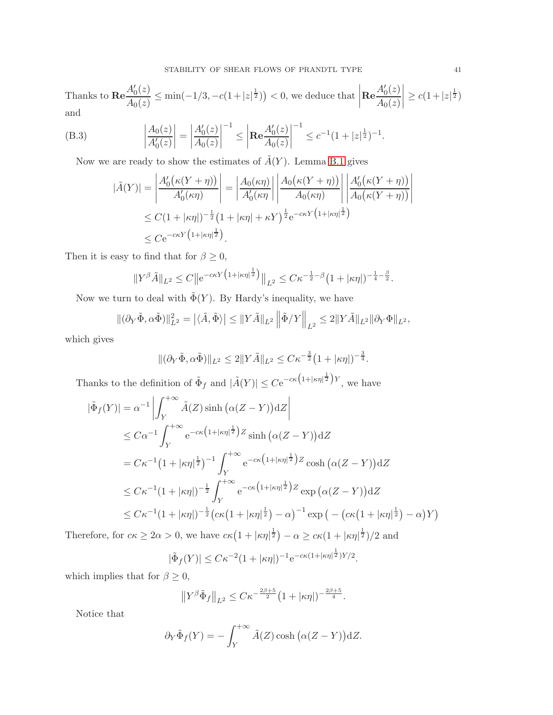Thanks to  $\text{Re} \frac{A'_0(z)}{A_0(z)}$  $\frac{A'_0(z)}{A_0(z)} \le \min(-1/3, -c(1+|z|^{\frac{1}{2}})) < 0$ , we deduce that  ${\rm Re}\frac{A_0'(z)}{A_0(z)}$  $A_0(z)$  $\begin{array}{c} \begin{array}{c} \begin{array}{c} \begin{array}{c} \end{array} \\ \end{array} \\ \begin{array}{c} \end{array} \end{array} \end{array}$  $\geq c(1+|z|^{\frac{1}{2}})$ and

(B.3) 
$$
\left|\frac{A_0(z)}{A'_0(z)}\right| = \left|\frac{A'_0(z)}{A_0(z)}\right|^{-1} \le \left|\mathbf{Re}\frac{A'_0(z)}{A_0(z)}\right|^{-1} \le c^{-1}(1+|z|^{\frac{1}{2}})^{-1}.
$$

Now we are ready to show the estimates of  $\tilde{A}(Y)$ . Lemma [B.1](#page-38-1) gives

$$
\begin{split} |\tilde{A}(Y)| &= \left| \frac{A_0'(\kappa(Y+\eta))}{A_0'(\kappa \eta)} \right| = \left| \frac{A_0(\kappa \eta)}{A_0'(\kappa \eta)} \right| \left| \frac{A_0(\kappa(Y+\eta))}{A_0(\kappa \eta)} \right| \left| \frac{A_0'(\kappa(Y+\eta))}{A_0(\kappa(Y+\eta))} \right| \\ &\leq C(1+|\kappa \eta|)^{-\frac{1}{2}} \left(1+|\kappa \eta|+\kappa Y\right)^{\frac{1}{2}} e^{-c\kappa Y \left(1+|\kappa \eta|^{\frac{1}{2}}\right)} \\ &\leq C e^{-c\kappa Y \left(1+|\kappa \eta|^{\frac{1}{2}}\right)}. \end{split}
$$

Then it is easy to find that for  $\beta \geq 0$ ,

$$
||Y^{\beta}\tilde{A}||_{L^{2}} \leq C||e^{-c\kappa Y(1+|\kappa\eta|^{1\over 2})}||_{L^{2}} \leq C\kappa^{-{1\over 2}-\beta}(1+|\kappa\eta|)^{-{1\over 4}-{1\over 2}}.
$$

Now we turn to deal with  $\tilde{\Phi}(Y)$ . By Hardy's inequality, we have

$$
\|(\partial_Y\tilde{\Phi},\alpha\tilde{\Phi})\|_{L^2}^2 = \left|\langle \tilde{A},\tilde{\Phi}\rangle\right| \le \|Y\tilde{A}\|_{L^2} \left\|\tilde{\Phi}/Y\right\|_{L^2} \le 2\|Y\tilde{A}\|_{L^2}\|\partial_Y\Phi\|_{L^2},
$$

which gives

$$
\|(\partial_Y\tilde{\Phi},\alpha\tilde{\Phi})\|_{L^2} \le 2\|Y\tilde{A}\|_{L^2} \le C\kappa^{-\frac{3}{2}}\left(1+|\kappa\eta|\right)^{-\frac{3}{4}}.
$$

Thanks to the definition of  $\tilde{\Phi}_f$  and  $|\tilde{A}(Y)| \leq C e^{-c\kappa (1+|\kappa \eta|^{\frac{1}{2}})Y}$ , we have

$$
|\tilde{\Phi}_f(Y)| = \alpha^{-1} \left| \int_Y^{+\infty} \tilde{A}(Z) \sinh(\alpha(Z - Y)) \, \mathrm{d}Z \right|
$$
  
\n
$$
\leq C\alpha^{-1} \int_Y^{+\infty} e^{-c\kappa (1 + |\kappa \eta|^{\frac{1}{2}}) Z} \sinh(\alpha(Z - Y)) \, \mathrm{d}Z
$$
  
\n
$$
= C\kappa^{-1} (1 + |\kappa \eta|^{\frac{1}{2}})^{-1} \int_Y^{+\infty} e^{-c\kappa (1 + |\kappa \eta|^{\frac{1}{2}}) Z} \cosh(\alpha(Z - Y)) \, \mathrm{d}Z
$$
  
\n
$$
\leq C\kappa^{-1} (1 + |\kappa \eta|)^{-\frac{1}{2}} \int_Y^{+\infty} e^{-c\kappa (1 + |\kappa \eta|^{\frac{1}{2}}) Z} \exp(\alpha(Z - Y)) \, \mathrm{d}Z
$$
  
\n
$$
\leq C\kappa^{-1} (1 + |\kappa \eta|)^{-\frac{1}{2}} (c\kappa (1 + |\kappa \eta|^{\frac{1}{2}}) - \alpha)^{-1} \exp(-(c\kappa (1 + |\kappa \eta|^{\frac{1}{2}}) - \alpha)Y)
$$

Therefore, for  $c\kappa \ge 2\alpha > 0$ , we have  $c\kappa(1+|\kappa\eta|^{\frac{1}{2}}) - \alpha \ge c\kappa(1+|\kappa\eta|^{\frac{1}{2}})/2$  and

$$
|\tilde{\Phi}_f(Y)| \leq C\kappa^{-2} (1+|\kappa \eta|)^{-1} e^{-c\kappa(1+|\kappa \eta|^{\frac{1}{2}})Y/2}.
$$

which implies that for  $\beta \geq 0$ ,

$$
\left\|Y^{\beta}\tilde{\Phi}_f\right\|_{L^2} \leq C\kappa^{-\frac{2\beta+5}{2}}\left(1+|\kappa\eta|\right)^{-\frac{2\beta+5}{4}}.
$$

Notice that

$$
\partial_Y \tilde{\Phi}_f(Y) = -\int_Y^{+\infty} \tilde{A}(Z) \cosh\big(\alpha(Z - Y)\big) dZ.
$$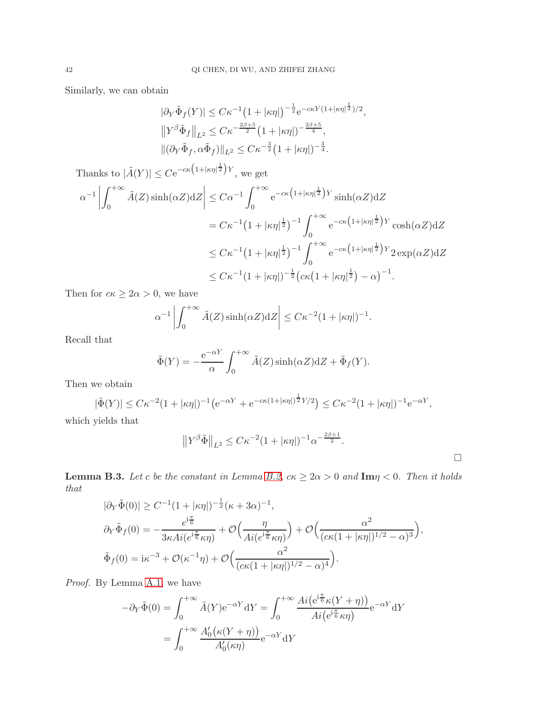Similarly, we can obtain

$$
|\partial_Y \tilde{\Phi}_f(Y)| \leq C\kappa^{-1} \left(1 + |\kappa \eta|\right)^{-\frac{1}{2}} e^{-c\kappa Y (1 + |\kappa \eta|^{\frac{1}{2}})/2},
$$
  

$$
||Y^{\beta} \tilde{\Phi}_f||_{L^2} \leq C\kappa^{-\frac{2\beta + 5}{2}} \left(1 + |\kappa \eta|\right)^{-\frac{2\beta + 5}{4}},
$$
  

$$
||(\partial_Y \tilde{\Phi}_f, \alpha \tilde{\Phi}_f)||_{L^2} \leq C\kappa^{-\frac{3}{2}} \left(1 + |\kappa \eta|\right)^{-\frac{3}{4}}.
$$

Thanks to  $|\tilde{A}(Y)| \leq C e^{-c\kappa (1+|\kappa\eta|^{\frac{1}{2}})Y}$ , we get  $\alpha^{-1}$  $\int^{+\infty}$ 0  $\tilde{A}(Z)$  sinh $(\alpha Z)dZ\Big|$  $\leq C\alpha^{-1}\int_{0}^{+\infty}$ 0  $e^{-c\kappa(1+|\kappa\eta|^{\frac{1}{2}})Y}\sinh(\alpha Z)dZ$  $=C\kappa^{-1}(1+|\kappa\eta|^{\frac{1}{2}})^{-1}\int_{0}^{+\infty}$  $\mathbf{0}$  $e^{-c\kappa(1+|\kappa\eta|^{\frac{1}{2}})Y}\cosh(\alpha Z)dZ$  $\leq C\kappa^{-1}(1+|\kappa\eta|^{\frac{1}{2}})^{-1}\int_{0}^{+\infty}$  $\mathbf{0}$  $e^{-c\kappa(1+|\kappa\eta|^{\frac{1}{2}})Y}2\exp(\alpha Z)dZ$  $\leq C\kappa^{-1}(1+|\kappa\eta|)^{-\frac{1}{2}}\big(c\kappa(1+|\kappa\eta|^{\frac{1}{2}})-\alpha\big)^{-1}.$ 

Then for  $c\kappa \geq 2\alpha > 0$ , we have

$$
\alpha^{-1}\left|\int_0^{+\infty} \tilde{A}(Z)\sinh(\alpha Z) dZ\right| \leq C\kappa^{-2}(1+|\kappa\eta|)^{-1}.
$$

Recall that

$$
\tilde{\Phi}(Y) = -\frac{e^{-\alpha Y}}{\alpha} \int_0^{+\infty} \tilde{A}(Z) \sinh(\alpha Z) dZ + \tilde{\Phi}_f(Y).
$$

Then we obtain

$$
|\tilde{\Phi}(Y)| \leq C\kappa^{-2} (1+|\kappa \eta|)^{-1} \big( e^{-\alpha Y} + e^{-c\kappa (1+|\kappa \eta|)^{\frac{1}{2}} Y/2} \big) \leq C\kappa^{-2} (1+|\kappa \eta|)^{-1} e^{-\alpha Y},
$$

which yields that

$$
||Y^{\beta} \tilde{\Phi}||_{L^{2}} \leq C\kappa^{-2} (1 + |\kappa \eta|)^{-1} \alpha^{-\frac{2\beta + 1}{2}}.
$$

<span id="page-41-0"></span>**Lemma B.3.** Let c be the constant in Lemma [B.2,](#page-39-0)  $c\kappa \geq 2\alpha > 0$  and  $\text{Im}\eta < 0$ . Then it holds that

$$
|\partial_Y \tilde{\Phi}(0)| \ge C^{-1} (1 + |\kappa \eta|)^{-\frac{1}{2}} (\kappa + 3\alpha)^{-1},
$$
  

$$
\partial_Y \tilde{\Phi}_f(0) = -\frac{e^{i\frac{\pi}{6}}}{3\kappa Ai(e^{i\frac{\pi}{6}}\kappa \eta)} + \mathcal{O}\left(\frac{\eta}{Ai(e^{i\frac{\pi}{6}}\kappa \eta)}\right) + \mathcal{O}\left(\frac{\alpha^2}{(c\kappa(1 + |\kappa \eta|)^{1/2} - \alpha)^3}\right),
$$
  

$$
\tilde{\Phi}_f(0) = i\kappa^{-3} + \mathcal{O}(\kappa^{-1} \eta) + \mathcal{O}\left(\frac{\alpha^2}{(c\kappa(1 + |\kappa \eta|)^{1/2} - \alpha)^4}\right).
$$

Proof. By Lemma [A.1,](#page-35-0) we have

$$
-\partial_Y \tilde{\Phi}(0) = \int_0^{+\infty} \tilde{A}(Y) e^{-\alpha Y} dY = \int_0^{+\infty} \frac{Ai(e^{i\frac{\pi}{6}} \kappa(Y+\eta))}{Ai(e^{i\frac{\pi}{6}} \kappa \eta)} e^{-\alpha Y} dY
$$

$$
= \int_0^{+\infty} \frac{A'_0(\kappa(Y+\eta))}{A'_0(\kappa \eta)} e^{-\alpha Y} dY
$$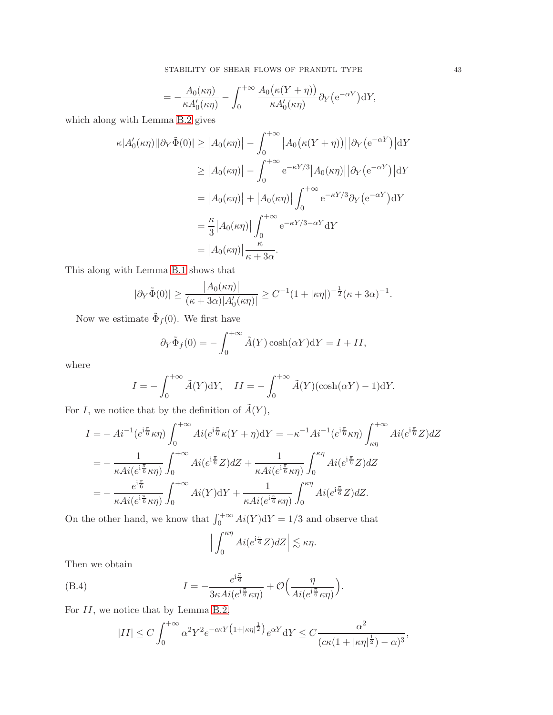$$
= -\frac{A_0(\kappa \eta)}{\kappa A'_0(\kappa \eta)} - \int_0^{+\infty} \frac{A_0(\kappa (Y+\eta))}{\kappa A'_0(\kappa \eta)} \partial_Y(e^{-\alpha Y}) dY,
$$

which along with Lemma [B.2](#page-39-0) gives

$$
\kappa |A'_0(\kappa \eta)||\partial_Y \tilde{\Phi}(0)| \ge |A_0(\kappa \eta)| - \int_0^{+\infty} |A_0(\kappa (Y + \eta))| |\partial_Y(e^{-\alpha Y})| \, dY
$$
  
\n
$$
\ge |A_0(\kappa \eta)| - \int_0^{+\infty} e^{-\kappa Y/3} |A_0(\kappa \eta)| |\partial_Y(e^{-\alpha Y})| \, dY
$$
  
\n
$$
= |A_0(\kappa \eta)| + |A_0(\kappa \eta)| \int_0^{+\infty} e^{-\kappa Y/3} \partial_Y(e^{-\alpha Y}) \, dY
$$
  
\n
$$
= \frac{\kappa}{3} |A_0(\kappa \eta)| \int_0^{+\infty} e^{-\kappa Y/3 - \alpha Y} \, dY
$$
  
\n
$$
= |A_0(\kappa \eta)| \frac{\kappa}{\kappa + 3\alpha}.
$$

This along with Lemma [B.1](#page-38-1) shows that

$$
|\partial_Y \tilde{\Phi}(0)| \ge \frac{|A_0(\kappa \eta)|}{(\kappa + 3\alpha)|A'_0(\kappa \eta)|} \ge C^{-1} (1 + |\kappa \eta|)^{-\frac{1}{2}} (\kappa + 3\alpha)^{-1}.
$$

Now we estimate  $\tilde{\Phi}_f(0)$ . We first have

$$
\partial_Y \tilde{\Phi}_f(0) = -\int_0^{+\infty} \tilde{A}(Y) \cosh(\alpha Y) dY = I + II,
$$

where

$$
I = -\int_0^{+\infty} \tilde{A}(Y) dY, \quad II = -\int_0^{+\infty} \tilde{A}(Y)(\cosh(\alpha Y) - 1) dY.
$$

For I, we notice that by the definition of  $\tilde{A}(Y)$ ,

$$
I = -Ai^{-1}(e^{i\frac{\pi}{6}}\kappa\eta) \int_0^{+\infty} Ai(e^{i\frac{\pi}{6}}\kappa(Y+\eta) dY = -\kappa^{-1}Ai^{-1}(e^{i\frac{\pi}{6}}\kappa\eta) \int_{\kappa\eta}^{+\infty} Ai(e^{i\frac{\pi}{6}}Z) dZ
$$
  
\n
$$
= -\frac{1}{\kappa Ai(e^{i\frac{\pi}{6}}\kappa\eta)} \int_0^{+\infty} Ai(e^{i\frac{\pi}{6}}Z) dZ + \frac{1}{\kappa Ai(e^{i\frac{\pi}{6}}\kappa\eta)} \int_0^{\kappa\eta} Ai(e^{i\frac{\pi}{6}}Z) dZ
$$
  
\n
$$
= -\frac{e^{i\frac{\pi}{6}}}{\kappa Ai(e^{i\frac{\pi}{6}}\kappa\eta)} \int_0^{+\infty} Ai(Y) dY + \frac{1}{\kappa Ai(e^{i\frac{\pi}{6}}\kappa\eta)} \int_0^{\kappa\eta} Ai(e^{i\frac{\pi}{6}}Z) dZ.
$$

On the other hand, we know that  $\int_0^{+\infty} Ai(Y) dY = 1/3$  and observe that

$$
\Big|\int_0^{\kappa\eta} Ai(e^{i\frac{\pi}{6}}Z)dZ\Big| \lesssim \kappa\eta.
$$

Then we obtain

<span id="page-42-0"></span>(B.4) 
$$
I = -\frac{e^{i\frac{\pi}{6}}}{3\kappa Ai(e^{i\frac{\pi}{6}}\kappa \eta)} + \mathcal{O}\Big(\frac{\eta}{Ai(e^{i\frac{\pi}{6}}\kappa \eta)}\Big).
$$

For II, we notice that by Lemma [B.2,](#page-39-0)

$$
|II| \le C \int_0^{+\infty} \alpha^2 Y^2 e^{-c\kappa Y (1+|\kappa \eta|^{\frac{1}{2}})} e^{\alpha Y} dY \le C \frac{\alpha^2}{(c\kappa (1+|\kappa \eta|^{\frac{1}{2}})-\alpha)^3},
$$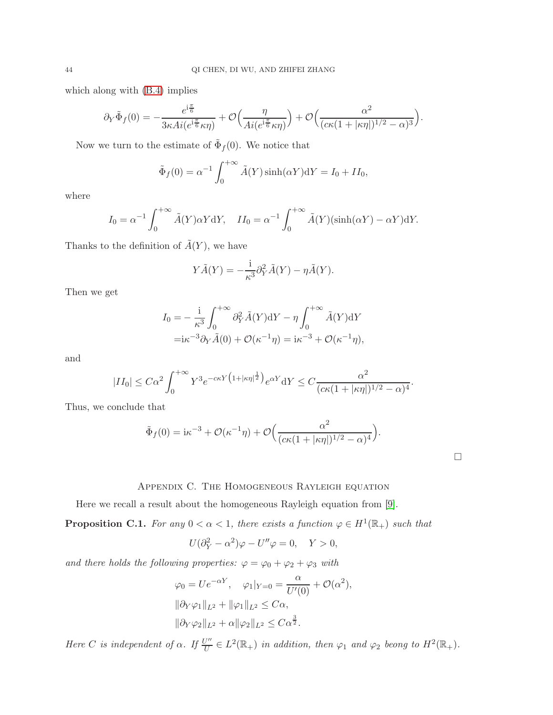which along with [\(B.4\)](#page-42-0) implies

$$
\partial_Y \tilde{\Phi}_f(0) = -\frac{e^{i\frac{\pi}{6}}}{3\kappa Ai(e^{i\frac{\pi}{6}}\kappa \eta)} + \mathcal{O}\left(\frac{\eta}{Ai(e^{i\frac{\pi}{6}}\kappa \eta)}\right) + \mathcal{O}\left(\frac{\alpha^2}{(c\kappa(1+|\kappa \eta|)^{1/2} - \alpha)^3}\right).
$$

Now we turn to the estimate of  $\tilde{\Phi}_f(0)$ . We notice that

$$
\tilde{\Phi}_f(0) = \alpha^{-1} \int_0^{+\infty} \tilde{A}(Y) \sinh(\alpha Y) dY = I_0 + II_0,
$$

where

$$
I_0 = \alpha^{-1} \int_0^{+\infty} \tilde{A}(Y) \alpha Y dY, \quad II_0 = \alpha^{-1} \int_0^{+\infty} \tilde{A}(Y)(\sinh(\alpha Y) - \alpha Y) dY.
$$

Thanks to the definition of  $\tilde{A}(Y)$ , we have

$$
Y\tilde{A}(Y) = -\frac{1}{\kappa^3} \partial_Y^2 \tilde{A}(Y) - \eta \tilde{A}(Y).
$$

Then we get

$$
I_0 = -\frac{i}{\kappa^3} \int_0^{+\infty} \partial_Y^2 \tilde{A}(Y) dY - \eta \int_0^{+\infty} \tilde{A}(Y) dY
$$
  
= $i\kappa^{-3} \partial_Y \tilde{A}(0) + \mathcal{O}(\kappa^{-1} \eta) = i\kappa^{-3} + \mathcal{O}(\kappa^{-1} \eta),$ 

and

$$
|II_0| \leq C\alpha^2 \int_0^{+\infty} Y^3 e^{-c\kappa Y \left(1+|\kappa \eta|^{\frac{1}{2}}\right)} e^{\alpha Y} dY \leq C \frac{\alpha^2}{(c\kappa(1+|\kappa \eta|)^{1/2}-\alpha)^4}.
$$

Thus, we conclude that

$$
\tilde{\Phi}_f(0) = i\kappa^{-3} + \mathcal{O}(\kappa^{-1}\eta) + \mathcal{O}\Big(\frac{\alpha^2}{(c\kappa(1+|\kappa\eta|)^{1/2}-\alpha)^4}\Big).
$$

# Appendix C. The Homogeneous Rayleigh equation

Here we recall a result about the homogeneous Rayleigh equation from [\[9\]](#page-44-0).

<span id="page-43-0"></span>**Proposition C.1.** For any  $0 < \alpha < 1$ , there exists a function  $\varphi \in H^1(\mathbb{R}_+)$  such that

$$
U(\partial_Y^2 - \alpha^2)\varphi - U''\varphi = 0, \quad Y > 0,
$$

and there holds the following properties:  $\varphi = \varphi_0 + \varphi_2 + \varphi_3$  with

$$
\varphi_0 = U e^{-\alpha Y}, \quad \varphi_1|_{Y=0} = \frac{\alpha}{U'(0)} + \mathcal{O}(\alpha^2),
$$
  

$$
\|\partial_Y \varphi_1\|_{L^2} + \|\varphi_1\|_{L^2} \leq C\alpha,
$$
  

$$
\|\partial_Y \varphi_2\|_{L^2} + \alpha \|\varphi_2\|_{L^2} \leq C\alpha^{\frac{3}{2}}.
$$

Here C is independent of  $\alpha$ . If  $\frac{U''}{U}$  $U''$   $\in L^2(\mathbb{R}_+)$  in addition, then  $\varphi_1$  and  $\varphi_2$  beong to  $H^2(\mathbb{R}_+)$ .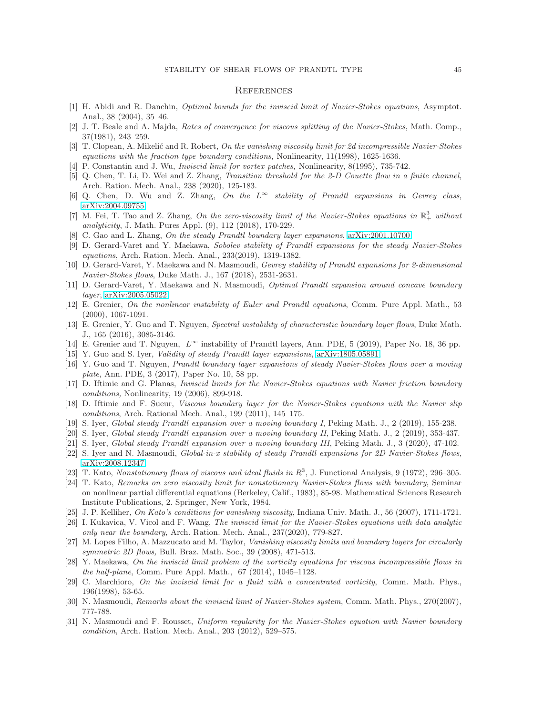#### **REFERENCES**

- <span id="page-44-8"></span>[1] H. Abidi and R. Danchin, Optimal bounds for the inviscid limit of Navier-Stokes equations, Asymptot. Anal., 38 (2004), 35–46.
- <span id="page-44-5"></span>[2] J. T. Beale and A. Majda, Rates of convergence for viscous splitting of the Navier-Stokes, Math. Comp., 37(1981), 243–259.
- <span id="page-44-10"></span>[3] T. Clopean, A. Mikelić and R. Robert, On the vanishing viscosity limit for 2d incompressible Navier-Stokes equations with the fraction type boundary conditions, Nonlinearity, 11(1998), 1625-1636.
- <span id="page-44-30"></span><span id="page-44-7"></span>[4] P. Constantin and J. Wu, Inviscid limit for vortex patches, Nonlinearity, 8(1995), 735-742.
- [5] Q. Chen, T. Li, D. Wei and Z. Zhang, Transition threshold for the 2-D Couette flow in a finite channel, Arch. Ration. Mech. Anal., 238 (2020), 125-183.
- <span id="page-44-15"></span><span id="page-44-1"></span>[6] Q. Chen, D. Wu and Z. Zhang, On the  $L^{\infty}$  stability of Prandtl expansions in Gevrey class, [arXiv:2004.09755.](http://arxiv.org/abs/2004.09755)
- [7] M. Fei, T. Tao and Z. Zhang, On the zero-viscosity limit of the Navier-Stokes equations in  $\mathbb{R}^3_+$  without analyticity, J. Math. Pures Appl. (9), 112 (2018), 170-229.
- <span id="page-44-29"></span><span id="page-44-0"></span>[8] C. Gao and L. Zhang, On the steady Prandtl boundary layer expansions, [arXiv:2001.10700.](http://arxiv.org/abs/2001.10700)
- [9] D. Gerard-Varet and Y. Maekawa, Sobolev stability of Prandtl expansions for the steady Navier-Stokes equations, Arch. Ration. Mech. Anal., 233(2019), 1319-1382.
- <span id="page-44-3"></span>[10] D. Gerard-Varet, Y. Maekawa and N. Masmoudi, Gevrey stability of Prandtl expansions for 2-dimensional Navier-Stokes flows, Duke Math. J., 167 (2018), 2531-2631.
- <span id="page-44-22"></span><span id="page-44-20"></span>[11] D. Gerard-Varet, Y. Maekawa and N. Masmoudi, Optimal Prandtl expansion around concave boundary layer, [arXiv:2005.05022.](http://arxiv.org/abs/2005.05022)
- [12] E. Grenier, On the nonlinear instability of Euler and Prandtl equations, Comm. Pure Appl. Math., 53 (2000), 1067-1091.
- <span id="page-44-2"></span>[13] E. Grenier, Y. Guo and T. Nguyen, Spectral instability of characteristic boundary layer flows, Duke Math. J., 165 (2016), 3085-3146.
- <span id="page-44-27"></span><span id="page-44-21"></span>[14] E. Grenier and T. Nguyen,  $L^{\infty}$  instability of Prandtl layers, Ann. PDE, 5 (2019), Paper No. 18, 36 pp.
- <span id="page-44-23"></span>[15] Y. Guo and S. Iyer, Validity of steady Prandtl layer expansions, [arXiv:1805.05891.](http://arxiv.org/abs/1805.05891)
- [16] Y. Guo and T. Nguyen, Prandtl boundary layer expansions of steady Navier-Stokes flows over a moving plate, Ann. PDE, 3 (2017), Paper No. 10, 58 pp.
- <span id="page-44-11"></span>[17] D. Iftimie and G. Planas, Inviscid limits for the Navier-Stokes equations with Navier friction boundary conditions, Nonlinearity, 19 (2006), 899-918.
- <span id="page-44-13"></span>[18] D. Iftimie and F. Sueur, Viscous boundary layer for the Navier-Stokes equations with the Navier slip conditions, Arch. Rational Mech. Anal., 199 (2011), 145–175.
- <span id="page-44-25"></span><span id="page-44-24"></span>[19] S. Iyer, Global steady Prandtl expansion over a moving boundary I, Peking Math. J., 2 (2019), 155-238.
- <span id="page-44-26"></span>[20] S. Iyer, Global steady Prandtl expansion over a moving boundary II, Peking Math. J., 2 (2019), 353-437.
- <span id="page-44-28"></span>[21] S. Iyer, Global steady Prandtl expansion over a moving boundary III, Peking Math. J., 3 (2020), 47-102.
- [22] S. Iyer and N. Masmoudi, *Global-in-x stability of steady Prandtl expansions for 2D Navier-Stokes flows*, [arXiv:2008.12347.](http://arxiv.org/abs/2008.12347)
- <span id="page-44-17"></span><span id="page-44-4"></span>[23] T. Kato, Nonstationary flows of viscous and ideal fluids in  $R^3$ , J. Functional Analysis, 9 (1972), 296–305.
- [24] T. Kato, Remarks on zero viscosity limit for nonstationary Navier-Stokes flows with boundary, Seminar on nonlinear partial differential equations (Berkeley, Calif., 1983), 85-98. Mathematical Sciences Research Institute Publications, 2. Springer, New York, 1984.
- <span id="page-44-19"></span><span id="page-44-18"></span>[25] J. P. Kelliher, On Kato's conditions for vanishing viscosity, Indiana Univ. Math. J., 56 (2007), 1711-1721.
- [26] I. Kukavica, V. Vicol and F. Wang, The inviscid limit for the Navier-Stokes equations with data analytic only near the boundary, Arch. Ration. Mech. Anal., 237(2020), 779-827.
- <span id="page-44-16"></span>[27] M. Lopes Filho, A. Mazzucato and M. Taylor, Vanishing viscosity limits and boundary layers for circularly symmetric 2D flows, Bull. Braz. Math. Soc., 39 (2008), 471-513.
- <span id="page-44-14"></span>[28] Y. Maekawa, On the inviscid limit problem of the vorticity equations for viscous incompressible flows in the half-plane, Comm. Pure Appl. Math., 67 (2014), 1045–1128.
- <span id="page-44-9"></span>[29] C. Marchioro, On the inviscid limit for a fluid with a concentrated vorticity, Comm. Math. Phys., 196(1998), 53-65.
- <span id="page-44-12"></span><span id="page-44-6"></span>[30] N. Masmoudi, Remarks about the inviscid limit of Navier-Stokes system, Comm. Math. Phys., 270(2007), 777-788.
- [31] N. Masmoudi and F. Rousset, Uniform regularity for the Navier-Stokes equation with Navier boundary condition, Arch. Ration. Mech. Anal., 203 (2012), 529–575.